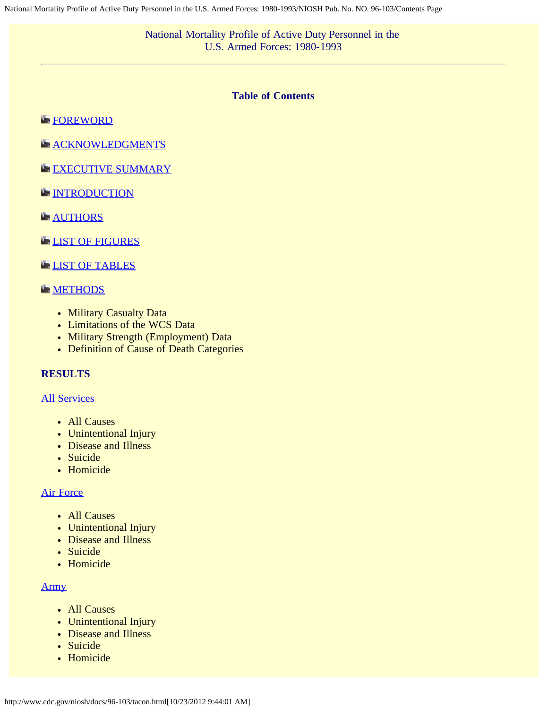# **Table of Contents**

# <span id="page-0-0"></span>**[FOREWORD](#page-2-0)**

**[ACKNOWLEDGMENTS](#page-3-0)** 

- [EXECUTIVE SUMMARY](#page-4-0)
- **[INTRODUCTION](#page-6-0)**
- **[AUTHORS](#page-7-0)**

# **[LIST OF FIGURES](#page-8-0)**

# **[LIST OF TABLES](#page-10-0)**

# **[METHODS](#page-11-0)**

- Military Casualty Data
- Limitations of the WCS Data
- Military Strength (Employment) Data
- Definition of Cause of Death Categories

# **RESULTS**

# [All Services](#page-13-0)

- All Causes
- Unintentional Injury
- Disease and Illness
- Suicide
- Homicide

# [Air Force](#page-16-0)

- All Causes
- Unintentional Injury
- Disease and Illness
- Suicide
- Homicide

## [Army](#page-19-0)

- All Causes
- Unintentional Injury
- Disease and Illness
- · Suicide
- Homicide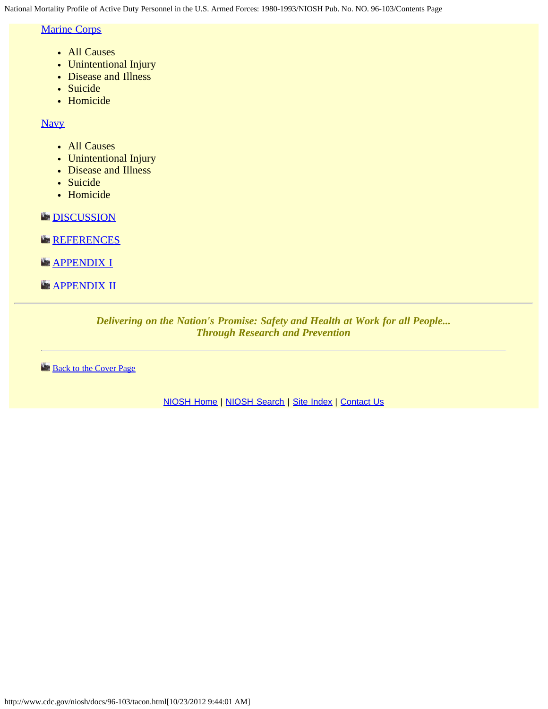National Mortality Profile of Active Duty Personnel in the U.S. Armed Forces: 1980-1993/NIOSH Pub. No. NO. 96-103/Contents Page

# [Marine Corps](#page-22-0)

- All Causes
- Unintentional Injury
- Disease and Illness
- Suicide
- Homicide

**[Navy](#page-25-0)** 

- All Causes
- Unintentional Injury
- Disease and Illness
- Suicide
- Homicide

**[DISCUSSION](#page-28-0)** 

**[REFERENCES](#page-30-0)** 

**[APPENDIX I](#page-32-0)** 

**[APPENDIX II](#page-34-0)** 

*Delivering on the Nation's Promise: Safety and Health at Work for all People... Through Research and Prevention*

**[Back to the Cover Page](#page-35-0)** 

[NIOSH Home](http://www.cdc.gov/niosh/) | [NIOSH Search](http://www.cdc.gov/niosh/srchpage.html) | [Site Index](http://www.cdc.gov/niosh/az/a.html) | [Contact Us](http://www.cdc.gov/niosh/contact/default.html)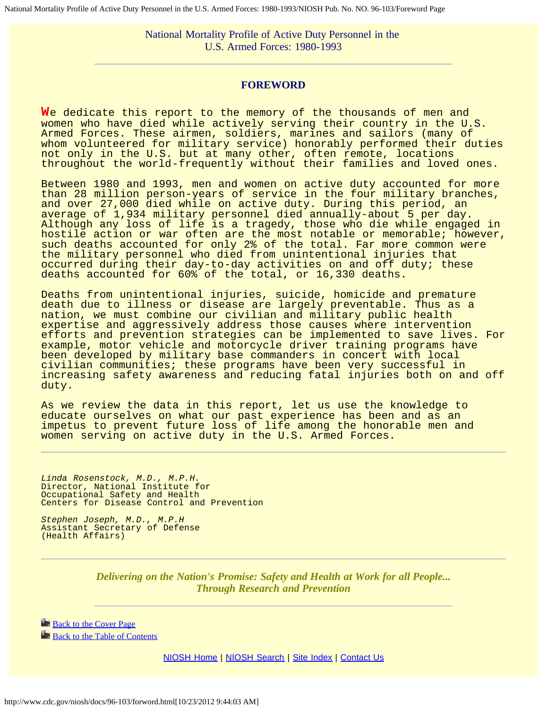<span id="page-2-0"></span>National Mortality Profile of Active Duty Personnel in the U.S. Armed Forces: 1980-1993/NIOSH Pub. No. NO. 96-103/Foreword Page

National Mortality Profile of Active Duty Personnel in the U.S. Armed Forces: 1980-1993

### **FOREWORD**

**W**e dedicate this report to the memory of the thousands of men and women who have died while actively serving their country in the U.S. Armed Forces. These airmen, soldiers, marines and sailors (many of whom volunteered for military service) honorably performed their duties not only in the U.S. but at many other, often remote, locations throughout the world-frequently without their families and loved ones.

Between 1980 and 1993, men and women on active duty accounted for more than 28 million person-years of service in the four military branches, and over 27,000 died while on active duty. During this period, an average of  $1,934$  military personnel died annually-about 5 per day. Although any loss of life is a tragedy, those who die while engaged in hostile action or war often are the most notable or memorable; however, such deaths accounted for only 2% of the total. Far more common were the military personnel who died from unintentional injuries that occurred during their day-to-day activities on and off duty; these deaths accounted for 60% of the total, or 16,330 deaths.

Deaths from unintentional injuries, suicide, homicide and premature death due to illness or disease are largely preventable. Thus as a nation, we must combine our civilian and military public health expertise and aggressively address those causes where intervention efforts and prevention strategies can be implemented to save lives. For example, motor vehicle and motorcycle driver training programs have been developed by military base commanders in concert with local civilian communities; these programs have been very successful in increasing safety awareness and reducing fatal injuries both on and off duty.

As we review the data in this report, let us use the knowledge to educate ourselves on what our past experience has been and as an impetus to prevent future loss of life among the honorable men and women serving on active duty in the U.S. Armed Forces.

*Linda Rosenstock, M.D., M.P.H.* Director, National Institute for Occupational Safety and Health Centers for Disease Control and Prevention

*Stephen Joseph, M.D., M.P.H* Assistant Secretary of Defense (Health Affairs)

> *Delivering on the Nation's Promise: Safety and Health at Work for all People... Through Research and Prevention*

**[Back to the Cover Page](http://www.cdc.gov/niosh/chtbook.html) [Back to the Table of Contents](http://www.cdc.gov/niosh/tacon.html)** 

[NIOSH Home](http://www.cdc.gov/niosh/docs/96-103/homepage.html) | [NIOSH Search](http://www.cdc.gov/niosh/docs/96-103/srchpage.html) | [Site Index](http://www.cdc.gov/niosh/docs/96-103/siteindx.html) | [Contact Us](http://www.cdc.gov/niosh/docs/96-103/cntc_ni1.html)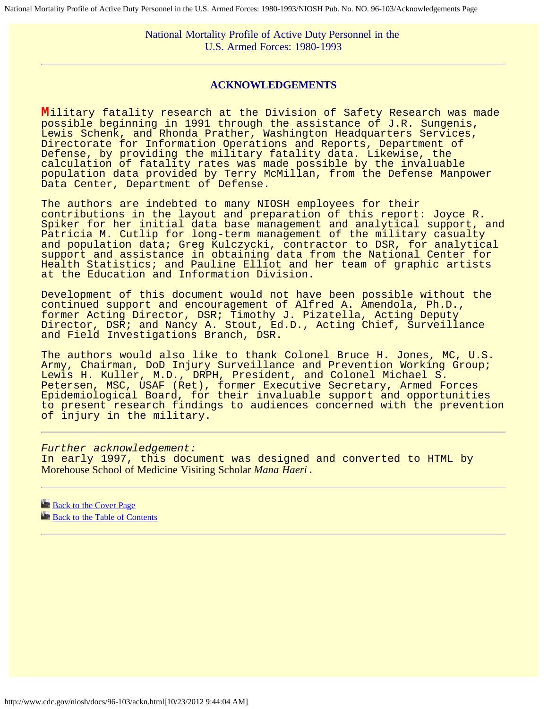National Mortality Profile of Active Duty Personnel in the U.S. Armed Forces: 1980-1993

### **ACKNOWLEDGEMENTS**

<span id="page-3-0"></span>**M**ilitary fatality research at the Division of Safety Research was made possible beginning in 1991 through the assistance of J.R. Sungenis, Lewis Schenk, and Rhonda Prather, Washington Headquarters Services, Directorate for Information Operations and Reports, Department of Defense, by providing the military fatality data. Likewise, the calculation of fatality rates was made possible by the invaluable population data provided by Terry McMillan, from the Defense Manpower Data Center, Department of Defense.

The authors are indebted to many NIOSH employees for their contributions in the layout and preparation of this report: Joyce R. Spiker for her initial data base management and analytical support, and Patricia M. Cutlip for long-term management of the military casualty and population data; Greg Kulczycki, contractor to DSR, for analytical support and assistance in obtaining data from the National Center for Health Statistics; and Pauline Elliot and her team of graphic artists at the Education and Information Division.

Development of this document would not have been possible without the continued support and encouragement of Alfred A. Amendola, Ph.D., former Acting Director, DSR; Timothy J. Pizatella, Acting Deputy Director, DSR; and Nancy A. Stout, Ed.D., Acting Chief, Surveillance and Field Investigations Branch, DSR.

The authors would also like to thank Colonel Bruce H. Jones, MC, U.S. Army, Chairman, DoD Injury Surveillance and Prevention Working Group; Lewis H. Kuller, M.D., DRPH, President, and Colonel Michael S. Petersen, MSC, USAF (Ret), former Executive Secretary, Armed Forces Epidemiological Board, for their invaluable support and opportunities to present research findings to audiences concerned with the prevention of injury in the military.

*Further acknowledgement:* In early 1997, this document was designed and converted to HTML by Morehouse School of Medicine Visiting Scholar *Mana Haeri*.

**[Back to the Cover Page](http://www.cdc.gov/niosh/chtbook.html) [Back to the Table of Contents](http://www.cdc.gov/niosh/tacon.html)**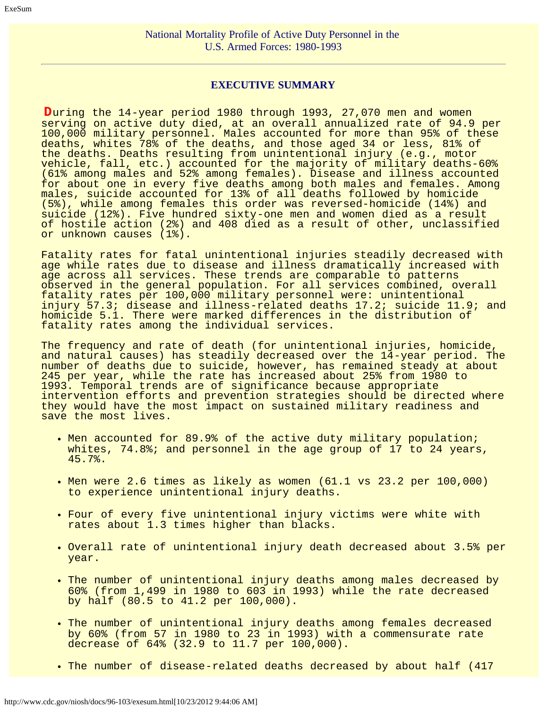# **EXECUTIVE SUMMARY**

<span id="page-4-0"></span>**D**uring the 14-year period 1980 through 1993, 27,070 men and women serving on active duty died, at an overall annualized rate of 94.9 per 100,000 military personnel. Males accounted for more than 95% of these deaths, whites 78% of the deaths, and those aged 34 or less, 81% of the deaths. Deaths resulting from unintentional injury (e.g., motor vehicle, fall, etc.) accounted for the majority of military deaths-60% (61% among males and 52% among females). Disease and illness accounted for about one in every five deaths among both males and females. Among males, suicide accounted for 13% of all deaths followed by homicide (5%), while among females this order was reversed-homicide (14%) and suicide (12%). Five hundred sixty-one men and women died as a result of hostile action (2%) and 408 died as a result of other, unclassified or unknown causes (1%).

Fatality rates for fatal unintentional injuries steadily decreased with age while rates due to disease and illness dramatically increased with age across all services. These trends are comparable to patterns observed in the general population. For all services combined, overall fatality rates per 100,000 military personnel were: unintentional injury 57.3; disease and illness-related deaths 17.2; suicide 11.9; and homicide 5.1. There were marked differences in the distribution of fatality rates among the individual services.

The frequency and rate of death (for unintentional injuries, homicide, and natural causes) has steadily decreased over the 14-year period. The number of deaths due to suicide, however, has remained steady at about 245 per year, while the rate has increased about 25% from 1980 to 1993. Temporal trends are of significance because appropriate intervention efforts and prevention strategies should be directed where they would have the most impact on sustained military readiness and save the most lives.

- Men accounted for 89.9% of the active duty military population; whites, 74.8%; and personnel in the age group of 17 to 24 years, 45.7%.
- Men were 2.6 times as likely as women (61.1 vs 23.2 per 100,000) to experience unintentional injury deaths.
- Four of every five unintentional injury victims were white with rates about 1.3 times higher than blacks.
- Overall rate of unintentional injury death decreased about 3.5% per year.
- The number of unintentional injury deaths among males decreased by 60% (from 1,499 in 1980 to 603 in 1993) while the rate decreased by half (80.5 to 41.2 per 100,000).
- The number of unintentional injury deaths among females decreased by 60% (from 57 in 1980 to 23 in 1993) with a commensurate rate decrease of 64% (32.9 to 11.7 per 100,000).
- The number of disease-related deaths decreased by about half (417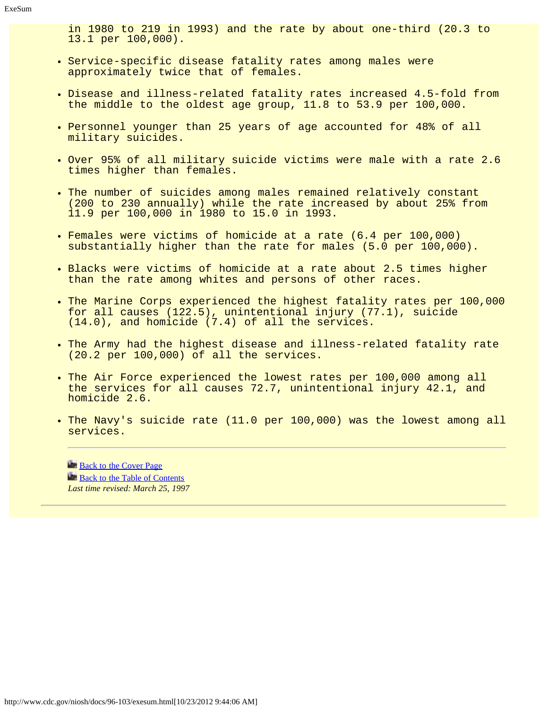in 1980 to 219 in 1993) and the rate by about one-third (20.3 to 13.1 per 100,000).

- . Service-specific disease fatality rates among males were approximately twice that of females.
- Disease and illness-related fatality rates increased 4.5-fold from the middle to the oldest age group, 11.8 to 53.9 per 100,000.
- Personnel younger than 25 years of age accounted for 48% of all military suicides.
- Over 95% of all military suicide victims were male with a rate 2.6 times higher than females.
- . The number of suicides among males remained relatively constant (200 to 230 annually) while the rate increased by about 25% from 11.9 per 100,000 in 1980 to 15.0 in 1993.
- Females were victims of homicide at a rate (6.4 per 100,000) substantially higher than the rate for males (5.0 per 100,000).
- . Blacks were victims of homicide at a rate about 2.5 times higher than the rate among whites and persons of other races.
- . The Marine Corps experienced the highest fatality rates per 100,000 for all causes (122.5), unintentional injury (77.1), suicide (14.0), and homicide (7.4) of all the services.
- The Army had the highest disease and illness-related fatality rate (20.2 per 100,000) of all the services.
- . The Air Force experienced the lowest rates per 100,000 among all the services for all causes 72.7, unintentional injury 42.1, and homicide 2.6.
- . The Navy's suicide rate (11.0 per 100,000) was the lowest among all services.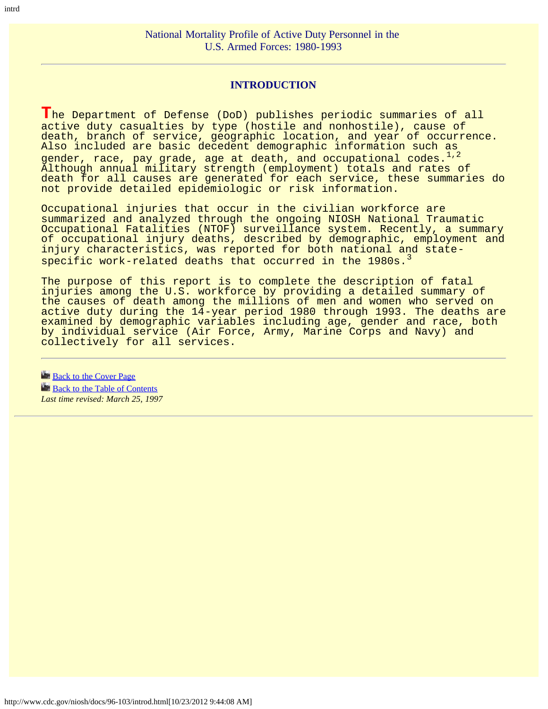# **INTRODUCTION**

<span id="page-6-0"></span>**T**he Department of Defense (DoD) publishes periodic summaries of all active duty casualties by type (hostile and nonhostile), cause of death, branch of service, geographic location, and year of occurrence. Also included are basic decedent demographic information such as gender, race, pay grade, age at death, and occupational codes. $1/2$ Although annual military strength (employment) totals and rates of death for all causes are generated for each service, these summaries do not provide detailed epidemiologic or risk information.

Occupational injuries that occur in the civilian workforce are summarized and analyzed through the ongoing NIOSH National Traumatic Occupational Fatalities (NTOF) surveillance system. Recently, a summary of occupational injury deaths, described by demographic, employment and injury characteristics, was reported for both national and statespecific work-related deaths that occurred in the 1980s.<sup>3</sup>

The purpose of this report is to complete the description of fatal injuries among the U.S. workforce by providing a detailed summary of the causes of death among the millions of men and women who served on active duty during the 14-year period 1980 through 1993. The deaths are examined by demographic variables including age, gender and race, both by individual service (Air Force, Army, Marine Corps and Navy) and collectively for all services.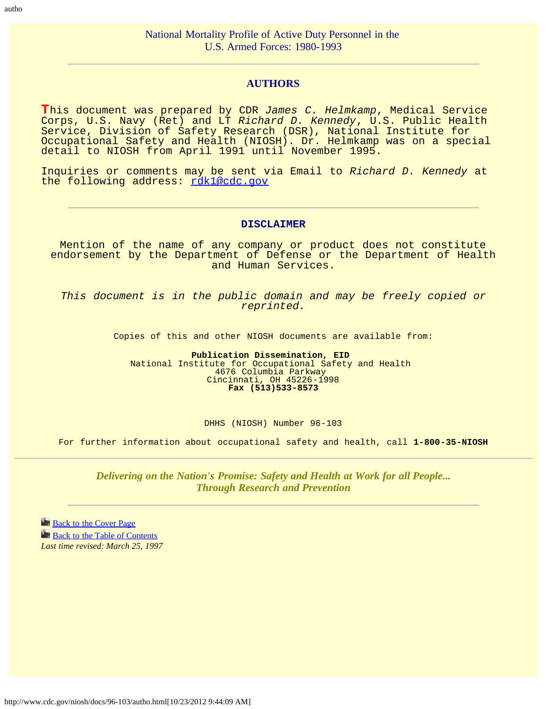### **AUTHORS**

<span id="page-7-0"></span>**T**his document was prepared by CDR *James C. Helmkamp*, Medical Service Corps, U.S. Navy (Ret) and LT *Richard D. Kennedy*, U.S. Public Health Service, Division of Safety Research (DSR), National Institute for Occupational Safety and Health (NIOSH). Dr. Helmkamp was on a special detail to NIOSH from April 1991 until November 1995.

Inquiries or comments may be sent via Email to *Richard D. Kennedy* at the following address: [rdk1@cdc.gov](mailto:rdk1@cdc.gov)

#### **DISCLAIMER**

Mention of the name of any company or product does not constitute endorsement by the Department of Defense or the Department of Health and Human Services.

*This document is in the public domain and may be freely copied or reprinted.*

Copies of this and other NIOSH documents are available from:

**Publication Dissemination, EID**  National Institute for Occupational Safety and Health 4676 Columbia Parkway Cincinnati, OH 45226-1998 **Fax (513)533-8573**

DHHS (NIOSH) Number 96-103

For further information about occupational safety and health, call **1-800-35-NIOSH**

*Delivering on the Nation's Promise: Safety and Health at Work for all People... Through Research and Prevention*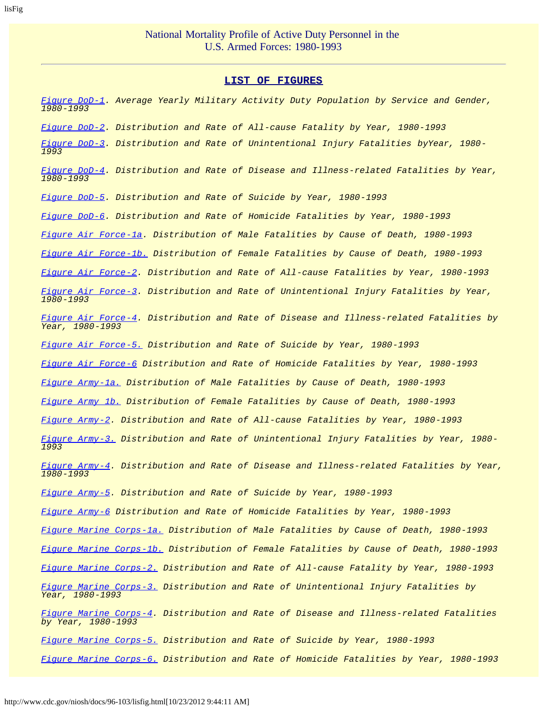#### **LIST OF FIGURES**

<span id="page-8-0"></span>*[Figure DoD-1](#page-36-0). Average Yearly Military Activity Duty Population by Service and Gender, 1980-1993 [Figure DoD-2](#page-37-0). Distribution and Rate of All-cause Fatality by Year, 1980-1993 [Figure DoD-3](#page-38-0). Distribution and Rate of Unintentional Injury Fatalities byYear, 1980- 1993 [Figure DoD-4](#page-39-0). Distribution and Rate of Disease and Illness-related Fatalities by Year, 1980-1993 [Figure DoD-5](#page-40-0). Distribution and Rate of Suicide by Year, 1980-1993 [Figure DoD-6](#page-41-0). Distribution and Rate of Homicide Fatalities by Year, 1980-1993 [Figure Air Force-1a](#page-42-0). Distribution of Male Fatalities by Cause of Death, 1980-1993 [Figure Air Force-1b.](#page-43-0) Distribution of Female Fatalities by Cause of Death, 1980-1993 [Figure Air Force-2](#page-44-0). Distribution and Rate of All-cause Fatalities by Year, 1980-1993 [Figure Air Force-3](#page-45-0). Distribution and Rate of Unintentional Injury Fatalities by Year, 1980-1993 [Figure Air Force-4](#page-46-0). Distribution and Rate of Disease and Illness-related Fatalities by Year, 1980-1993 [Figure Air Force-5.](#page-47-0) Distribution and Rate of Suicide by Year, 1980-1993 [Figure Air Force-6](#page-48-0) Distribution and Rate of Homicide Fatalities by Year, 1980-1993 [Figure Army-1a.](#page-49-0) Distribution of Male Fatalities by Cause of Death, 1980-1993 [Figure Army 1b.](#page-50-0) Distribution of Female Fatalities by Cause of Death, 1980-1993 [Figure Army-2](#page-51-0). Distribution and Rate of All-cause Fatalities by Year, 1980-1993 [Figure Army-3.](#page-52-0) Distribution and Rate of Unintentional Injury Fatalities by Year, 1980- 1993 [Figure Army-4](#page-53-0). Distribution and Rate of Disease and Illness-related Fatalities by Year, 1980-1993 [Figure Army-5](#page-54-0). Distribution and Rate of Suicide by Year, 1980-1993 [Figure Army-6](#page-55-0) Distribution and Rate of Homicide Fatalities by Year, 1980-1993 [Figure Marine Corps-1a.](#page-56-0) Distribution of Male Fatalities by Cause of Death, 1980-1993 [Figure Marine Corps-1b.](#page-57-0) Distribution of Female Fatalities by Cause of Death, 1980-1993 [Figure Marine Corps-2.](#page-58-0) Distribution and Rate of All-cause Fatality by Year, 1980-1993 [Figure Marine Corps-3.](#page-59-0) Distribution and Rate of Unintentional Injury Fatalities by Year, 1980-1993 [Figure Marine Corps-4.](#page-60-0) Distribution and Rate of Disease and Illness-related Fatalities by Year, 1980-1993 [Figure Marine Corps-5.](#page-61-0) Distribution and Rate of Suicide by Year, 1980-1993 [Figure Marine Corps-6.](#page-62-0) Distribution and Rate of Homicide Fatalities by Year, 1980-1993*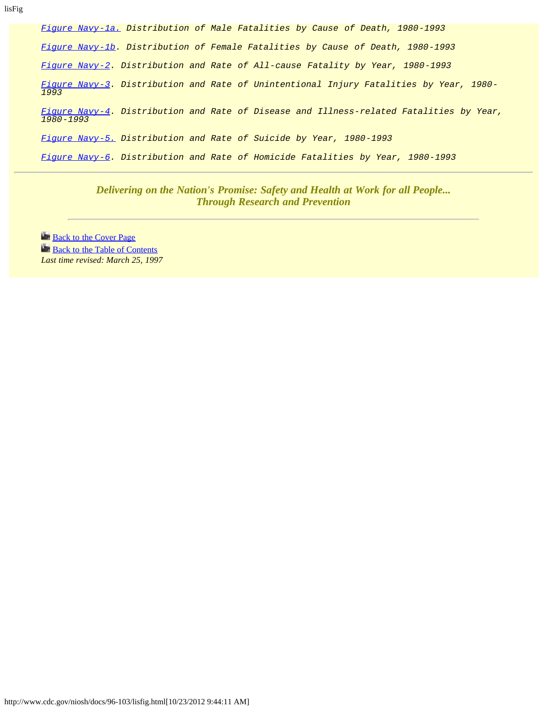lisFig

*[Figure Navy-1a.](#page-63-0) Distribution of Male Fatalities by Cause of Death, 1980-1993 [Figure Navy-1b](#page-64-0). Distribution of Female Fatalities by Cause of Death, 1980-1993 [Figure Navy-2](#page-65-0). Distribution and Rate of All-cause Fatality by Year, 1980-1993 [Figure Navy-3](#page-66-0). Distribution and Rate of Unintentional Injury Fatalities by Year, 1980- 1993 [Figure Navy-4](#page-67-0). Distribution and Rate of Disease and Illness-related Fatalities by Year, 1980-1993 [Figure Navy-5.](#page-68-0) Distribution and Rate of Suicide by Year, 1980-1993 [Figure Navy-6](#page-69-0). Distribution and Rate of Homicide Fatalities by Year, 1980-1993*

> *Delivering on the Nation's Promise: Safety and Health at Work for all People... Through Research and Prevention*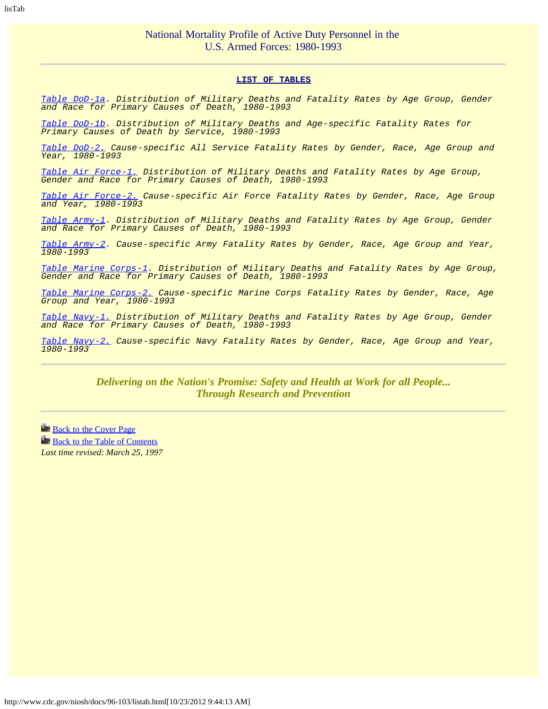#### **LIST OF TABLES**

<span id="page-10-0"></span>*[Table DoD-1a](#page-70-0). Distribution of Military Deaths and Fatality Rates by Age Group, Gender and Race for Primary Causes of Death, 1980-1993*

*[Table DoD-1b](#page-71-0). Distribution of Military Deaths and Age-specific Fatality Rates for Primary Causes of Death by Service, 1980-1993*

*[Table DoD-2.](#page-72-0) Cause-specific All Service Fatality Rates by Gender, Race, Age Group and Year, 1980-1993*

*[Table Air Force-1.](#page-74-0) Distribution of Military Deaths and Fatality Rates by Age Group, Gender and Race for Primary Causes of Death, 1980-1993*

*[Table Air Force-2.](#page-75-0) Cause-specific Air Force Fatality Rates by Gender, Race, Age Group and Year, 1980-1993*

*[Table Army-1](#page-77-0). Distribution of Military Deaths and Fatality Rates by Age Group, Gender and Race for Primary Causes of Death, 1980-1993*

*[Table Army-2](#page-78-0). Cause-specific Army Fatality Rates by Gender, Race, Age Group and Year, 1980-1993*

*[Table Marine Corps-1](#page-80-0). Distribution of Military Deaths and Fatality Rates by Age Group, Gender and Race for Primary Causes of Death, 1980-1993*

*[Table Marine Corps-2.](#page-81-0) Cause-specific Marine Corps Fatality Rates by Gender, Race, Age Group and Year, 1980-1993*

*[Table Navy-1.](#page-83-0) Distribution of Military Deaths and Fatality Rates by Age Group, Gender and Race for Primary Causes of Death, 1980-1993*

*[Table Navy-2.](#page-84-0) Cause-specific Navy Fatality Rates by Gender, Race, Age Group and Year, 1980-1993*

> *Delivering on the Nation's Promise: Safety and Health at Work for all People... Through Research and Prevention*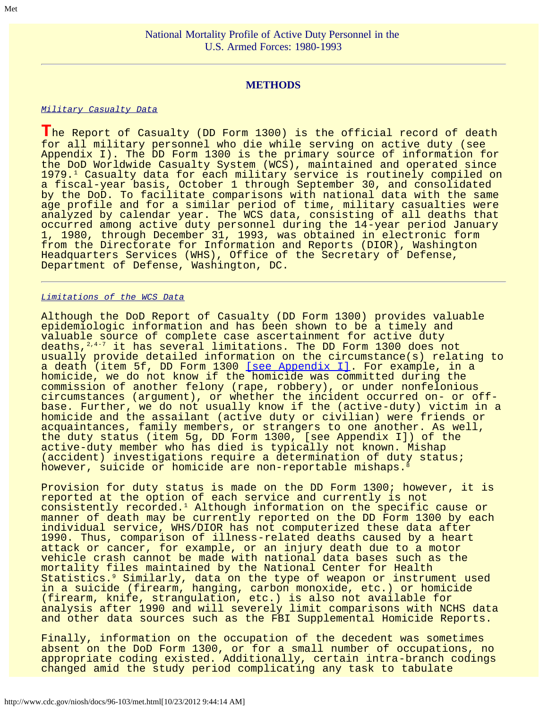# **METHODS**

#### <span id="page-11-0"></span>*Military Casualty Data*

**T**he Report of Casualty (DD Form 1300) is the official record of death for all military personnel who die while serving on active duty (see Appendix I). The DD Form 1300 is the primary source of information for the DoD Worldwide Casualty System (WCS), maintained and operated since 1979.1 Casualty data for each military service is routinely compiled on a fiscal-year basis, October 1 through September 30, and consolidated by the DoD. To facilitate comparisons with national data with the same age profile and for a similar period of time, military casualties were analyzed by calendar year. The WCS data, consisting of all deaths that occurred among active duty personnel during the 14-year period January 1, 1980, through December 31, 1993, was obtained in electronic form from the Directorate for Information and Reports (DIOR), Washington Headquarters Services (WHS), Office of the Secretary of Defense, Department of Defense, Washington, DC.

#### *Limitations of the WCS Data*

Although the DoD Report of Casualty (DD Form 1300) provides valuable epidemiologic information and has been shown to be a timely and valuable source of complete case ascertainment for active duty deaths,<sup>2,4-7</sup> it has several limitations. The DD Form 1300 does not usually provide detailed information on the circumstance(s) relating to a death (item 5f, DD Form 1300 [\[see Appendix I\].](#page-32-0) For example, in a homicide, we do not know if the homicide was committed during the commission of another felony (rape, robbery), or under nonfelonious circumstances (argument), or whether the incident occurred on- or offbase. Further, we do not usually know if the (active-duty) victim in a homicide and the assailant (active duty or civilian) were friends or acquaintances, family members, or strangers to one another. As well, the duty status (item 5g, DD Form 1300, [see Appendix I]) of the active-duty member who has died is typically not known. Mishap (accident) investigations require a determination of duty status; however, suicide or homicide are non-reportable mishaps.

Provision for duty status is made on the DD Form 1300; however, it is reported at the option of each service and currently is not consistently recorded.1 Although information on the specific cause or manner of death may be currently reported on the DD Form 1300 by each individual service, WHS/DIOR has not computerized these data after 1990. Thus, comparison of illness-related deaths caused by a heart attack or cancer, for example, or an injury death due to a motor vehicle crash cannot be made with national data bases such as the mortality files maintained by the National Center for Health Statistics.9 Similarly, data on the type of weapon or instrument used in a suicide (firearm, hanging, carbon monoxide, etc.) or homicide (firearm, knife, strangulation, etc.) is also not available for analysis after 1990 and will severely limit comparisons with NCHS data and other data sources such as the FBI Supplemental Homicide Reports.

Finally, information on the occupation of the decedent was sometimes absent on the DoD Form 1300, or for a small number of occupations, no appropriate coding existed. Additionally, certain intra-branch codings changed amid the study period complicating any task to tabulate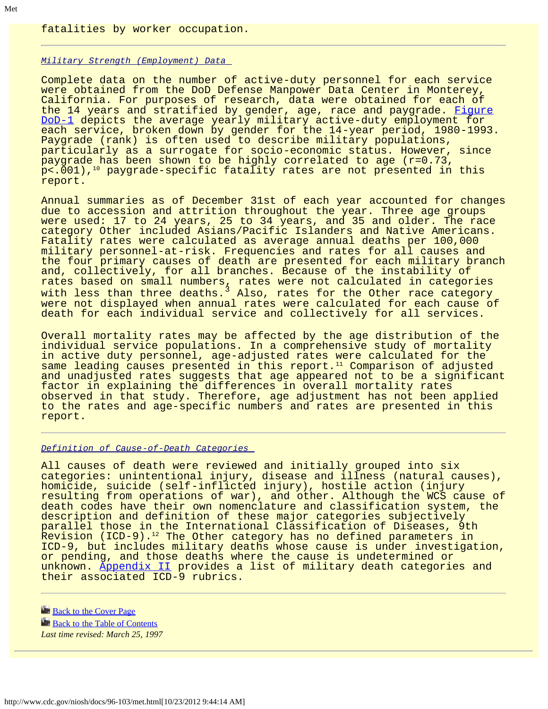fatalities by worker occupation.

#### *Military Strength (Employment) Data*

Complete data on the number of active-duty personnel for each service were obtained from the DoD Defense Manpower Data Center in Monterey, California. For purposes of research, data were obtained for each of the 14 years and stratified by gender, age, race and paygrade. [Figure](#page-36-0) [DoD-1](#page-36-0) depicts the average yearly military active-duty employment for each service, broken down by gender for the 14-year period, 1980-1993. Paygrade (rank) is often used to describe military populations, particularly as a surrogate for socio-economic status. However, since paygrade has been shown to be highly correlated to age (r=0.73,  $p<.001$ ),<sup>10</sup> paygrade-specific fatality rates are not presented in this report.

Annual summaries as of December 31st of each year accounted for changes due to accession and attrition throughout the year. Three age groups were used: 17 to 24 years, 25 to 34 years, and 35 and older. The race category Other included Asians/Pacific Islanders and Native Americans. Fatality rates were calculated as average annual deaths per 100,000 military personnel-at-risk. Frequencies and rates for all causes and the four primary causes of death are presented for each military branch and, collectively, for all branches. Because of the instability of rates based on small numbers, rates were not calculated in categories with less than three deaths.<sup>3</sup> Also, rates for the Other race category were not displayed when annual rates were calculated for each cause of death for each individual service and collectively for all services.

Overall mortality rates may be affected by the age distribution of the individual service populations. In a comprehensive study of mortality in active duty personnel, age-adjusted rates were calculated for the same leading causes presented in this report. $11$  Comparison of adjusted and unadjusted rates suggests that age appeared not to be a significant factor in explaining the differences in overall mortality rates observed in that study. Therefore, age adjustment has not been applied to the rates and age-specific numbers and rates are presented in this report.

#### *Definition of Cause-of-Death Categories*

All causes of death were reviewed and initially grouped into six categories: unintentional injury, disease and illness (natural causes), homicide, suicide (self-inflicted injury), hostile action (injury resulting from operations of war), and other. Although the WCS cause of death codes have their own nomenclature and classification system, the description and definition of these major categories subjectively parallel those in the International Classification of Diseases, 9th Revision (ICD-9).<sup>12</sup> The Other category has no defined parameters in ICD-9, but includes military deaths whose cause is under investigation, or pending, and those deaths where the cause is undetermined or unknown. [Appendix II](#page-34-0) provides a list of military death categories and their associated ICD-9 rubrics.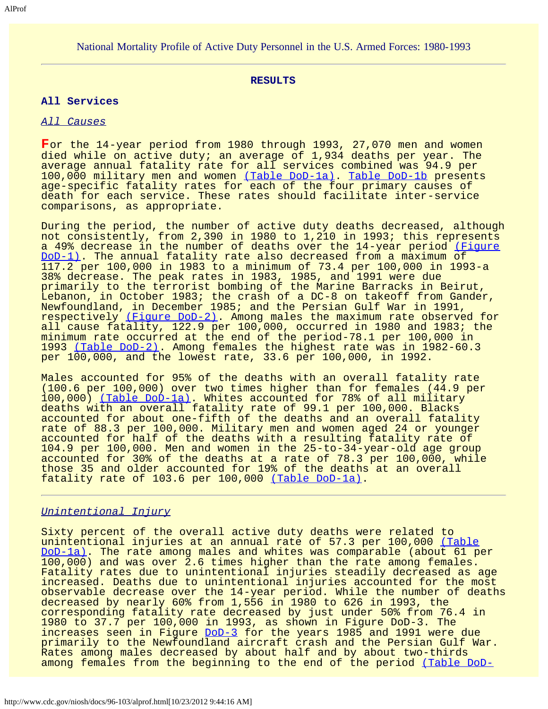### <span id="page-13-0"></span>National Mortality Profile of Active Duty Personnel in the U.S. Armed Forces: 1980-1993

#### **RESULTS**

#### **All Services**

#### *All Causes*

**F**or the 14-year period from 1980 through 1993, 27,070 men and women died while on active duty; an average of 1,934 deaths per year. The average annual fatality rate for all services combined was 94.9 per 100,000 military men and women [\(Table DoD-1a\).](#page-70-0) [Table DoD-1b](#page-71-0) presents age-specific fatality rates for each of the four primary causes of death for each service. These rates should facilitate inter-service comparisons, as appropriate.

During the period, the number of active duty deaths decreased, although not consistently, from 2,390 in 1980 to 1,210 in 1993; this represents a 49% decrease in the number of deaths over the 14-year period [\(Figure](#page-36-0) [DoD-1\)](#page-36-0). The annual fatality rate also decreased from a maximum of 117.2 per 100,000 in 1983 to a minimum of 73.4 per 100,000 in 1993-a 38% decrease. The peak rates in 1983, 1985, and 1991 were due primarily to the terrorist bombing of the Marine Barracks in Beirut, Lebanon, in October 1983; the crash of a DC-8 on takeoff from Gander, Newfoundland, in December 1985; and the Persian Gulf War in 1991, respectively [\(Figure DoD-2\).](#page-37-0) Among males the maximum rate observed for all cause fatality, 122.9 per 100,000, occurred in 1980 and 1983; the minimum rate occurred at the end of the period-78.1 per 100,000 in 1993 [\(Table DoD-2\)](#page-72-0). Among females the highest rate was in 1982-60.3 per 100,000, and the lowest rate, 33.6 per 100,000, in 1992.

Males accounted for 95% of the deaths with an overall fatality rate (100.6 per 100,000) over two times higher than for females (44.9 per 100,000) [\(Table DoD-1a\)](#page-70-0). Whites accounted for 78% of all military deaths with an overall fatality rate of 99.1 per 100,000. Blacks accounted for about one-fifth of the deaths and an overall fatality rate of 88.3 per 100,000. Military men and women aged 24 or younger accounted for half of the deaths with a resulting fatality rate of 104.9 per 100,000. Men and women in the 25-to-34-year-old age group accounted for 30% of the deaths at a rate of 78.3 per 100,000, while those 35 and older accounted for 19% of the deaths at an overall fatality rate of 103.6 per 100,000 [\(Table DoD-1a\).](#page-70-0)

### *Unintentional Injury*

Sixty percent of the overall active duty deaths were related to unintentional injuries at an annual rate of 57.3 per 100,000 [\(Table](#page-70-0) [DoD-1a\)](#page-70-0). The rate among males and whites was comparable (about 61 per 100,000) and was over 2.6 times higher than the rate among females. Fatality rates due to unintentional injuries steadily decreased as age increased. Deaths due to unintentional injuries accounted for the most observable decrease over the 14-year period. While the number of deaths decreased by nearly 60% from 1,556 in 1980 to 626 in 1993, the corresponding fatality rate decreased by just under 50% from 76.4 in 1980 to 37.7 per 100,000 in 1993, as shown in Figure DoD-3. The increases seen in Figure [DoD-3](#page-38-0) for the years 1985 and 1991 were due primarily to the Newfoundland aircraft crash and the Persian Gulf War. Rates among males decreased by about half and by about two-thirds among females from the beginning to the end of the period [\(Table DoD-](#page-37-0)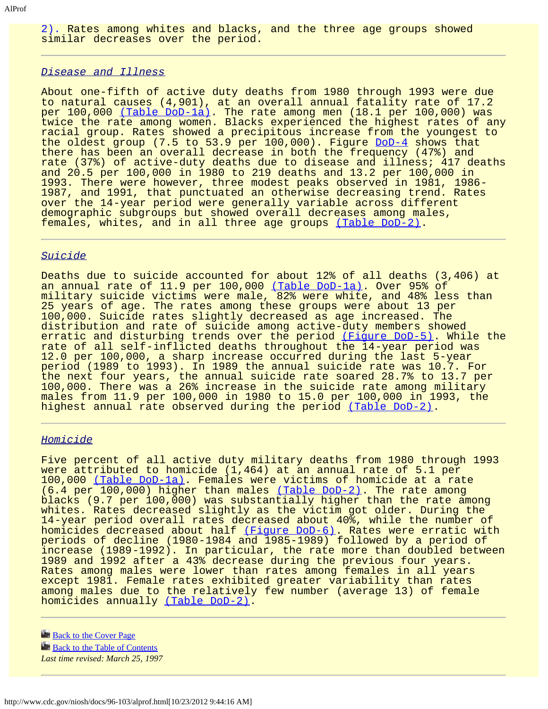[2\).](#page-37-0) Rates among whites and blacks, and the three age groups showed similar decreases over the period.

#### *Disease and Illness*

About one-fifth of active duty deaths from 1980 through 1993 were due to natural causes (4,901), at an overall annual fatality rate of 17.2 per 100,000 [\(Table DoD-1a\).](#page-70-0) The rate among men (18.1 per 100,000) was twice the rate among women. Blacks experienced the highest rates of any racial group. Rates showed a precipitous increase from the youngest to the oldest group (7.5 to  $53.9$  per  $100,000$ ). Figure [DoD-4](#page-39-0) shows that there has been an overall decrease in both the frequency (47%) and rate (37%) of active-duty deaths due to disease and illness; 417 deaths and 20.5 per 100,000 in 1980 to 219 deaths and 13.2 per 100,000 in 1993. There were however, three modest peaks observed in 1981, 1986- 1987, and 1991, that punctuated an otherwise decreasing trend. Rates over the 14-year period were generally variable across different demographic subgroups but showed overall decreases among males, females, whites, and in all three age groups [\(Table DoD-2\)](#page-37-0).

### *Suicide*

Deaths due to suicide accounted for about 12% of all deaths (3,406) at an annual rate of 11.9 per 100,000 [\(Table DoD-1a\)](#page-70-0). Over 95% of military suicide victims were male, 82% were white, and 48% less than 25 years of age. The rates among these groups were about 13 per 100,000. Suicide rates slightly decreased as age increased. The distribution and rate of suicide among active-duty members showed erratic and disturbing trends over the period [\(Figure DoD-5\).](#page-40-0) While the rate of all self-inflicted deaths throughout the 14-year period was 12.0 per 100,000, a sharp increase occurred during the last 5-year period (1989 to 1993). In 1989 the annual suicide rate was 10.7. For the next four years, the annual suicide rate soared 28.7% to 13.7 per 100,000. There was a 26% increase in the suicide rate among military males from 11.9 per 100,000 in 1980 to 15.0 per 100,000 in 1993, the highest annual rate observed during the period [\(Table DoD-2\)](#page-37-0).

#### *Homicide*

Five percent of all active duty military deaths from 1980 through 1993 were attributed to homicide (1,464) at an annual rate of 5.1 per 100,000 [\(Table DoD-1a\).](#page-70-0) Females were victims of homicide at a rate (6.4 per 100,000) higher than males [\(Table DoD-2\)](#page-37-0). The rate among blacks (9.7 per 100,000) was substantially higher than the rate among whites. Rates decreased slightly as the victim got older. During the 14-year period overall rates decreased about 40%, while the number of homicides decreased about half [\(Figure DoD-6\).](#page-41-0) Rates were erratic with periods of decline (1980-1984 and 1985-1989) followed by a period of increase (1989-1992). In particular, the rate more than doubled between 1989 and 1992 after a 43% decrease during the previous four years. Rates among males were lower than rates among females in all years except 1981. Female rates exhibited greater variability than rates among males due to the relatively few number (average 13) of female homicides annually [\(Table DoD-2\)](#page-72-0).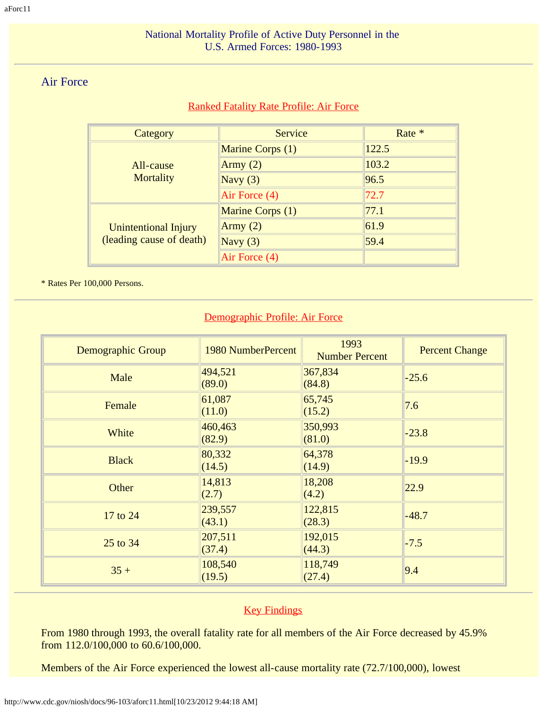# <span id="page-16-0"></span>Air Force

# Ranked Fatality Rate Profile: Air Force

| Category                                                | Service          | Rate * |
|---------------------------------------------------------|------------------|--------|
|                                                         | Marine Corps (1) | 122.5  |
| All-cause                                               | Army $(2)$       | 103.2  |
| Mortality                                               | Navy $(3)$       | 96.5   |
|                                                         | Air Force (4)    | 72.7   |
| <b>Unintentional Injury</b><br>(leading cause of death) | Marine Corps (1) | 77.1   |
|                                                         | Army $(2)$       | 61.9   |
|                                                         | Navy $(3)$       | 59.4   |
|                                                         | Air Force (4)    |        |

\* Rates Per 100,000 Persons.

# Demographic Profile: Air Force

| Demographic Group | 1980 NumberPercent | 1993<br><b>Number Percent</b> | <b>Percent Change</b> |  |
|-------------------|--------------------|-------------------------------|-----------------------|--|
| Male              | 494,521<br>(89.0)  | 367,834<br>(84.8)             | $-25.6$               |  |
| Female            | 61,087<br>(11.0)   | 65,745<br>(15.2)              | 7.6                   |  |
| White             | 460,463<br>(82.9)  | 350,993<br>(81.0)             | $-23.8$               |  |
| <b>Black</b>      | 80,332<br>(14.5)   | 64,378<br>(14.9)              | $-19.9$               |  |
| Other             | 14,813<br>(2.7)    | 18,208<br>(4.2)               | 22.9                  |  |
| 17 to 24          | 239,557<br>(43.1)  | 122,815<br>(28.3)             | $-48.7$               |  |
| 25 to 34          | 207,511<br>(37.4)  | 192,015<br>(44.3)             | $-7.5$                |  |
| $35 +$            | 108,540<br>(19.5)  | 118,749<br>(27.4)             | 9.4                   |  |

# **Key Findings**

From 1980 through 1993, the overall fatality rate for all members of the Air Force decreased by 45.9% from 112.0/100,000 to 60.6/100,000.

Members of the Air Force experienced the lowest all-cause mortality rate (72.7/100,000), lowest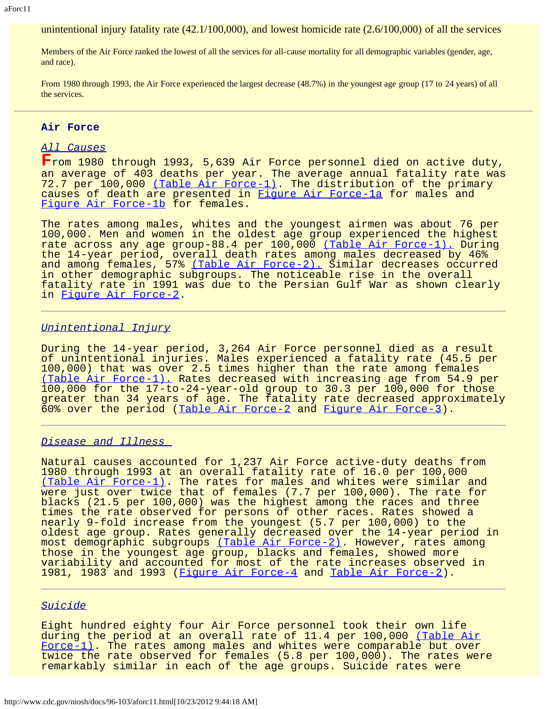unintentional injury fatality rate (42.1/100,000), and lowest homicide rate (2.6/100,000) of all the services

Members of the Air Force ranked the lowest of all the services for all-cause mortality for all demographic variables (gender, age, and race).

From 1980 through 1993, the Air Force experienced the largest decrease (48.7%) in the youngest age group (17 to 24 years) of all the services.

#### **Air Force**

### *All Causes*

**F**rom 1980 through 1993, 5,639 Air Force personnel died on active duty, an average of 403 deaths per year. The average annual fatality rate was 72.7 per 100,000 [\(Table Air Force-1\).](#page-74-0) The distribution of the primary causes of death are presented in Figure Air Force-la for males and [Figure Air Force-1b](#page-43-0) for females.

The rates among males, whites and the youngest airmen was about 76 per 100,000. Men and women in the oldest age group experienced the highest rate across any age group-88.4 per 100,000 [\(Table Air Force-1\).](#page-74-0) During the 14-year period, overall death rates among males decreased by 46% and among females, 57% <u>[\(Table Air Force-2\).](#page-75-0)</u> Similar decreases occurred in other demographic subgroups. The noticeable rise in the overall fatality rate in 1991 was due to the Persian Gulf War as shown clearly in [Figure Air Force-2.](#page-44-0)

#### *Unintentional Injury*

During the 14-year period, 3,264 Air Force personnel died as a result of unintentional injuries. Males experienced a fatality rate (45.5 per 100,000) that was over 2.5 times higher than the rate among females [\(Table Air Force-1\).](#page-74-0) Rates decreased with increasing age from 54.9 per 100,000 for the 17-to-24-year-old group to 30.3 per 100,000 for those greater than 34 years of age. The fatality rate decreased approximately 60% over the period ([Table Air Force-2](#page-75-0) and [Figure Air Force-3\)](#page-45-0).

#### *Disease and Illness*

Natural causes accounted for 1,237 Air Force active-duty deaths from 1980 through 1993 at an overall fatality rate of 16.0 per 100,000 [\(Table Air Force-1\).](#page-74-0) The rates for males and whites were similar and were just over twice that of females (7.7 per 100,000). The rate for blacks (21.5 per 100,000) was the highest among the races and three times the rate observed for persons of other races. Rates showed a nearly 9-fold increase from the youngest (5.7 per 100,000) to the oldest age group. Rates generally decreased over the 14-year period in most demographic subgroups [\(Table Air Force-2\).](#page-75-0) However, rates among those in the youngest age group, blacks and females, showed more variability and accounted for most of the rate increases observed in 1981, 1983 and 1993 ([Figure Air Force-4](#page-46-0) and [Table Air Force-2](#page-75-0)).

### *Suicide*

Eight hundred eighty four Air Force personnel took their own life during the period at an overall rate of 11.4 per 100,000 [\(Table Air](#page-74-0) [Force-1\)](#page-74-0). The rates among males and whites were comparable but over twice the rate observed for females (5.8 per 100,000). The rates were remarkably similar in each of the age groups. Suicide rates were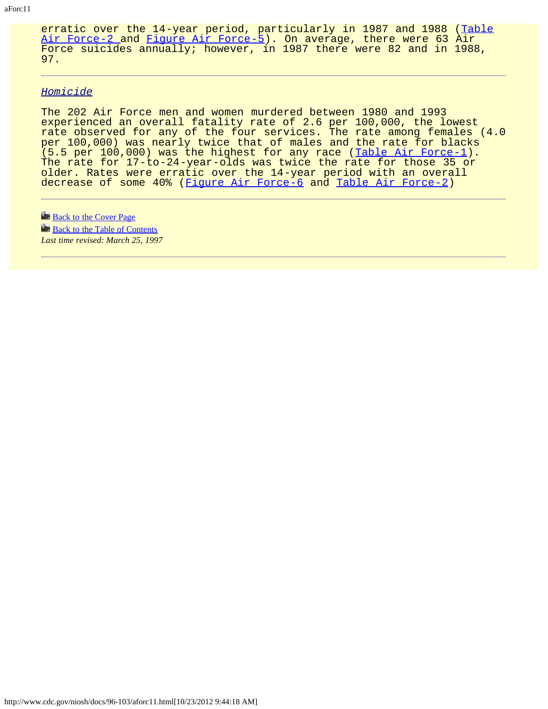erratic over the 14-year period, particularly in 1987 and 1988 ([Table](#page-75-0) [Air Force-2 a](#page-75-0)nd [Figure Air Force-5\)](#page-47-0). On average, there were 63 Air Force suicides annually; however, in 1987 there were 82 and in 1988, 97.

#### *Homicide*

The 202 Air Force men and women murdered between 1980 and 1993 experienced an overall fatality rate of 2.6 per 100,000, the lowest rate observed for any of the four services. The rate among females (4.0 per 100,000) was nearly twice that of males and the rate for blacks  $(5.5$  per 100,000) was the highest for any race ([Table Air Force-1](#page-74-0)). The rate for 17-to-24-year-olds was twice the rate for those 35 or older. Rates were erratic over the 14-year period with an overall decrease of some 40% ([Figure Air Force-6](#page-48-0) and [Table Air Force-2](#page-75-0))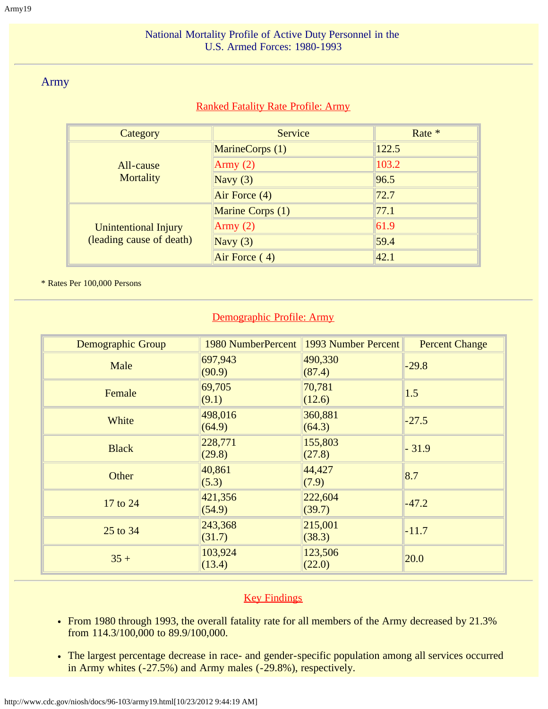# National Mortality Profile of Active Duty Personnel in the U.S. Armed Forces: 1980-1993

# <span id="page-19-0"></span>Army

# Ranked Fatality Rate Profile: Army

| Category                                         | Service          | Rate * |
|--------------------------------------------------|------------------|--------|
|                                                  | MarineCorps (1)  | 122.5  |
| All-cause                                        | Army $(2)$       | 103.2  |
| Mortality                                        | Navy $(3)$       | 96.5   |
|                                                  | Air Force (4)    | 72.7   |
| Unintentional Injury<br>(leading cause of death) | Marine Corps (1) | 77.1   |
|                                                  | Army $(2)$       | 61.9   |
|                                                  | Navy $(3)$       | 59.4   |
|                                                  | Air Force (4)    | 42.1   |

\* Rates Per 100,000 Persons

# Demographic Profile: Army

| Demographic Group | 1980 NumberPercent | 1993 Number Percent | <b>Percent Change</b> |
|-------------------|--------------------|---------------------|-----------------------|
| Male              | 697,943<br>(90.9)  | 490,330<br>(87.4)   | $-29.8$               |
| Female            | 69,705<br>(9.1)    | 70,781<br>(12.6)    | 1.5                   |
| White             | 498,016<br>(64.9)  | 360,881<br>(64.3)   | $-27.5$               |
| <b>Black</b>      | 228,771<br>(29.8)  | 155,803<br>(27.8)   | $-31.9$               |
| Other             | 40,861<br>(5.3)    | 44,427<br>(7.9)     | 8.7                   |
| 17 to 24          | 421,356<br>(54.9)  | 222,604<br>(39.7)   | $-47.2$               |
| 25 to 34          | 243,368<br>(31.7)  | 215,001<br>(38.3)   | $-11.7$               |
| $35 +$            | 103,924<br>(13.4)  | 123,506<br>(22.0)   | 20.0                  |

# **Key Findings**

- From 1980 through 1993, the overall fatality rate for all members of the Army decreased by 21.3% from 114.3/100,000 to 89.9/100,000.
- The largest percentage decrease in race- and gender-specific population among all services occurred in Army whites (-27.5%) and Army males (-29.8%), respectively.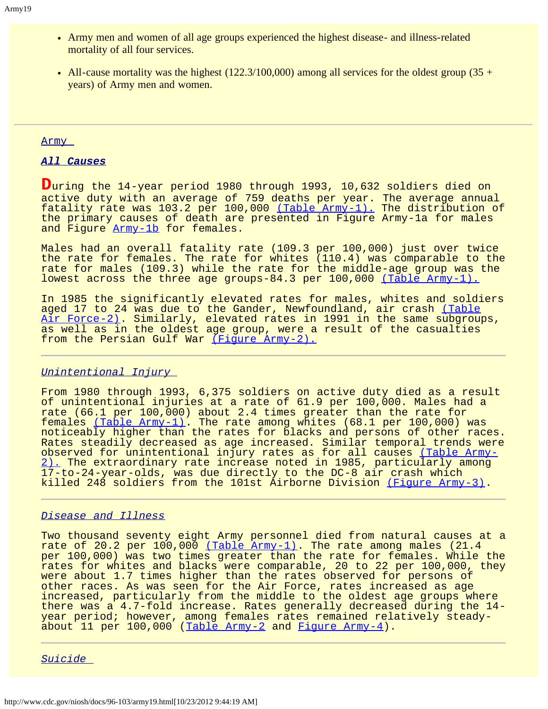- Army men and women of all age groups experienced the highest disease- and illness-related mortality of all four services.
- All-cause mortality was the highest  $(122.3/100,000)$  among all services for the oldest group  $(35 +$ years) of Army men and women.

#### Army

### *All Causes*

**D**uring the 14-year period 1980 through 1993, 10,632 soldiers died on active duty with an average of 759 deaths per year. The average annual fatality rate was 103.2 per 100,000 [\(Table Army-1\).](#page-77-0) The distribution of the primary causes of death are presented in Figure Army-1a for males and Figure [Army-1b](#page-50-0) for females.

Males had an overall fatality rate (109.3 per 100,000) just over twice the rate for females. The rate for whites (110.4) was comparable to the rate for males (109.3) while the rate for the middle-age group was the lowest across the three age groups-84.3 per 100,000 [\(Table Army-1\).](#page-77-0)

In 1985 the significantly elevated rates for males, whites and soldiers aged 17 to 24 was due to the Gander, Newfoundland, air crash [\(Table](#page-75-0) [Air Force-2\).](#page-75-0) Similarly, elevated rates in 1991 in the same subgroups, as well as in the oldest age group, were a result of the casualties from the Persian Gulf War [\(Figure Army-2\).](#page-51-0)

### *Unintentional Injury*

From 1980 through 1993, 6,375 soldiers on active duty died as a result of unintentional injuries at a rate of 61.9 per 100,000. Males had a rate (66.1 per 100,000) about 2.4 times greater than the rate for females [\(Table Army-1\).](#page-77-0) The rate among whites (68.1 per 100,000) was noticeably higher than the rates for blacks and persons of other races. Rates steadily decreased as age increased. Similar temporal trends were observed for unintentional injury rates as for all causes [\(Table Army-](#page-78-0)[2\).](#page-78-0) The extraordinary rate increase noted in 1985, particularly among 17-to-24-year-olds, was due directly to the DC-8 air crash which killed 248 soldiers from the 101st Airborne Division [\(Figure Army-3\)](#page-52-0).

### *Disease and Illness*

Two thousand seventy eight Army personnel died from natural causes at a rate of 20.2 per  $100,000$  [\(Table Army-1\).](#page-77-0) The rate among males (21.4 per 100,000) was two times greater than the rate for females. While the rates for whites and blacks were comparable, 20 to 22 per 100,000, they were about 1.7 times higher than the rates observed for persons of other races. As was seen for the Air Force, rates increased as age increased, particularly from the middle to the oldest age groups where there was a 4.7-fold increase. Rates generally decreased during the 14 year period; however, among females rates remained relatively steady-about 11 per 100,000 ([Table Army-2](#page-78-0) and [Figure Army-4](#page-53-0)).

*Suicide*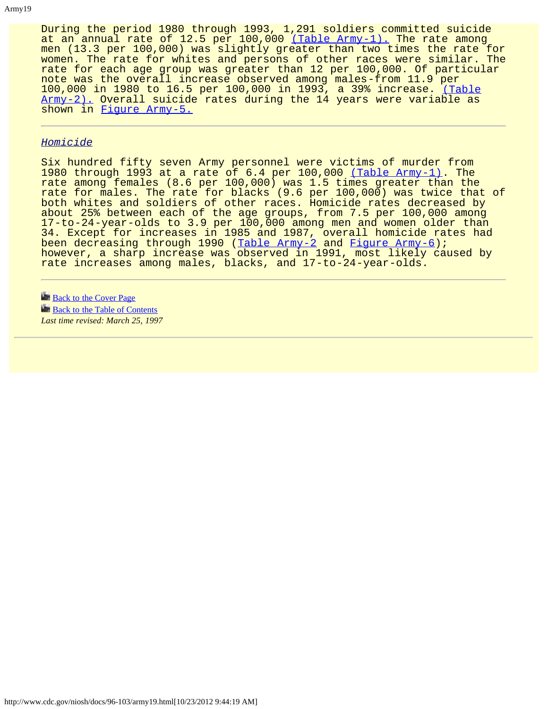During the period 1980 through 1993, 1,291 soldiers committed suicide at an annual rate of 12.5 per 100,000 [\(Table Army-1\).](#page-77-0) The rate among men (13.3 per 100,000) was slightly greater than two times the rate for women. The rate for whites and persons of other races were similar. The rate for each age group was greater than 12 per 100,000. Of particular note was the overall increase observed among males-from 11.9 per 100,000 in 1980 to 16.5 per 100,000 in 1993, a 39% increase. [\(Table](#page-77-0) <u>Army-2).</u> Overall suicide rates during the 14 years were variable as shown in [Figure Army-5.](#page-54-0)

#### *Homicide*

Six hundred fifty seven Army personnel were victims of murder from 1980 through 1993 at a rate of 6.4 per 100,000 [\(Table Army-1\).](#page-77-0) The rate among females (8.6 per 100,000) was 1.5 times greater than the rate for males. The rate for blacks (9.6 per 100,000) was twice that of both whites and soldiers of other races. Homicide rates decreased by about 25% between each of the age groups, from 7.5 per 100,000 among 17-to-24-year-olds to 3.9 per 100,000 among men and women older than 34. Except for increases in 1985 and 1987, overall homicide rates had been decreasing through 1990 (<u>Table Army-2</u> and <u>[Figure Army-6](#page-55-0)</u>); however, a sharp increase was observed in 1991, most likely caused by rate increases among males, blacks, and 17-to-24-year-olds.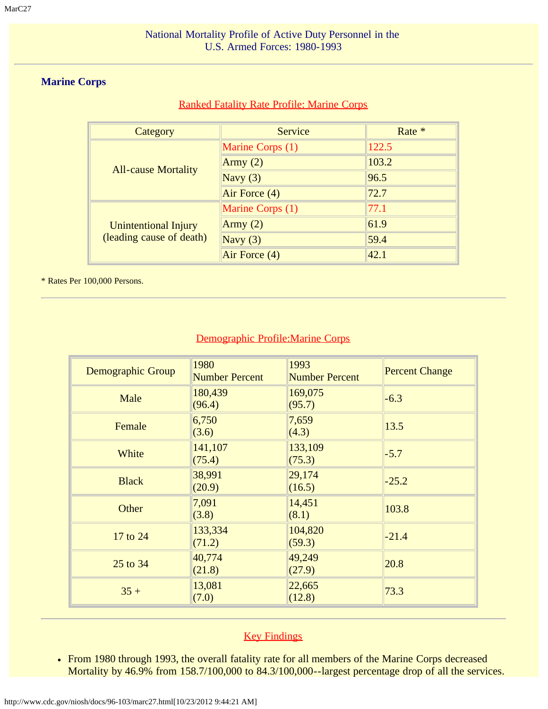# <span id="page-22-0"></span>**Marine Corps**

# Ranked Fatality Rate Profile: Marine Corps

| Category                                         | Service          | Rate * |
|--------------------------------------------------|------------------|--------|
| <b>All-cause Mortality</b>                       | Marine Corps (1) | 122.5  |
|                                                  | Army $(2)$       | 103.2  |
|                                                  | Navy $(3)$       | 96.5   |
|                                                  | Air Force (4)    | 72.7   |
| Unintentional Injury<br>(leading cause of death) | Marine Corps (1) | 77.1   |
|                                                  | Army $(2)$       | 61.9   |
|                                                  | Navy $(3)$       | 59.4   |
|                                                  | Air Force (4)    | 42.1   |

\* Rates Per 100,000 Persons.

# Demographic Profile:Marine Corps

| Demographic Group | 1980<br><b>Number Percent</b> | 1993<br><b>Number Percent</b> | <b>Percent Change</b> |
|-------------------|-------------------------------|-------------------------------|-----------------------|
| Male              | 180,439<br>(96.4)             | 169,075<br>(95.7)             | $-6.3$                |
| Female            | 6,750<br>(3.6)                | 7,659<br>(4.3)                | 13.5                  |
| White             | 141,107<br>(75.4)             | 133,109<br>(75.3)             | $-5.7$                |
| <b>Black</b>      | 38,991<br>(20.9)              | 29,174<br>(16.5)              | $-25.2$               |
| Other             | 7,091<br>(3.8)                | 14,451<br>(8.1)               | 103.8                 |
| 17 to 24          | 133,334<br>(71.2)             | 104,820<br>(59.3)             | $-21.4$               |
| 25 to 34          | 40,774<br>(21.8)              | 49,249<br>(27.9)              | 20.8                  |
| $35 +$            | 13,081<br>(7.0)               | 22,665<br>(12.8)              | 73.3                  |

# **Key Findings**

From 1980 through 1993, the overall fatality rate for all members of the Marine Corps decreased Mortality by 46.9% from 158.7/100,000 to 84.3/100,000--largest percentage drop of all the services.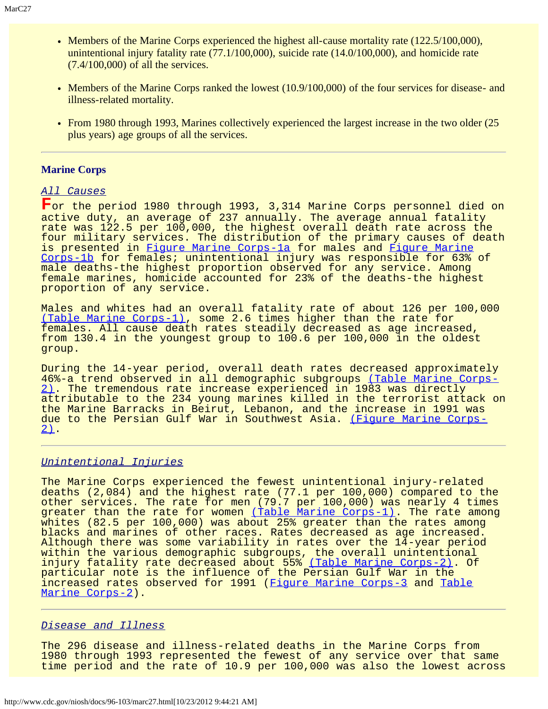- Members of the Marine Corps experienced the highest all-cause mortality rate (122.5/100,000), unintentional injury fatality rate (77.1/100,000), suicide rate (14.0/100,000), and homicide rate (7.4/100,000) of all the services.
- Members of the Marine Corps ranked the lowest (10.9/100,000) of the four services for disease- and illness-related mortality.
- From 1980 through 1993, Marines collectively experienced the largest increase in the two older (25) plus years) age groups of all the services.

### **Marine Corps**

### *All Causes*

**F**or the period 1980 through 1993, 3,314 Marine Corps personnel died on active duty, an average of 237 annually. The average annual fatality rate was 122.5 per 100,000, the highest overall death rate across the four military services. The distribution of the primary causes of death is presented in [Figure Marine Corps-1a](#page-56-0) for males and [Figure Marine](#page-57-0) [Corps-1b](#page-57-0) for females; unintentional injury was responsible for 63% of male deaths-the highest proportion observed for any service. Among female marines, homicide accounted for 23% of the deaths-the highest proportion of any service.

Males and whites had an overall fatality rate of about 126 per 100,000 [\(Table Marine Corps-1\)](#page-80-0), some 2.6 times higher than the rate for females. All cause death rates steadily decreased as age increased, from 130.4 in the youngest group to 100.6 per 100,000 in the oldest group.

During the 14-year period, overall death rates decreased approximately 46%-a trend observed in all demographic subgroups [\(Table Marine Corps-](#page-81-0)[2\)](#page-81-0). The tremendous rate increase experienced in 1983 was directly attributable to the 234 young marines killed in the terrorist attack on the Marine Barracks in Beirut, Lebanon, and the increase in 1991 was due to the Persian Gulf War in Southwest Asia. [\(Figure Marine Corps-](#page-58-0) $2)$ .

#### *Unintentional Injuries*

The Marine Corps experienced the fewest unintentional injury-related deaths (2,084) and the highest rate (77.1 per 100,000) compared to the other services. The rate for men (79.7 per 100,000) was nearly 4 times greater than the rate for women [\(Table Marine Corps-1\)](#page-80-0). The rate among whites (82.5 per 100,000) was about 25% greater than the rates among blacks and marines of other races. Rates decreased as age increased. Although there was some variability in rates over the  $14$ -year period within the various demographic subgroups, the overall unintentional injury fatality rate decreased about 55% [\(Table Marine Corps-2\)](#page-81-0). Of particular note is the influence of the Persian Gulf War in the increased rates observed for 1991 ([Figure Marine Corps-3](#page-59-0) and [Table](#page-81-0) [Marine Corps-2\)](#page-81-0).

#### *Disease and Illness*

The 296 disease and illness-related deaths in the Marine Corps from 1980 through 1993 represented the fewest of any service over that same time period and the rate of 10.9 per 100,000 was also the lowest across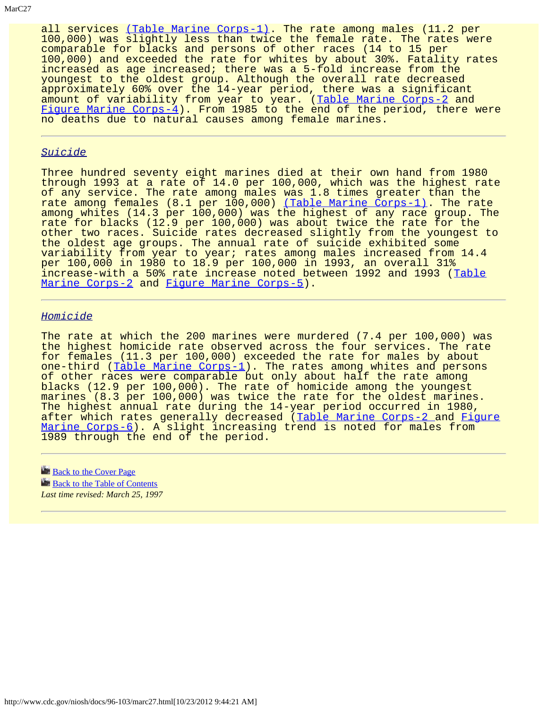all services [\(Table Marine Corps-1\).](#page-80-0) The rate among males (11.2 per 100,000) was slightly less than twice the female rate. The rates were comparable for blacks and persons of other races (14 to 15 per 100,000) and exceeded the rate for whites by about 30%. Fatality rates increased as age increased; there was a 5-fold increase from the youngest to the oldest group. Although the overall rate decreased approximately 60% over the 14-year period, there was a significant amount of variability from year to year. ([Table Marine Corps-2](#page-81-0) and [Figure Marine Corps-4\)](#page-60-0). From 1985 to the end of the period, there were no deaths due to natural causes among female marines.

### *Suicide*

Three hundred seventy eight marines died at their own hand from 1980 through 1993 at a rate of 14.0 per 100,000, which was the highest rate of any service. The rate among males was 1.8 times greater than the rate among females (8.1 per 100,000) [\(Table Marine Corps-1\)](#page-81-0). The rate among whites (14.3 per 100,000) was the highest of any race group. The rate for blacks (12.9 per 100,000) was about twice the rate for the other two races. Suicide rates decreased slightly from the youngest to the oldest age groups. The annual rate of suicide exhibited some variability from year to year; rates among males increased from 14.4 per 100,000 in 1980 to 18.9 per 100,000 in 1993, an overall 31% increase-with a 50% rate increase noted between 1992 and 1993 ([Table](#page-81-0) [Marine Corps-2](#page-81-0) and [Figure Marine Corps-5\)](#page-61-0).

### *Homicide*

The rate at which the 200 marines were murdered (7.4 per 100,000) was the highest homicide rate observed across the four services. The rate for females (11.3 per 100,000) exceeded the rate for males by about one-third ([Table Marine Corps-1](#page-80-0)). The rates among whites and persons of other races were comparable but only about half the rate among blacks (12.9 per 100,000). The rate of homicide among the youngest marines (8.3 per 100,000) was twice the rate for the oldest marines. The highest annual rate during the 14-year period occurred in 1980, after which rates generally decreased ([Table Marine Corps-2 a](#page-81-0)nd [Figure](#page-62-0) [Marine Corps-6\)](#page-62-0). A slight increasing trend is noted for males from 1989 through the end of the period.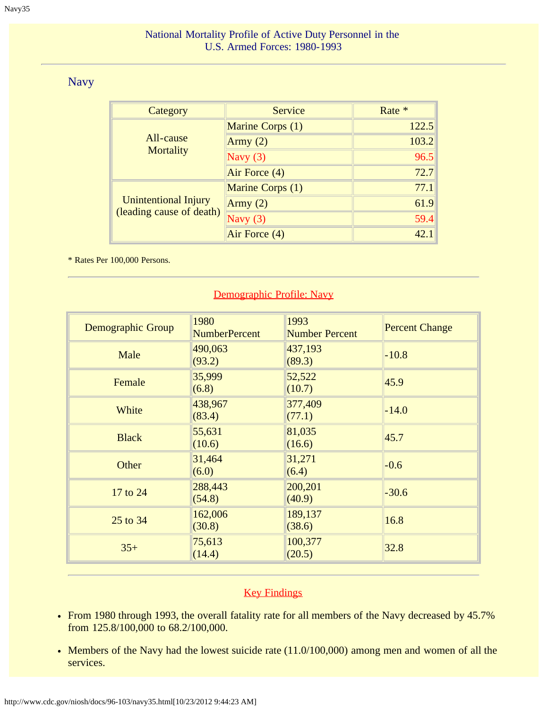# <span id="page-25-0"></span>Navy

| Category                                                | <b>Service</b>   | Rate * |
|---------------------------------------------------------|------------------|--------|
|                                                         | Marine Corps (1) | 122.5  |
| All-cause                                               | Army $(2)$       | 103.2  |
| <b>Mortality</b>                                        | Navy $(3)$       | 96.5   |
|                                                         | Air Force (4)    | 72.7   |
| <b>Unintentional Injury</b><br>(leading cause of death) | Marine Corps (1) | 77.1   |
|                                                         | Army $(2)$       | 61.9   |
|                                                         | Navy $(3)$       | 59.4   |
|                                                         | Air Force (4)    | 42.    |

\* Rates Per 100,000 Persons.

# Demographic Profile: Navy

| Demographic Group | 1980<br><b>NumberPercent</b> | 1993<br><b>Number Percent</b> | <b>Percent Change</b> |
|-------------------|------------------------------|-------------------------------|-----------------------|
| Male              | 490,063<br>(93.2)            | 437,193<br>(89.3)             | $-10.8$               |
| Female            | 35,999<br>(6.8)              | 52,522<br>(10.7)              | 45.9                  |
| White             | 438,967<br>(83.4)            | 377,409<br>(77.1)             | $-14.0$               |
| <b>Black</b>      | 55,631<br>(10.6)             | 81,035<br>(16.6)              | 45.7                  |
| Other             | 31,464<br>(6.0)              | 31,271<br>(6.4)               | $-0.6$                |
| 17 to 24          | 288,443<br>(54.8)            | 200,201<br>(40.9)             | $-30.6$               |
| 25 to 34          | 162,006<br>(30.8)            | 189,137<br>(38.6)             | 16.8                  |
| $35+$             | 75,613<br>(14.4)             | 100,377<br>(20.5)             | 32.8                  |

# **Key Findings**

- From 1980 through 1993, the overall fatality rate for all members of the Navy decreased by 45.7% from 125.8/100,000 to 68.2/100,000.
- Members of the Navy had the lowest suicide rate (11.0/100,000) among men and women of all the services.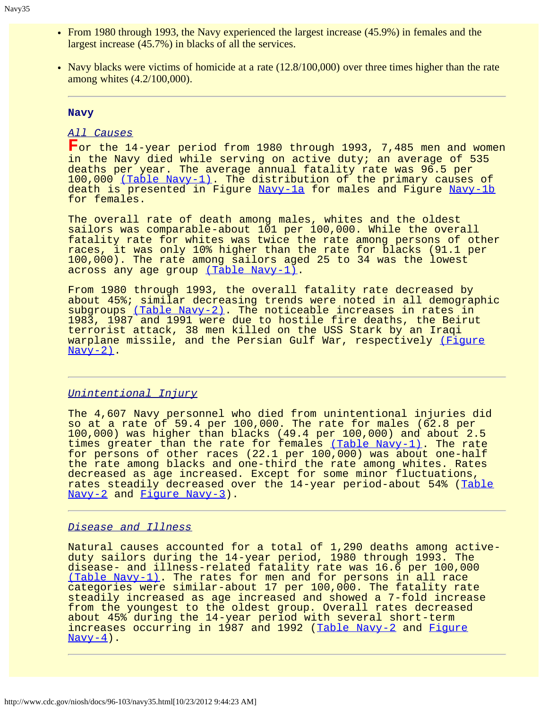- From 1980 through 1993, the Navy experienced the largest increase (45.9%) in females and the largest increase (45.7%) in blacks of all the services.
- Navy blacks were victims of homicide at a rate (12.8/100,000) over three times higher than the rate among whites (4.2/100,000).

### **Navy**

### *All Causes*

**F**or the 14-year period from 1980 through 1993, 7,485 men and women in the Navy died while serving on active duty; an average of 535 deaths per year. The average annual fatality rate was 96.5 per 100,000 [\(Table Navy-1\).](#page-83-0) The distribution of the primary causes of death is presented in Figure [Navy-1a](#page-63-0) for males and Figure [Navy-1b](#page-64-0) for females.

The overall rate of death among males, whites and the oldest sailors was comparable-about 101 per 100,000. While the overall fatality rate for whites was twice the rate among persons of other races, it was only 10% higher than the rate for blacks (91.1 per 100,000). The rate among sailors aged 25 to 34 was the lowest across any age group [\(Table Navy-1\).](#page-83-0)

From 1980 through 1993, the overall fatality rate decreased by about 45%; similar decreasing trends were noted in all demographic subgroups [\(Table Navy-2\).](#page-84-0) The noticeable increases in rates in 1983, 1987 and 1991 were due to hostile fire deaths, the Beirut terrorist attack, 38 men killed on the USS Stark by an Iraqi warplane missile, and the Persian Gulf War, respectively [\(Figure](#page-65-0)  $N$ avy-2).

### *Unintentional Injury*

The 4,607 Navy personnel who died from unintentional injuries did so at a rate of 59.4 per 100,000. The rate for males (62.8 per 100,000) was higher than blacks (49.4 per 100,000) and about 2.5 times greater than the rate for females [\(Table Navy-1\)](#page-83-0). The rate for persons of other races (22.1 per 100,000) was about one-half the rate among blacks and one-third the rate among whites. Rates decreased as age increased. Except for some minor fluctuations, rates steadily decreased over the 14-year period-about 54% ([Table](#page-84-0) [Navy-2](#page-84-0) and [Figure Navy-3](#page-66-0)).

### *Disease and Illness*

Natural causes accounted for a total of 1,290 deaths among activeduty sailors during the 14-year period, 1980 through 1993. The disease- and illness-related fatality rate was 16.6 per 100,000 [\(Table Navy-1\).](#page-83-0) The rates for men and for persons in all race categories were similar-about 17 per 100,000. The fatality rate steadily increased as age increased and showed a 7-fold increase from the youngest to the oldest group. Overall rates decreased about 45% during the 14-year period with several short-term increases occurring in 1987 and 1992 ([Table Navy-2](#page-84-0) and [Figure](#page-67-0)  $\frac{\text{Navy}-4}{\text{Nary}-4}$ .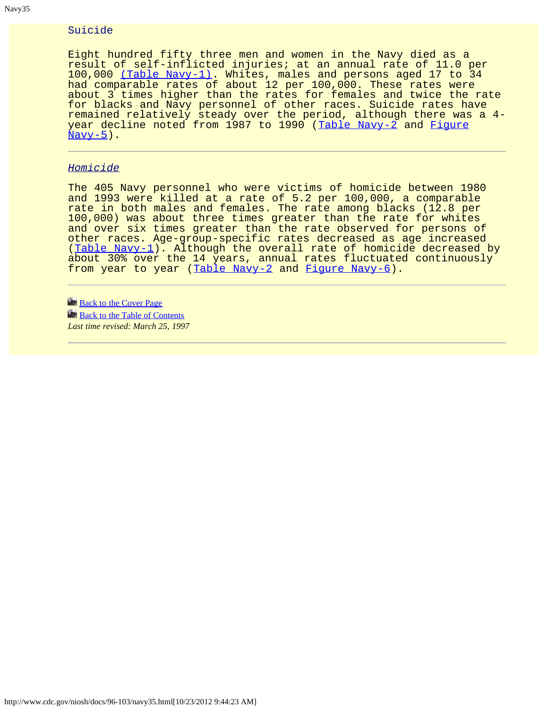### Suicide

Eight hundred fifty three men and women in the Navy died as a result of self-inflicted injuries; at an annual rate of 11.0 per 100,000 [\(Table Navy-1\).](#page-83-0) Whites, males and persons aged 17 to 34 had comparable rates of about 12 per 100,000. These rates were about 3 times higher than the rates for females and twice the rate for blacks and Navy personnel of other races. Suicide rates have remained relatively steady over the period, although there was a 4- year decline noted from 1987 to 1990 ([Table Navy-2](#page-84-0) and [Figure](#page-68-0)  $Navy-5$ ).

### *Homicide*

The 405 Navy personnel who were victims of homicide between 1980 and 1993 were killed at a rate of 5.2 per 100,000, a comparable rate in both males and females. The rate among blacks (12.8 per 100,000) was about three times greater than the rate for whites and over six times greater than the rate observed for persons of other races. Age-group-specific rates decreased as age increased ([Table Navy-1\)](#page-83-0). Although the overall rate of homicide decreased by about 30% over the 14 years, annual rates fluctuated continuously from year to year ([Table Navy-2](#page-84-0) and [Figure Navy-6\)](#page-69-0).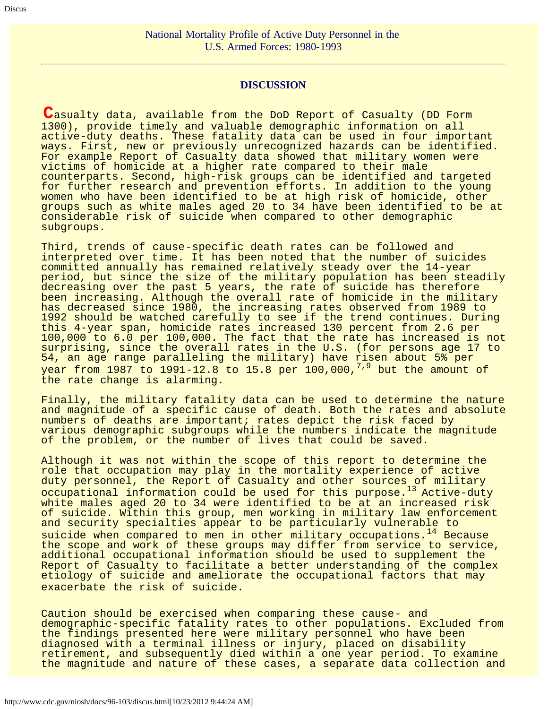### **DISCUSSION**

<span id="page-28-0"></span>**C**asualty data, available from the DoD Report of Casualty (DD Form 1300), provide timely and valuable demographic information on all active-duty deaths. These fatality data can be used in four important ways. First, new or previously unrecognized hazards can be identified. For example Report of Casualty data showed that military women were victims of homicide at a higher rate compared to their male counterparts. Second, high-risk groups can be identified and targeted for further research and prevention efforts. In addition to the young women who have been identified to be at high risk of homicide, other groups such as white males aged 20 to 34 have been identified to be at considerable risk of suicide when compared to other demographic subgroups.

Third, trends of cause-specific death rates can be followed and interpreted over time. It has been noted that the number of suicides committed annually has remained relatively steady over the 14-year period, but since the size of the military population has been steadily decreasing over the past 5 years, the rate of suicide has therefore been increasing. Although the overall rate of homicide in the military has decreased since 1980, the increasing rates observed from 1989 to 1992 should be watched carefully to see if the trend continues. During this 4-year span, homicide rates increased 130 percent from 2.6 per 100,000 to 6.0 per 100,000. The fact that the rate has increased is not surprising, since the overall rates in the U.S. (for persons age 17 to 54, an age range paralleling the military) have risen about 5% per year from 1987 to 1991-12.8 to 15.8 per 100,000, $^{7,9}$  but the amount of the rate change is alarming.

Finally, the military fatality data can be used to determine the nature and magnitude of a specific cause of death. Both the rates and absolute numbers of deaths are important; rates depict the risk faced by various demographic subgroups while the numbers indicate the magnitude of the problem, or the number of lives that could be saved.

Although it was not within the scope of this report to determine the role that occupation may play in the mortality experience of active duty personnel, the Report of Casualty and other sources<sub>.</sub>of military occupational information could be used for this purpose.<sup>13</sup> Active-duty white males aged 20 to 34 were identified to be at an increased risk of suicide. Within this group, men working in military law enforcement and security specialties appear to be particularly vulnerable to suicide when compared to men in other military occupations.<sup>14</sup> Because the scope and work of these groups may differ from service to service, additional occupational information should be used to supplement the Report of Casualty to facilitate a better understanding of the complex etiology of suicide and ameliorate the occupational factors that may exacerbate the risk of suicide.

Caution should be exercised when comparing these cause- and demographic-specific fatality rates to other populations. Excluded from the findings presented here were military personnel who have been diagnosed with a terminal illness or injury, placed on disability retirement, and subsequently died within a one year period. To examine the magnitude and nature of these cases, a separate data collection and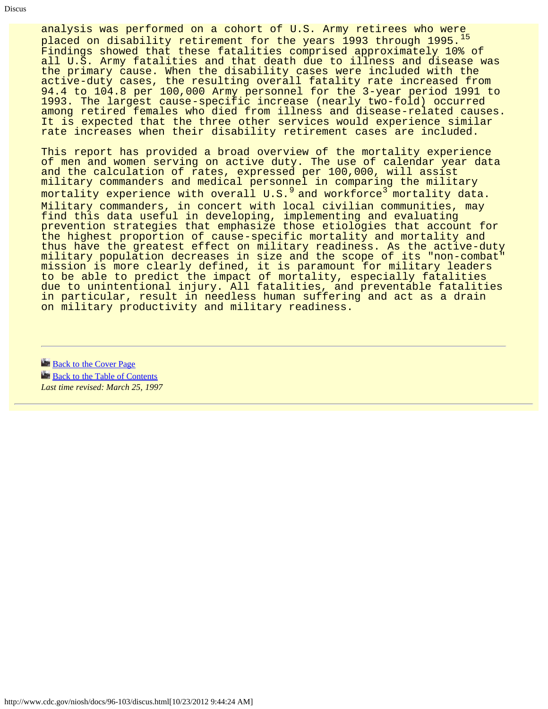analysis was performed on a cohort of U.S. Army retirees who were placed on disability retirement for the years 1993 through 1995.<sup>15</sup> Findings showed that these fatalities comprised approximately 10% of all U.S. Army fatalities and that death due to illness and disease was the primary cause. When the disability cases were included with the active-duty cases, the resulting overall fatality rate increased from 94.4 to 104.8 per 100,000 Army personnel for the 3-year period 1991 to 1993. The largest cause-specific increase (nearly two-fold) occurred among retired females who died from illness and disease-related causes. It is expected that the three other services would experience similar rate increases when their disability retirement cases are included.

This report has provided a broad overview of the mortality experience of men and women serving on active duty. The use of calendar year data and the calculation of rates, expressed per 100,000, will assist military commanders and medical personnel in comparing the military mortality experience with overall  $U.S.^9$  and workforce<sup>3</sup> mortality data. Military commanders, in concert with local civilian communities, may find this data useful in developing, implementing and evaluating prevention strategies that emphasize those etiologies that account for the highest proportion of cause-specific mortality and mortality and thus have the greatest effect on military readiness. As the active-duty military population decreases in size and the scope of its "non-combat" mission is more clearly defined, it is paramount for military leaders to be able to predict the impact of mortality, especially fatalities due to unintentional injury. All fatalities, and preventable fatalities in particular, result in needless human suffering and act as a drain on military productivity and military readiness.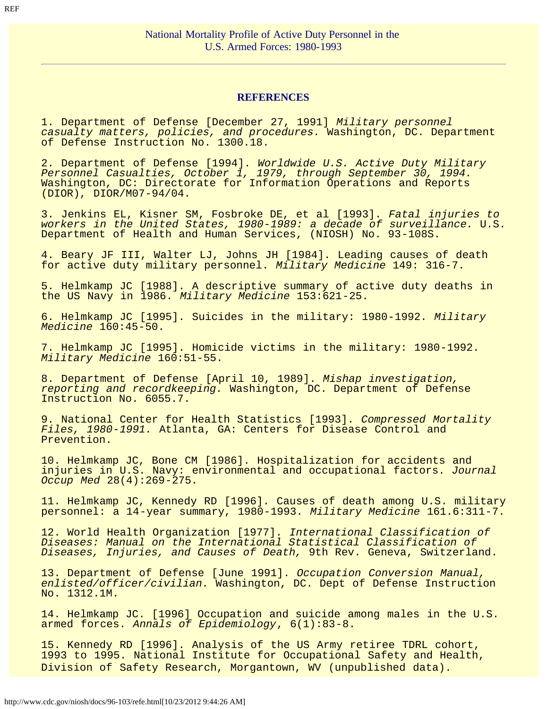### **REFERENCES**

<span id="page-30-0"></span>1. Department of Defense [December 27, 1991] *Military personnel casualty matters, policies, and procedures.* Washington, DC. Department of Defense Instruction No. 1300.18.

2. Department of Defense [1994]. *Worldwide U.S. Active Duty Military Personnel Casualties, October 1, 1979, through September 30, 1994.* Washington, DC: Directorate for Information Operations and Reports (DIOR), DIOR/M07-94/04.

3. Jenkins EL, Kisner SM, Fosbroke DE, et al [1993]. *Fatal injuries to workers in the United States, 1980-1989: a decade of surveillance.* U.S. Department of Health and Human Services, (NIOSH) No. 93-108S.

4. Beary JF III, Walter LJ, Johns JH [1984]. Leading causes of death for active duty military personnel. *Military Medicine* 149: 316-7.

5. Helmkamp JC [1988]. A descriptive summary of active duty deaths in the US Navy in 1986. *Military Medicine* 153:621-25.

6. Helmkamp JC [1995]. Suicides in the military: 1980-1992. *Military Medicine* 160:45-50.

7. Helmkamp JC [1995]. Homicide victims in the military: 1980-1992. *Military Medicine* 160:51-55.

8. Department of Defense [April 10, 1989]. *Mishap investigation, reporting and recordkeeping.* Washington, DC. Department of Defense Instruction No. 6055.7.

9. National Center for Health Statistics [1993]. *Compressed Mortality Files, 1980-1991.* Atlanta, GA: Centers for Disease Control and Prevention.

10. Helmkamp JC, Bone CM [1986]. Hospitalization for accidents and injuries in U.S. Navy: environmental and occupational factors. *Journal Occup Med* 28(4):269-275.

11. Helmkamp JC, Kennedy RD [1996]. Causes of death among U.S. military personnel: a 14-year summary, 1980-1993. *Military Medicine* 161.6:311-7.

12. World Health Organization [1977]. *International Classification of Diseases: Manual on the International Statistical Classification of Diseases, Injuries, and Causes of Death,* 9th Rev. Geneva, Switzerland.

13. Department of Defense [June 1991]. *Occupation Conversion Manual, enlisted/officer/civilian.* Washington, DC. Dept of Defense Instruction No. 1312.1M.

14. Helmkamp JC. [1996] Occupation and suicide among males in the U.S. armed forces. *Annals of Epidemiology*, 6(1):83-8.

15. Kennedy RD [1996]. Analysis of the US Army retiree TDRL cohort, 1993 to 1995. National Institute for Occupational Safety and Health, Division of Safety Research, Morgantown, WV (unpublished data).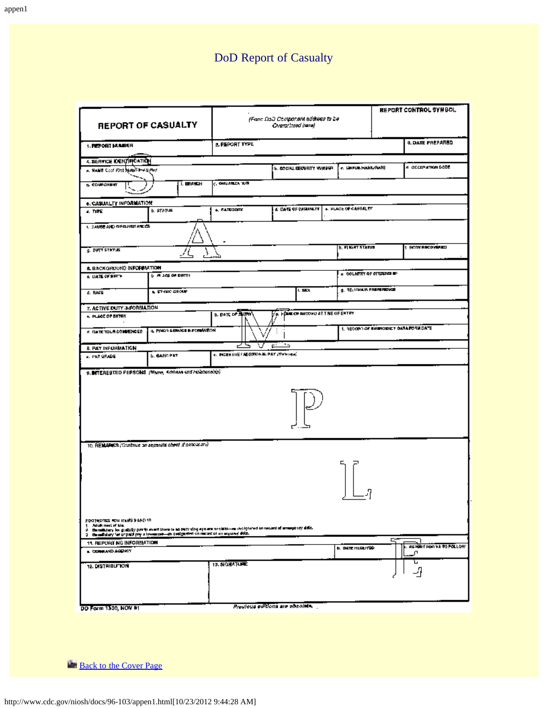# DoD Report of Casualty

<span id="page-32-0"></span>

| <b>REPORT OF CASUALTY</b>                                                                                                            |                             |                                                                                                                        | REPORT CONTROL SYMBOL<br>(Foot DaD Component address to be<br>Overprinted barel |                                           |   |                         |
|--------------------------------------------------------------------------------------------------------------------------------------|-----------------------------|------------------------------------------------------------------------------------------------------------------------|---------------------------------------------------------------------------------|-------------------------------------------|---|-------------------------|
| 1. PEPORT MUMBER                                                                                                                     |                             | 2. PEPORT TYPE                                                                                                         |                                                                                 |                                           |   | <b>8. DATE PRÉPARED</b> |
| 4. BERVICE IDENTIFICATION                                                                                                            |                             |                                                                                                                        |                                                                                 |                                           |   |                         |
| A. HANE Cool Fire MADS INVESTIG                                                                                                      |                             |                                                                                                                        | <b>6. SOCIAL SECURITY VUMPER</b>                                                | c. IZHPIZE/NAHK/RATE                      |   | 5363 MORTMAND OF H      |
| <b>6. COMPONENT</b>                                                                                                                  | I. BRANCH                   | C. ORGANIZA 'KIN                                                                                                       |                                                                                 |                                           |   |                         |
| <b>6. CASUALTY INFORMATION</b>                                                                                                       |                             |                                                                                                                        |                                                                                 |                                           |   |                         |
| 4. TIPE                                                                                                                              | <b>b. STATIS</b>            | <b>A. CATEGORY</b>                                                                                                     | <b>4 DATE OF CASAMLTE</b>                                                       | <b>K. PLACE OF CASUALTY</b>               |   |                         |
| 1. SAME AND SPELVER ARE CO.                                                                                                          |                             | ٠                                                                                                                      |                                                                                 |                                           |   |                         |
| g. DVTT STATUS                                                                                                                       |                             |                                                                                                                        |                                                                                 | h. FIRSHT STATIST                         |   | 1 RCDYRICDYRIO          |
| <b>6. BACKGROUND INFORMATION</b>                                                                                                     |                             |                                                                                                                        |                                                                                 |                                           |   |                         |
| <b>A DATE OF RETH</b>                                                                                                                | <b>L. A. Sep of DRTH</b>    |                                                                                                                        |                                                                                 | $\alpha$ column of emports $\blacksquare$ |   |                         |
| d. RACE                                                                                                                              | <b>N. ETHING GROUP</b>      |                                                                                                                        | 1.5001                                                                          | g. RELIGIOUS PREPERDINGE                  |   |                         |
| 7. ACTIVE DUTY INFORMATION                                                                                                           |                             |                                                                                                                        |                                                                                 |                                           |   |                         |
| A PLIGE OF BITTEY                                                                                                                    |                             | <b>b. Dolt of Burns</b>                                                                                                | A POWER RECORD AT THE OF ENTRY                                                  |                                           |   |                         |
| <b>N DATE TOUR COMMENCED</b>                                                                                                         | a. Processional a remainded |                                                                                                                        |                                                                                 | 1. RECORD OF IMPRODUCT ON A FORM DATE.    |   |                         |
| <b>B. PAY INFORMATION</b>                                                                                                            |                             | ਟਿਤ<br>v                                                                                                               |                                                                                 |                                           |   |                         |
| c. PRY SPADE                                                                                                                         | <b>L. BASK PAT</b>          | <b>c. INGENTIVE CADDITIONAL PAY (TWN 1926)</b>                                                                         |                                                                                 |                                           |   |                         |
| 9. INTERESTED PERSONS (Ware, 4/Wass and Holdbanship)                                                                                 |                             |                                                                                                                        |                                                                                 |                                           |   |                         |
| 10. REMARKS (Continue an assamile cheef of necessary)                                                                                |                             |                                                                                                                        |                                                                                 |                                           |   |                         |
|                                                                                                                                      |                             |                                                                                                                        |                                                                                 |                                           |   |                         |
| FROTHOTES FOR ITEMS 9 AND 10<br>Adult neet of the<br>3 Beauticiday for unpaid pay a lower can delighted on means of an argume detail |                             | 9 Enrollidary for graduly per in avant them to be buty virging a man or child-respective on record of amagement dista. |                                                                                 |                                           |   |                         |
| 11. REPORT NG INFORMATION<br><b>A COMMUNIO AGENCY</b>                                                                                |                             |                                                                                                                        |                                                                                 | <b>b. DATE HERE!YED</b>                   | с | REPORT FOR VA TO FOLLOW |
| 12. DISTRIBUTION                                                                                                                     |                             | 13. SIGHATURE                                                                                                          |                                                                                 |                                           |   | л<br>L                  |
| DD Form 1300, NOV 91                                                                                                                 |                             |                                                                                                                        | Previews editions are obsolete.                                                 |                                           |   |                         |

**[Back to the Cover Page](#page-35-0)**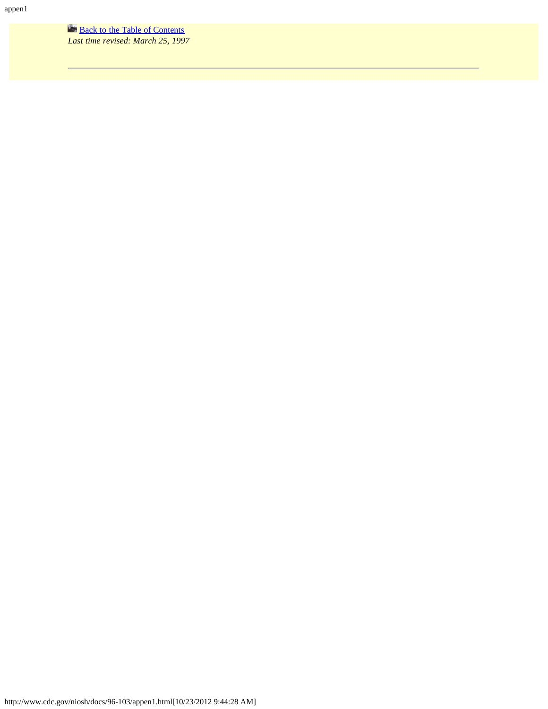**[Back to the Table of Contents](#page-0-0)** *Last time revised: March 25, 1997*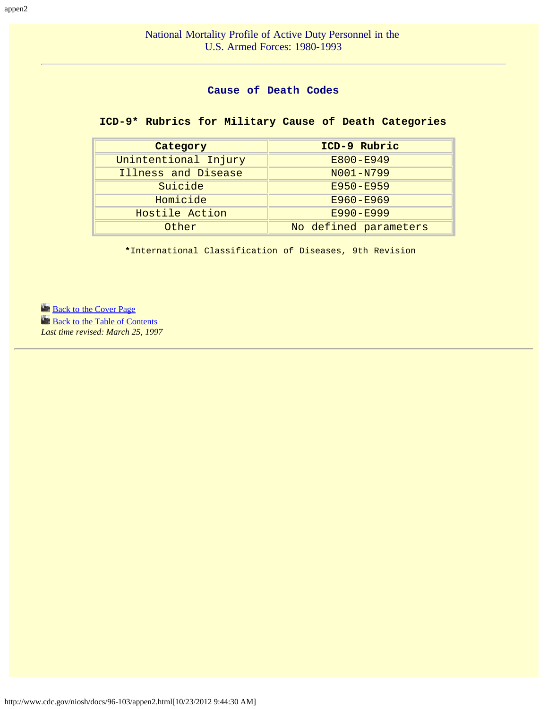## **Cause of Death Codes**

# <span id="page-34-0"></span>**ICD-9\* Rubrics for Military Cause of Death Categories**

| Category             | ICD-9 Rubric          |  |  |
|----------------------|-----------------------|--|--|
| Unintentional Injury | E800-E949             |  |  |
| Illness and Disease  | N001-N799             |  |  |
| Suicide              | E950-E959             |  |  |
| Homicide             | E960-E969             |  |  |
| Hostile Action       | E990-E999             |  |  |
| Other                | No defined parameters |  |  |

**\***International Classification of Diseases, 9th Revision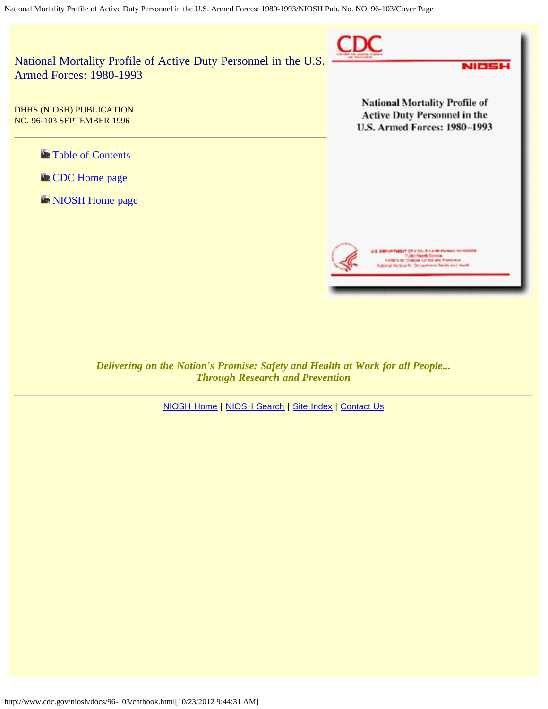<span id="page-35-0"></span>

*Delivering on the Nation's Promise: Safety and Health at Work for all People... Through Research and Prevention*

[NIOSH Home](http://www.cdc.gov/niosh/) | [NIOSH Search](http://www.cdc.gov/niosh/srchpage.html) | [Site Index](http://www.cdc.gov/niosh/siteindx.html) | [Contact Us](http://www.cdc.gov/niosh/cntc_ni1.html)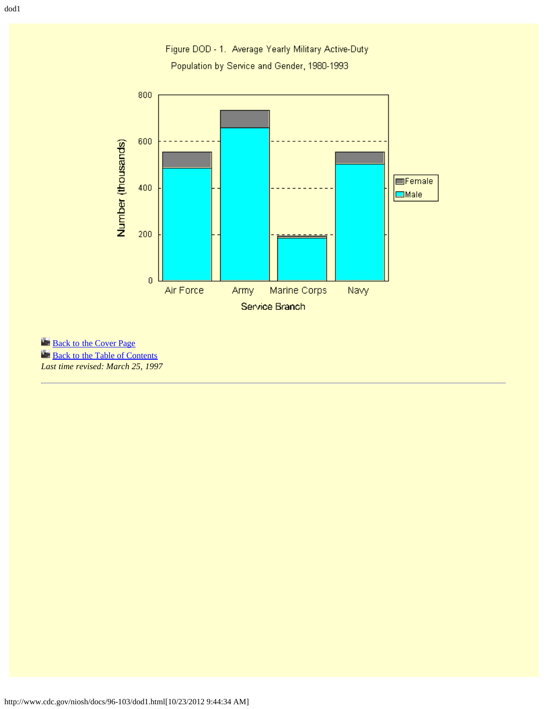Figure DOD - 1. Average Yearly Military Active-Duty Population by Service and Gender, 1980-1993

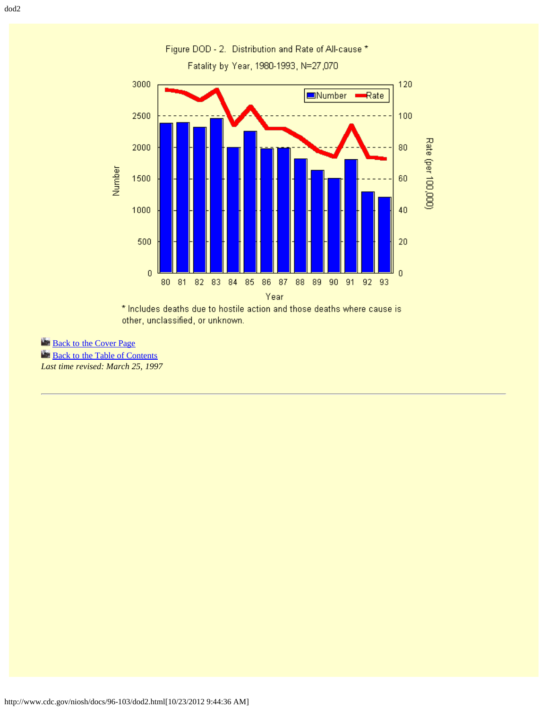

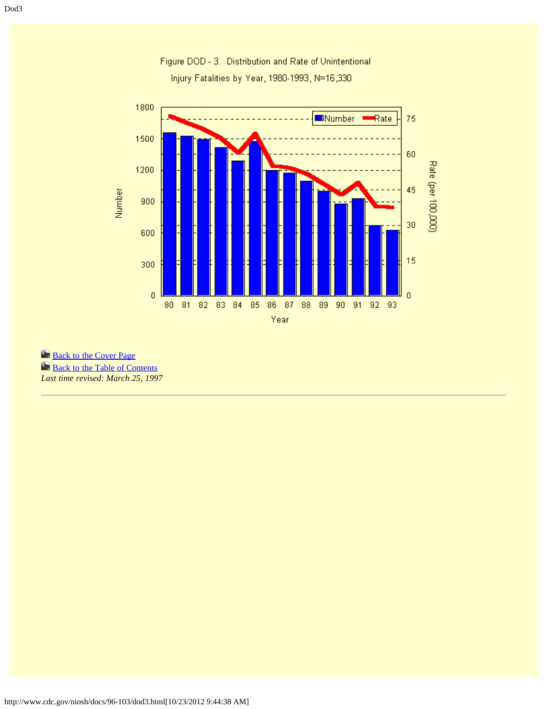

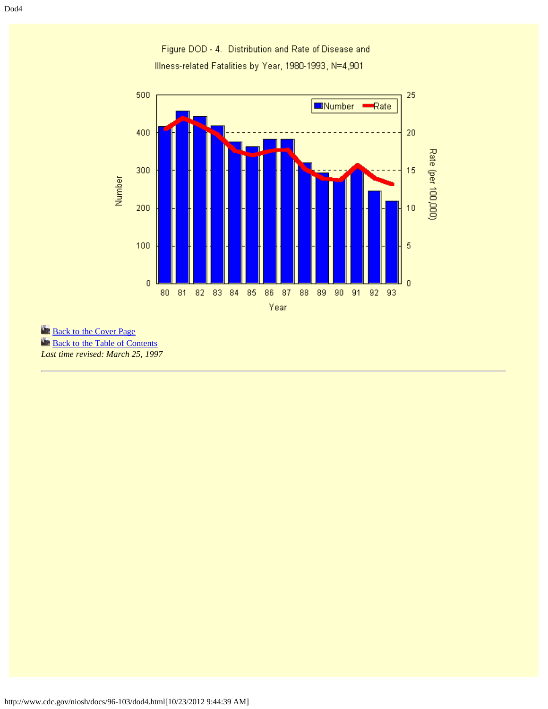Figure DOD - 4. Distribution and Rate of Disease and Illness-related Fatalities by Year, 1980-1993, N=4,901

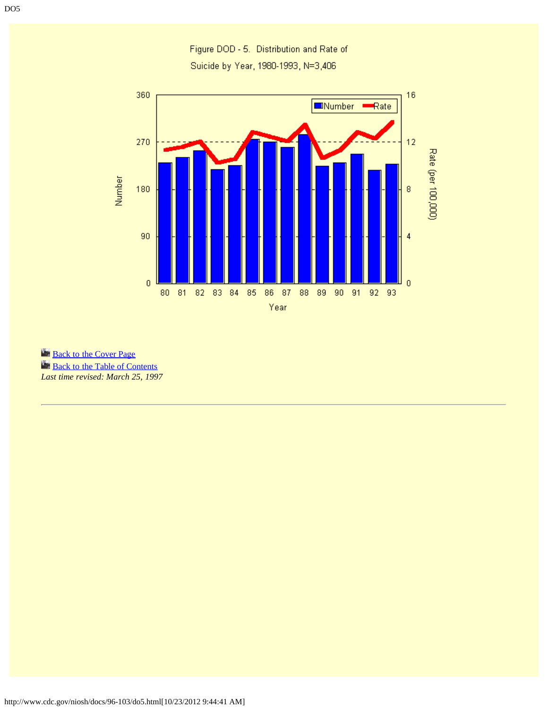Figure DOD - 5. Distribution and Rate of Suicide by Year, 1980-1993, N=3,406

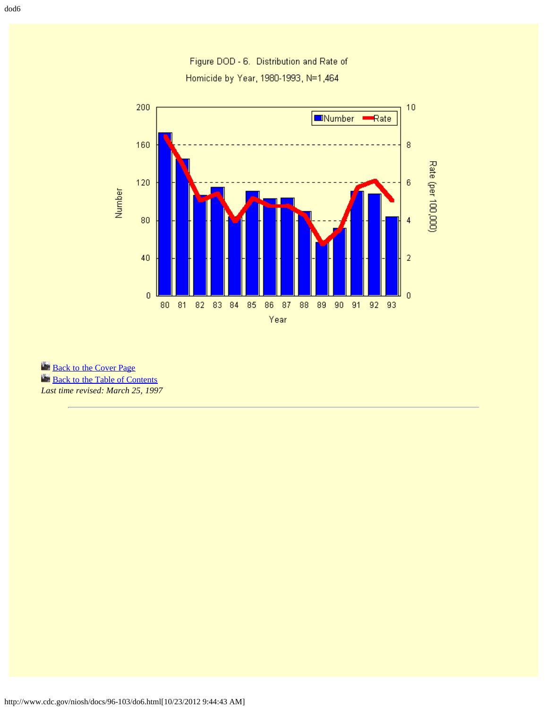Figure DOD - 6. Distribution and Rate of Homicide by Year, 1980-1993, N=1,464



**[Back to the Cover Page](#page-35-0)** 

**[Back to the Table of Contents](#page-0-0)** 

*Last time revised: March 25, 1997*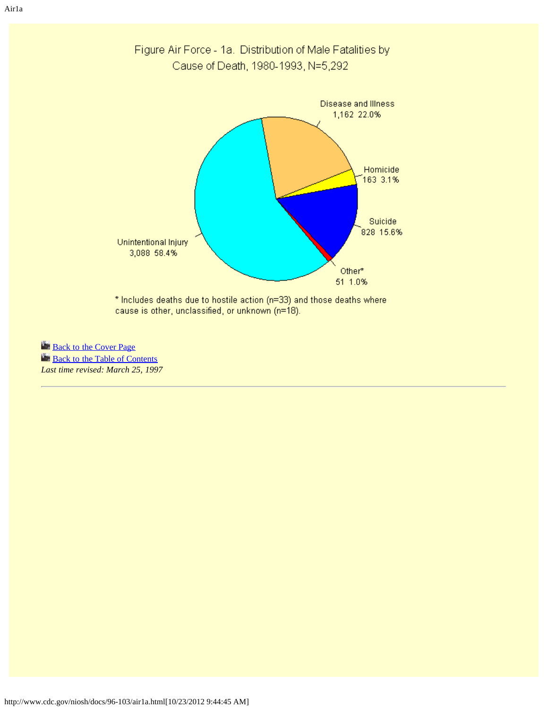

Figure Air Force - 1a. Distribution of Male Fatalities by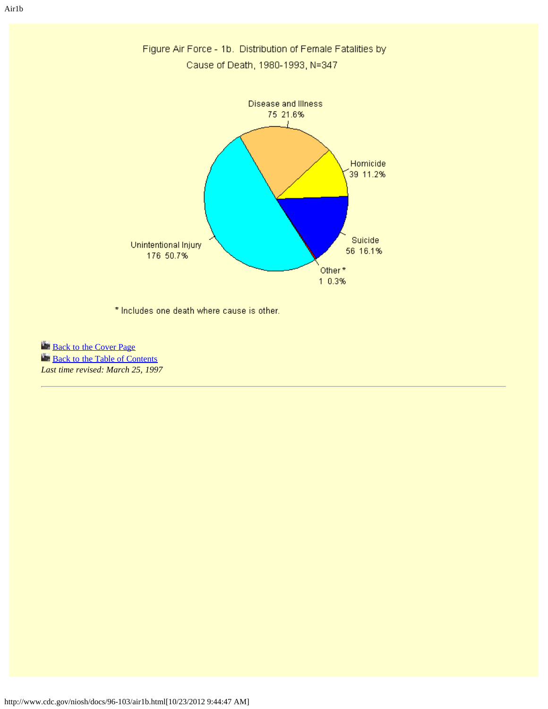

Figure Air Force - 1b. Distribution of Female Fatalities by Cause of Death, 1980-1993, N=347

\* Includes one death where cause is other.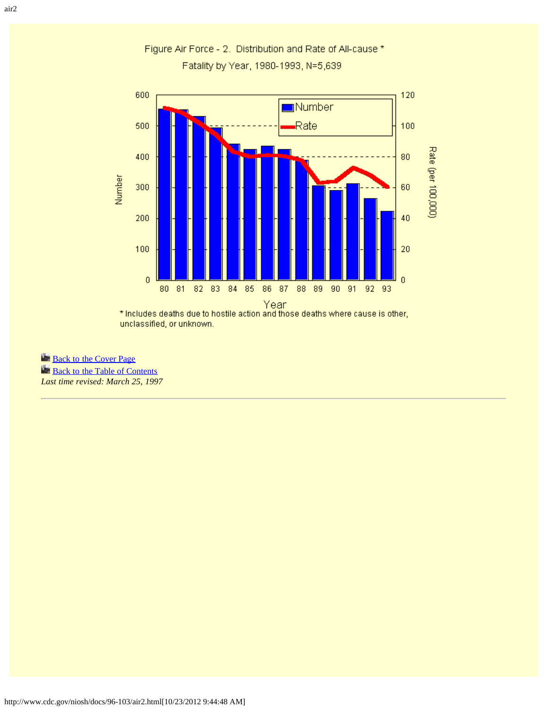

Figure Air Force - 2. Distribution and Rate of All-cause \* Fatality by Year, 1980-1993, N=5,639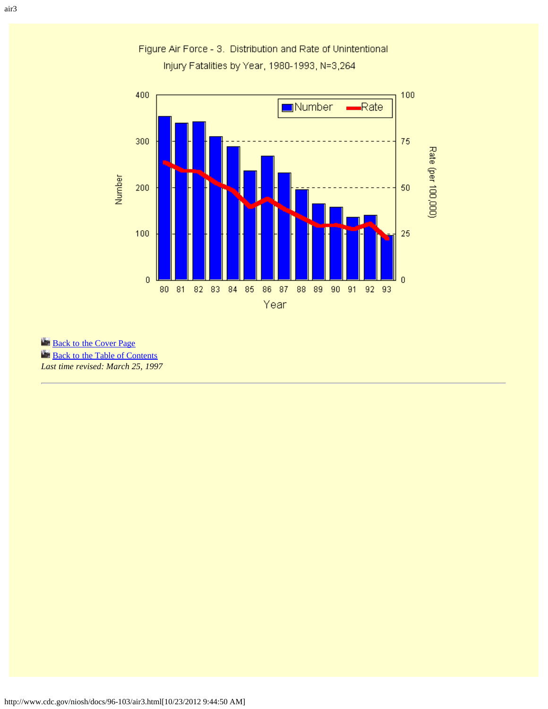

Figure Air Force - 3. Distribution and Rate of Unintentional Injury Fatalities by Year, 1980-1993, N=3,264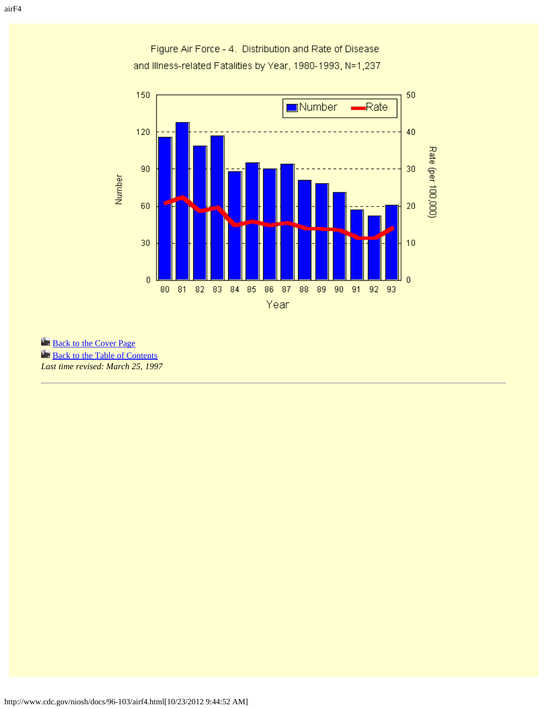

Figure Air Force - 4. Distribution and Rate of Disease and Illness-related Fatalities by Year, 1980-1993, N=1,237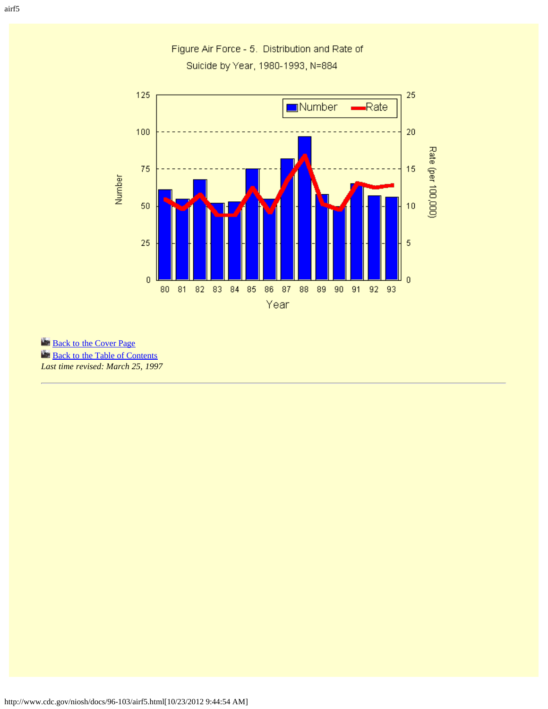

Figure Air Force - 5. Distribution and Rate of Suicide by Year, 1980-1993, N=884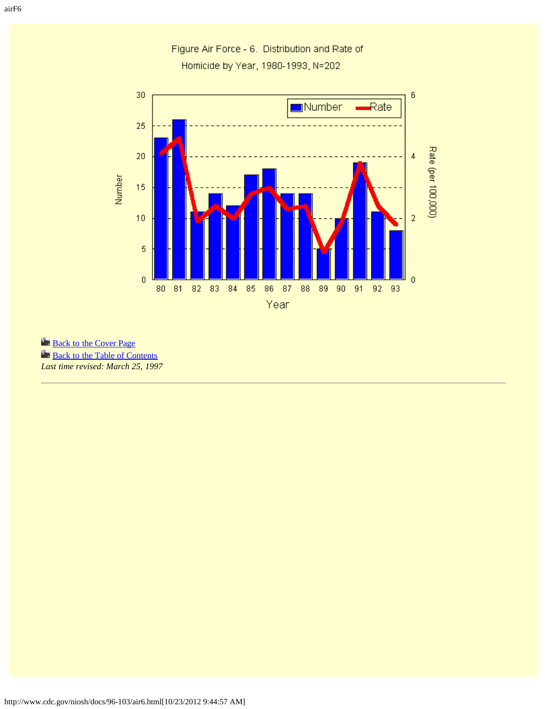30  $\mathbf 6$  $\blacksquare$ Rate  $\blacksquare$ Number 25 Rate (per 100,000) 20  $\overline{4}$ Number 15  $\overline{a}$  $10$  $\sqrt{5}$  $\mathbf 0$  $\overline{0}$ 90 91 92 93 80 81 82 83 84 85 86 87 88 89 Year

Figure Air Force - 6. Distribution and Rate of Homicide by Year, 1980-1993, N=202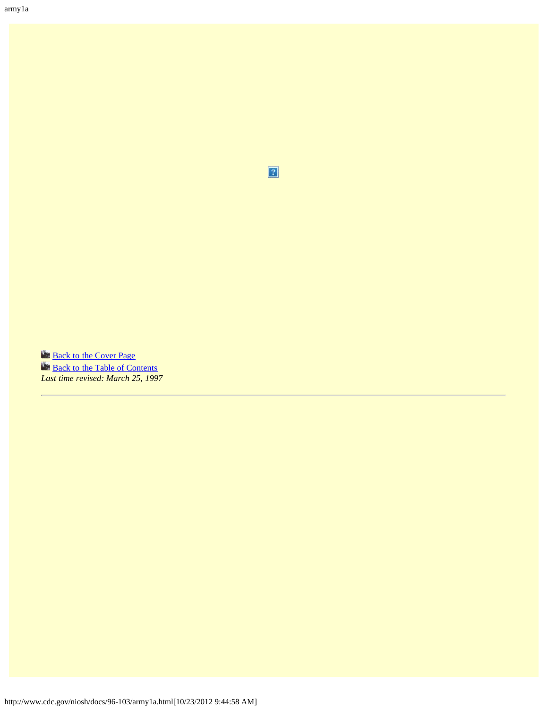$\overline{2}$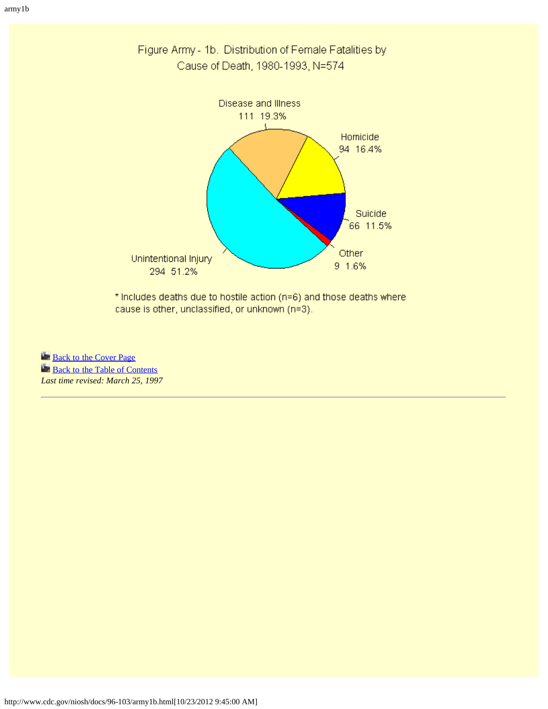

Figure Army - 1b. Distribution of Female Fatalities by Cause of Death, 1980-1993, N=574

\* Includes deaths due to hostile action (n=6) and those deaths where cause is other, unclassified, or unknown (n=3).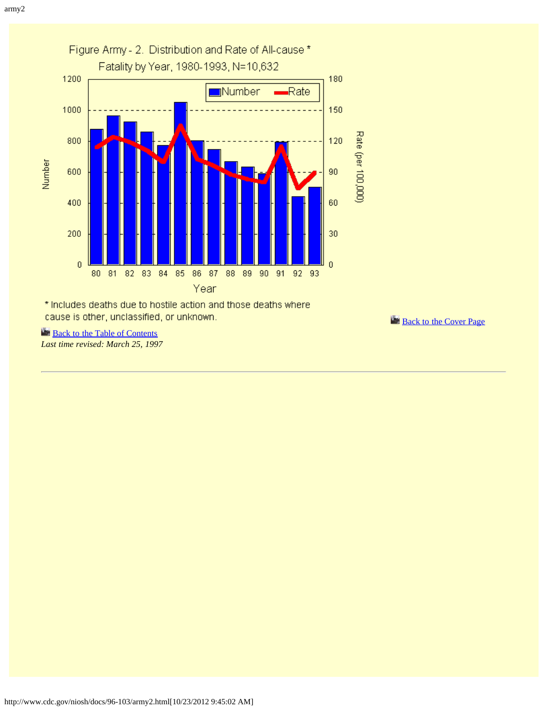

**[Back to the Table of Contents](#page-0-0)** *Last time revised: March 25, 1997* **[Back to the Cover Page](#page-35-0)**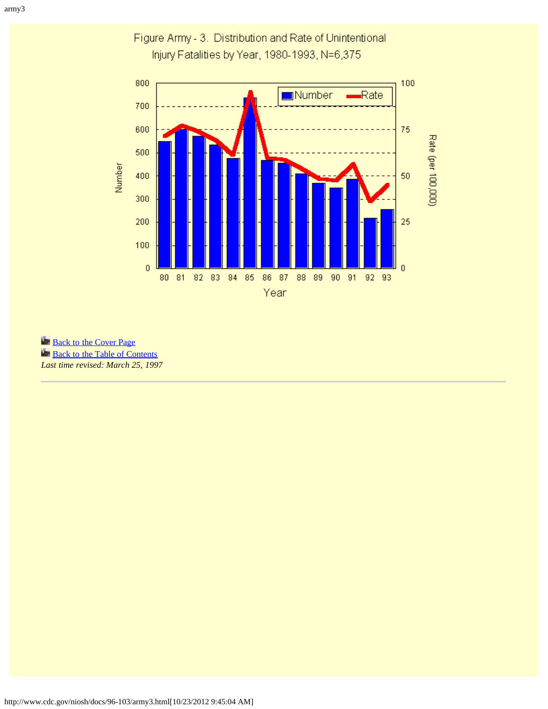army3



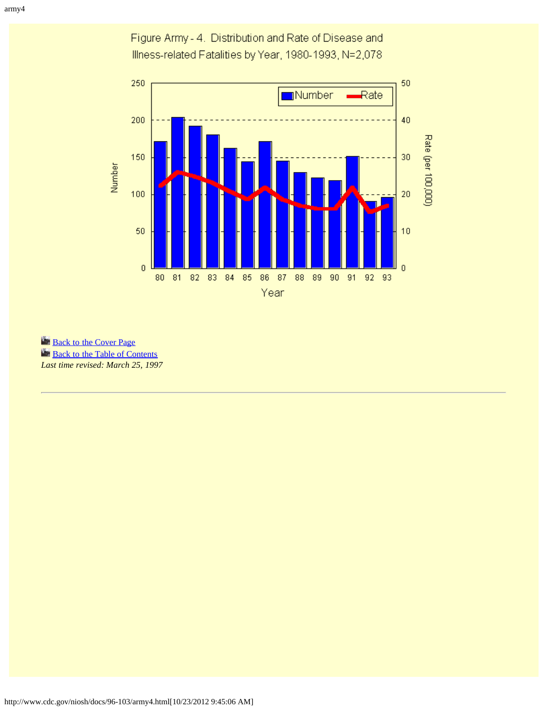Figure Army - 4. Distribution and Rate of Disease and Illness-related Fatalities by Year, 1980-1993, N=2,078

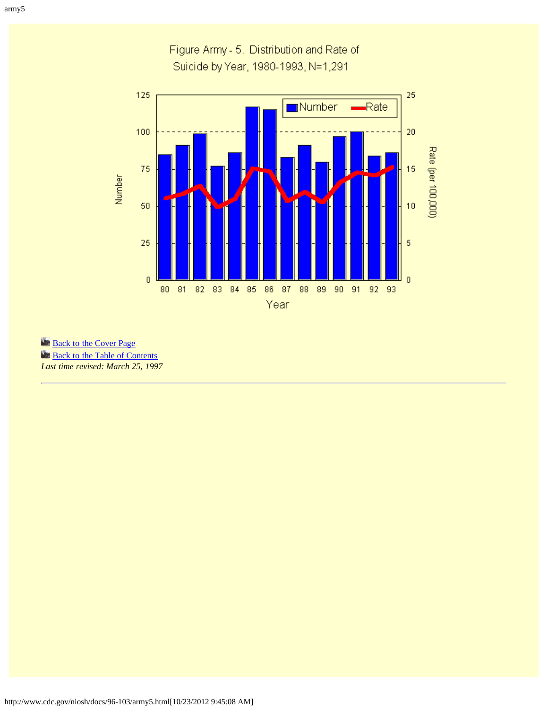## Figure Army - 5. Distribution and Rate of Suicide by Year, 1980-1993, N=1,291

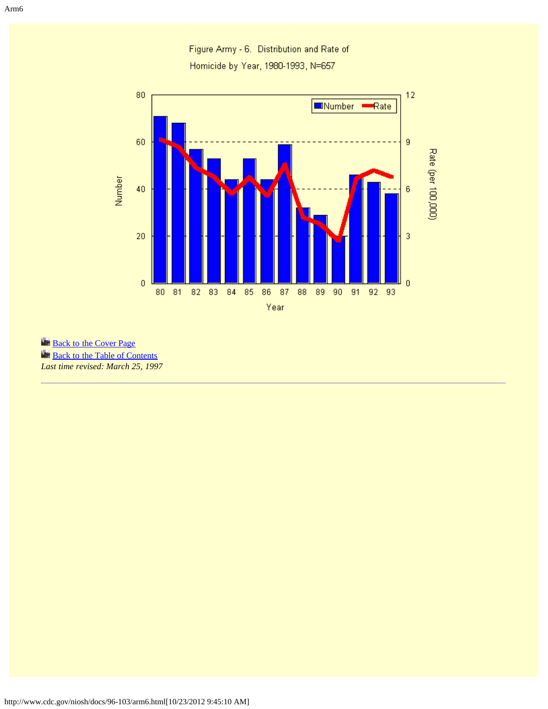

Figure Army - 6. Distribution and Rate of Homicide by Year, 1980-1993, N=657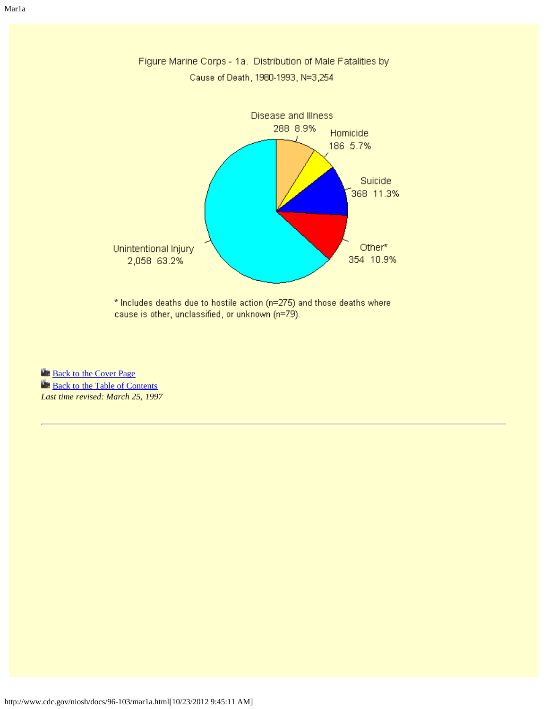

\* Includes deaths due to hostile action (n=275) and those deaths where cause is other, unclassified, or unknown (n=79).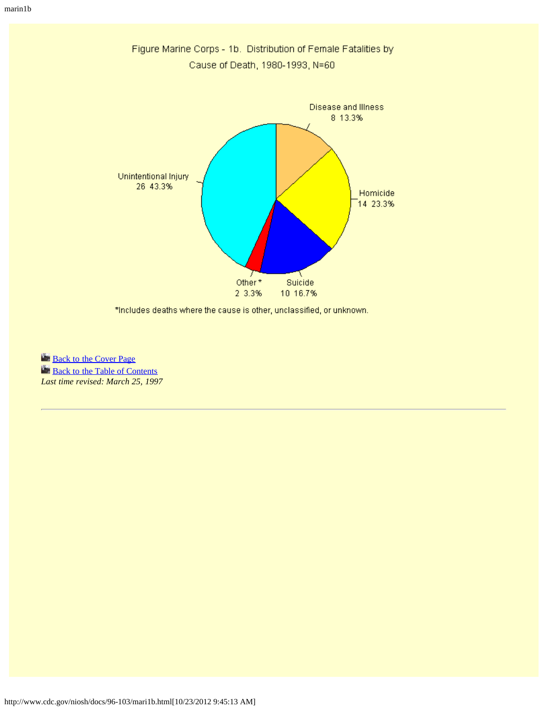

\*Includes deaths where the cause is other, unclassified, or unknown.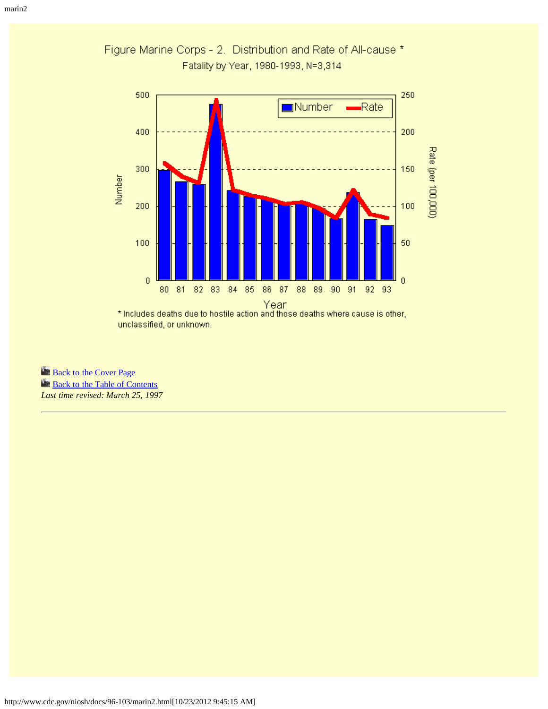

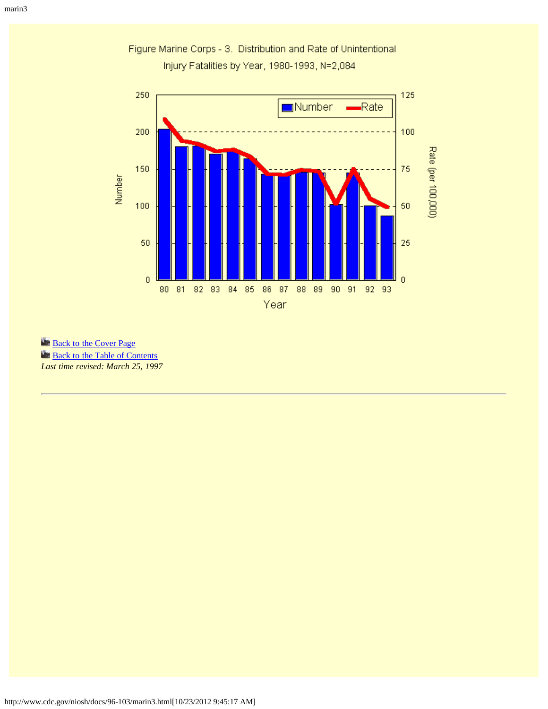

Figure Marine Corps - 3. Distribution and Rate of Unintentional Injury Fatalities by Year, 1980-1993, N=2,084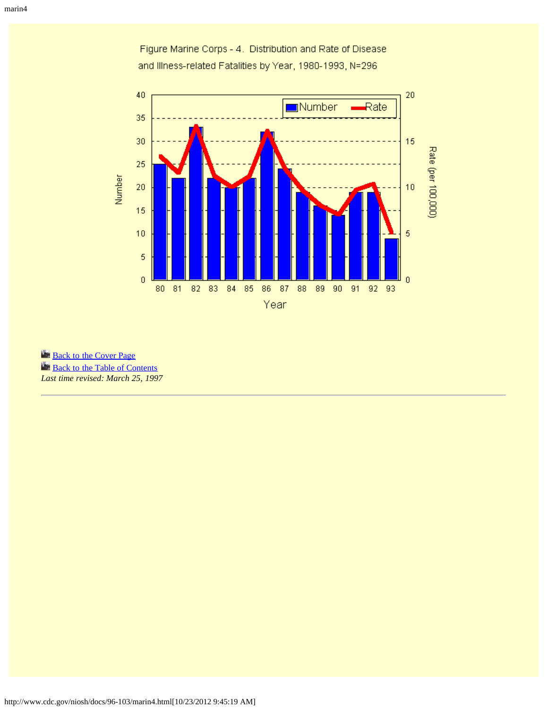

Figure Marine Corps - 4. Distribution and Rate of Disease and Illness-related Fatalities by Year, 1980-1993, N=296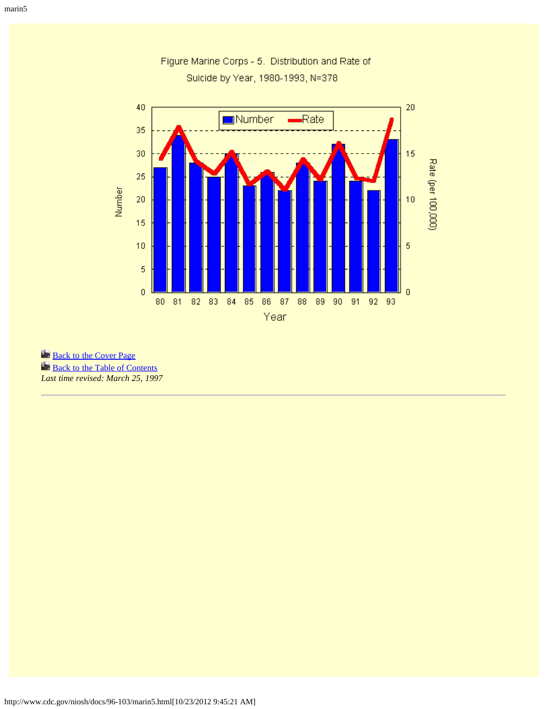

Figure Marine Corps - 5. Distribution and Rate of Suicide by Year, 1980-1993, N=378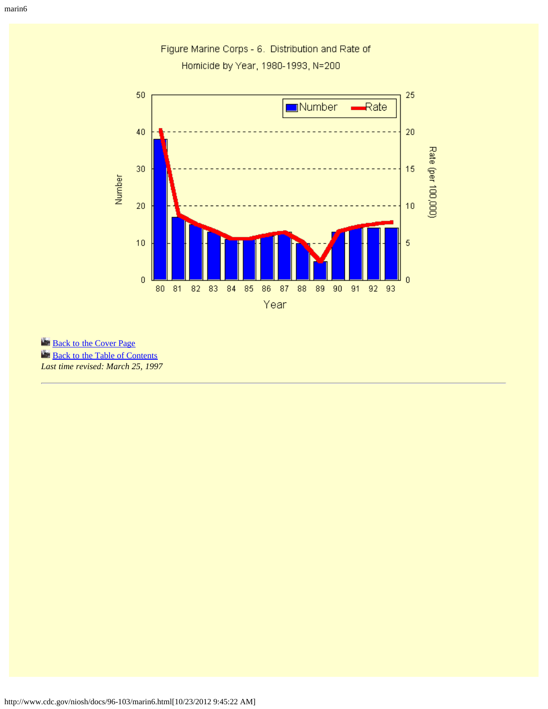

Figure Marine Corps - 6. Distribution and Rate of Homicide by Year, 1980-1993, N=200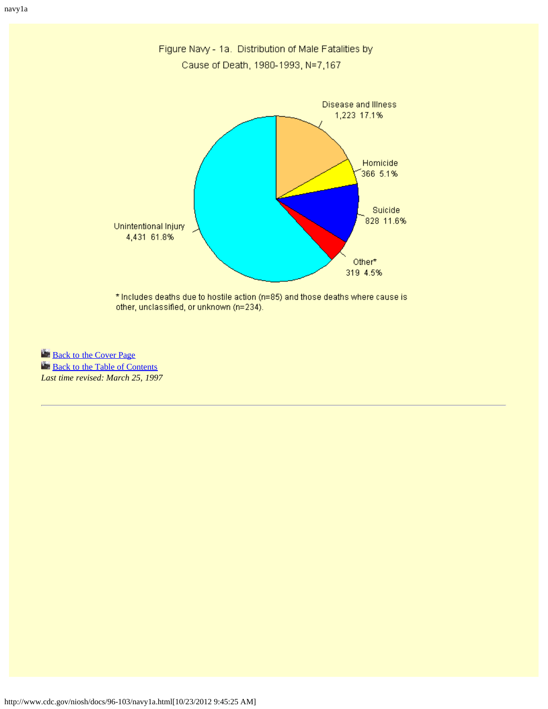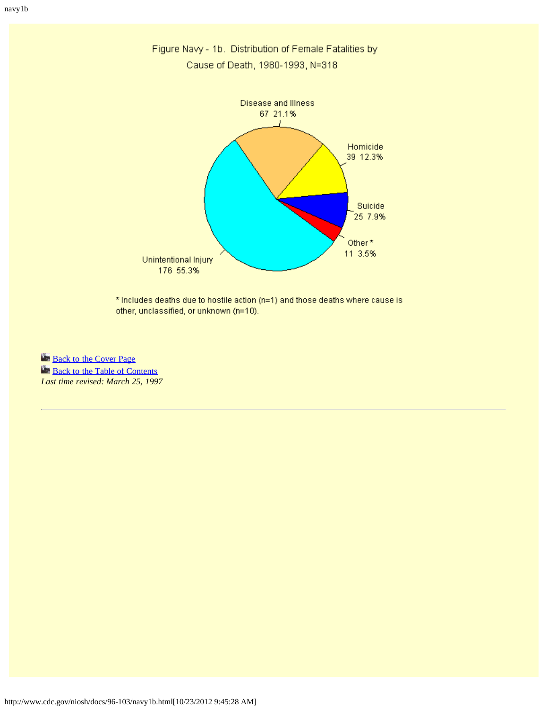

Figure Navy - 1b. Distribution of Female Fatalities by Cause of Death, 1980-1993, N=318

\* Includes deaths due to hostile action (n=1) and those deaths where cause is other, unclassified, or unknown (n=10).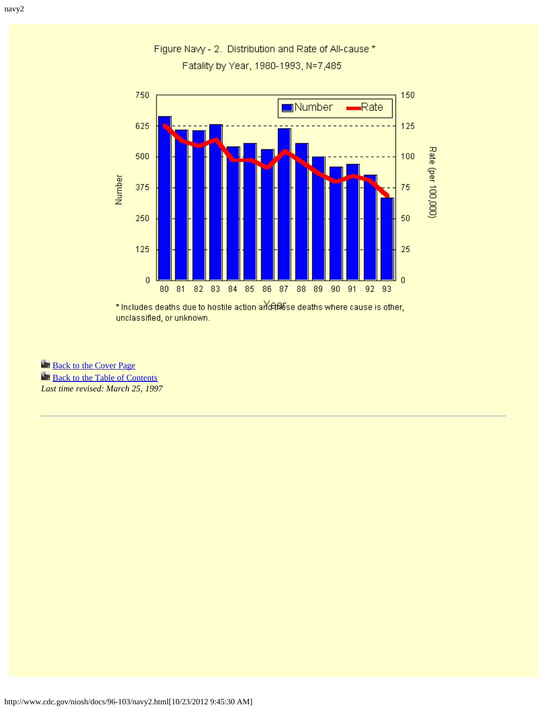

Figure Navy - 2. Distribution and Rate of All-cause \* Fatality by Year, 1980-1993, N=7,485

\* Includes deaths due to hostile action art can be deaths where cause is other, unclassified, or unknown.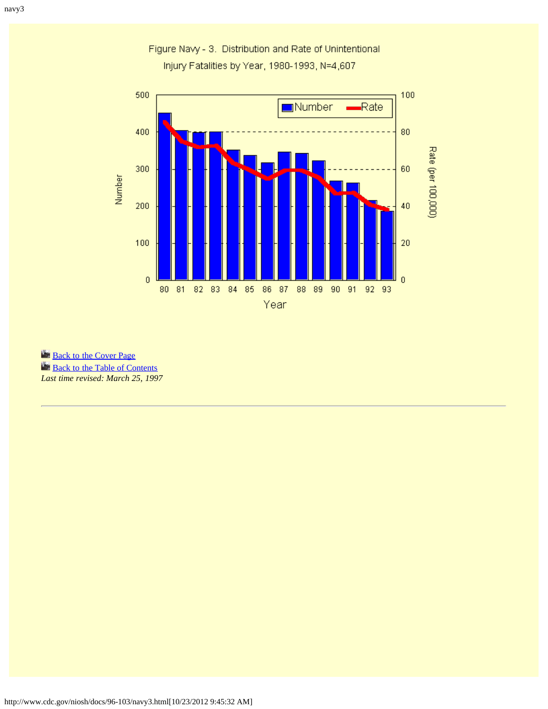

Figure Navy - 3. Distribution and Rate of Unintentional Injury Fatalities by Year, 1980-1993, N=4,607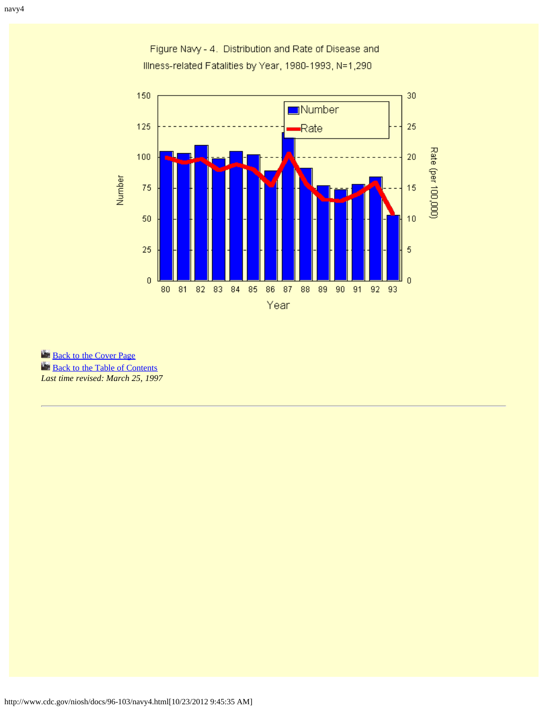

Figure Navy - 4. Distribution and Rate of Disease and Illness-related Fatalities by Year, 1980-1993, N=1,290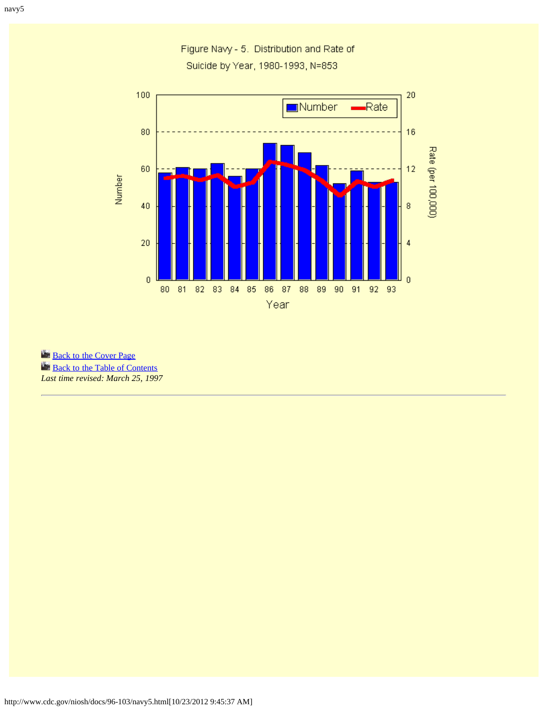

Figure Navy - 5. Distribution and Rate of Suicide by Year, 1980-1993, N=853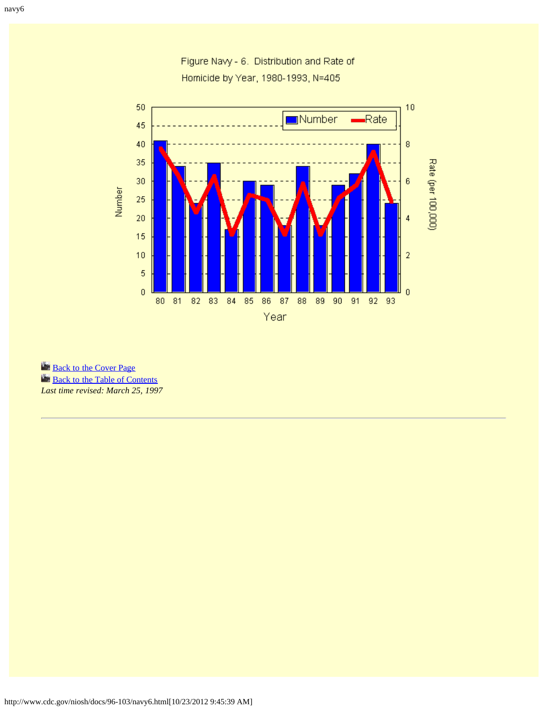

Figure Navy - 6. Distribution and Rate of Homicide by Year, 1980-1993, N=405

**[Back to the Cover Page](#page-35-0)** 

**[Back to the Table of Contents](#page-0-0)** 

*Last time revised: March 25, 1997*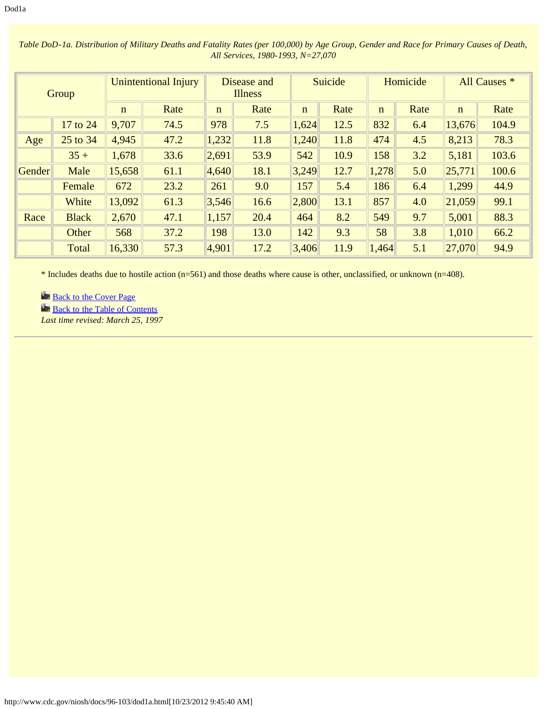| Group  |              | <b>Unintentional Injury</b> |      | Disease and<br><b>Illness</b> |      | Suicide     |      | Homicide    |      | All Causes * |       |
|--------|--------------|-----------------------------|------|-------------------------------|------|-------------|------|-------------|------|--------------|-------|
|        |              | $\mathbf n$                 | Rate | $\mathbf n$                   | Rate | $\mathbf n$ | Rate | $\mathbf n$ | Rate | $\mathbf n$  | Rate  |
|        | 17 to 24     | 9,707                       | 74.5 | 978                           | 7.5  | 1,624       | 12.5 | 832         | 6.4  | 13,676       | 104.9 |
| Age    | 25 to 34     | 4,945                       | 47.2 | 1,232                         | 11.8 | 1,240       | 11.8 | 474         | 4.5  | 8,213        | 78.3  |
|        | $35 +$       | 1,678                       | 33.6 | 2,691                         | 53.9 | 542         | 10.9 | 158         | 3.2  | 5,181        | 103.6 |
| Gender | Male         | 15,658                      | 61.1 | 4,640                         | 18.1 | 3,249       | 12.7 | 1,278       | 5.0  | 25,771       | 100.6 |
|        | Female       | 672                         | 23.2 | 261                           | 9.0  | 157         | 5.4  | 186         | 6.4  | 1,299        | 44.9  |
|        | White        | 13,092                      | 61.3 | 3,546                         | 16.6 | 2,800       | 13.1 | 857         | 4.0  | 21,059       | 99.1  |
| Race   | <b>Black</b> | 2,670                       | 47.1 | 1,157                         | 20.4 | 464         | 8.2  | 549         | 9.7  | 5,001        | 88.3  |
|        | Other        | 568                         | 37.2 | 198                           | 13.0 | 142         | 9.3  | 58          | 3.8  | 1,010        | 66.2  |
|        | Total        | 16,330                      | 57.3 | 4,901                         | 17.2 | 3,406       | 11.9 | 1,464       | 5.1  | 27,070       | 94.9  |

*Table DoD-1a. Distribution of Military Deaths and Fatality Rates (per 100,000) by Age Group, Gender and Race for Primary Causes of Death, All Services, 1980-1993, N=27,070*

\* Includes deaths due to hostile action (n=561) and those deaths where cause is other, unclassified, or unknown (n=408).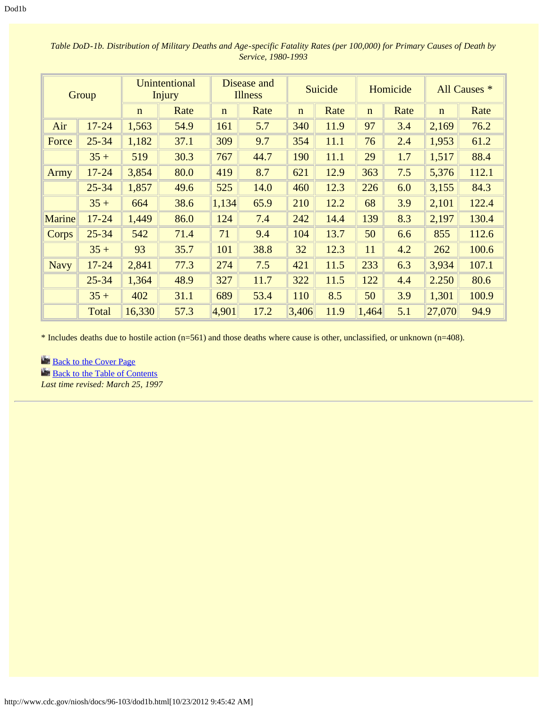| Group         |           | <b>Unintentional</b><br><b>Injury</b> |      | Disease and<br><b>Illness</b> |      | Suicide     |      | Homicide    |      | All Causes * |       |
|---------------|-----------|---------------------------------------|------|-------------------------------|------|-------------|------|-------------|------|--------------|-------|
|               |           | $\mathbf n$                           | Rate | $\mathbf n$                   | Rate | $\mathbf n$ | Rate | $\mathbf n$ | Rate | $\mathbf n$  | Rate  |
| Air           | $17 - 24$ | 1,563                                 | 54.9 | 161                           | 5.7  | 340         | 11.9 | 97          | 3.4  | 2,169        | 76.2  |
| Force         | $25 - 34$ | 1,182                                 | 37.1 | 309                           | 9.7  | 354         | 11.1 | 76          | 2.4  | 1,953        | 61.2  |
|               | $35 +$    | 519                                   | 30.3 | 767                           | 44.7 | 190         | 11.1 | 29          | 1.7  | 1,517        | 88.4  |
| Army          | $17 - 24$ | 3,854                                 | 80.0 | 419                           | 8.7  | 621         | 12.9 | 363         | 7.5  | 5,376        | 112.1 |
|               | $25 - 34$ | 1,857                                 | 49.6 | 525                           | 14.0 | 460         | 12.3 | 226         | 6.0  | 3,155        | 84.3  |
|               | $35 +$    | 664                                   | 38.6 | 1,134                         | 65.9 | 210         | 12.2 | 68          | 3.9  | 2,101        | 122.4 |
| <b>Marine</b> | $17 - 24$ | 1,449                                 | 86.0 | 124                           | 7.4  | 242         | 14.4 | 139         | 8.3  | 2,197        | 130.4 |
| Corps         | $25 - 34$ | 542                                   | 71.4 | 71                            | 9.4  | 104         | 13.7 | 50          | 6.6  | 855          | 112.6 |
|               | $35 +$    | 93                                    | 35.7 | 101                           | 38.8 | 32          | 12.3 | 11          | 4.2  | 262          | 100.6 |
| <b>Navy</b>   | $17 - 24$ | 2,841                                 | 77.3 | 274                           | 7.5  | 421         | 11.5 | 233         | 6.3  | 3,934        | 107.1 |
|               | $25 - 34$ | 1,364                                 | 48.9 | 327                           | 11.7 | 322         | 11.5 | 122         | 4.4  | 2.250        | 80.6  |
|               | $35 +$    | 402                                   | 31.1 | 689                           | 53.4 | 110         | 8.5  | 50          | 3.9  | 1,301        | 100.9 |
|               | Total     | 16,330                                | 57.3 | 4,901                         | 17.2 | 3,406       | 11.9 | 1,464       | 5.1  | 27,070       | 94.9  |

*Table DoD-1b. Distribution of Military Deaths and Age-specific Fatality Rates (per 100,000) for Primary Causes of Death by Service, 1980-1993*

\* Includes deaths due to hostile action (n=561) and those deaths where cause is other, unclassified, or unknown (n=408).

**[Back to the Cover Page](#page-35-0) [Back to the Table of Contents](#page-0-0)** 

*Last time revised: March 25, 1997*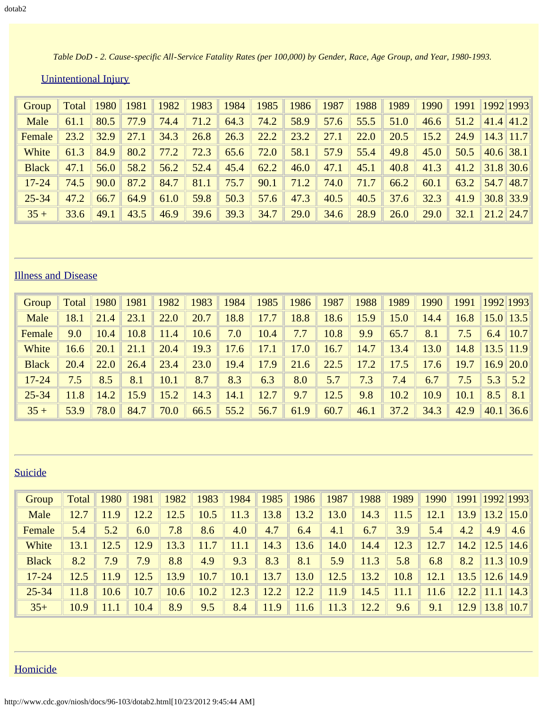*Table DoD - 2. Cause-specific All-Service Fatality Rates (per 100,000) by Gender, Race, Age Group, and Year, 1980-1993.* 

| Unintentional Injury |  |
|----------------------|--|
|                      |  |

| Group        | <b>Total</b>   1980 |      | 1981 | 1982 | 1983 | 1984 | $\vert$ 1985 $\vert$ | 1986 | $\  1987 \ $ | 1988 | 1989 | $\parallel$ 1990 | 1991 | 1992  1993       |  |
|--------------|---------------------|------|------|------|------|------|----------------------|------|--------------|------|------|------------------|------|------------------|--|
| Male         | 61.1                | 80.5 | 77.9 | 74.4 | 71.2 | 64.3 | 74.2                 | 58.9 | 57.6         | 55.5 | 51.0 | 46.6             | 51.2 | 41.4 41.2        |  |
| Female       | 23.2                | 32.9 | 27.1 | 34.3 | 26.8 | 26.3 | 22.2                 | 23.2 | 27.1         | 22.0 | 20.5 | 15.2             | 24.9 | $\ 14.3\ 11.7\ $ |  |
| White        | 61.3                | 84.9 | 80.2 | 77.2 | 72.3 | 65.6 | 72.0                 | 58.1 | 57.9         | 55.4 | 49.8 | 45.0             | 50.5 | 40.6 38.1        |  |
| <b>Black</b> | 47.1                | 56.0 | 58.2 | 56.2 | 52.4 | 45.4 | 62.2                 | 46.0 | 47.1         | 45.1 | 40.8 | 41.3             | 41.2 | 31.8 30.6        |  |
| $17 - 24$    | 74.5                | 90.0 | 87.2 | 84.7 | 81.1 | 75.7 | 90.1                 | 71.2 | 74.0         | 71.7 | 66.2 | 60.1             | 63.2 | $\ 54.7\ 48.7\ $ |  |
| $25 - 34$    | 47.2                | 66.7 | 64.9 | 61.0 | 59.8 | 50.3 | 57.6                 | 47.3 | 40.5         | 40.5 | 37.6 | 32.3             | 41.9 | $\ 30.8\ 33.9\ $ |  |
| $35 +$       | 33.6                | 49.1 | 43.5 | 46.9 | 39.6 | 39.3 | 34.7                 | 29.0 | 34.6         | 28.9 | 26.0 | 29.0             | 32.1 | $\ 21.2\ 24.7\ $ |  |

# Illness and Disease

| Group        | Total | 1980 | 1981 | 1982 | 1983 | 1984 | 1985 | 1986 | 1987 | 1988 | 1989 | 1990 | 1991 |     | 1992 1993      |
|--------------|-------|------|------|------|------|------|------|------|------|------|------|------|------|-----|----------------|
| Male         | 18.1  | 21.4 | 23.1 | 22.0 | 20.7 | 18.8 | 17.7 | 18.8 | 18.6 | 15.9 | 15.0 | 14.4 | 16.8 |     | $15.0$    13.5 |
| Female       | 9.0   | 10.4 | 10.8 | 11.4 | 10.6 | 7.0  | 10.4 | 7.7  | 10.8 | 9.9  | 65.7 | 8.1  | 7.5  |     | 6.4 $ 10.7 $   |
| White        | 16.6  | 20.1 | 21.1 | 20.4 | 19.3 | 17.6 | 17.1 | 17.0 | 16.7 | 14.7 | 13.4 | 13.0 | 14.8 |     | $13.5$ 11.9    |
| <b>Black</b> | 20.4  | 22.0 | 26.4 | 23.4 | 23.0 | 19.4 | 17.9 | 21.6 | 22.5 | 17.2 | 17.5 | 17.6 | 19.7 |     | $16.9$   20.0  |
| $17 - 24$    | 7.5   | 8.5  | 8.1  | 10.1 | 8.7  | 8.3  | 6.3  | 8.0  | 5.7  | 7.3  | 7.4  | 6.7  | 7.5  | 5.3 | 5.2            |
| $25 - 34$    | 11.8  | 14.2 | 15.9 | 15.2 | 14.3 | 14.1 | 12.7 | 9.7  | 12.5 | 9.8  | 10.2 | 10.9 | 10.1 | 8.5 | 8.1            |
| $35 +$       | 53.9  | 78.0 | 84.7 | 70.0 | 66.5 | 55.2 | 56.7 | 61.9 | 60.7 | 46.1 | 37.2 | 34.3 | 42.9 |     | 40.1 36.6      |

# Suicide

| Group        | Total | 1980 | 1981 | 1982 | 1983 | 1984 | 1985 | 1986 | 1987 | 1988 | 1989 | 1990 | 1991 1992 1993       |                      |     |
|--------------|-------|------|------|------|------|------|------|------|------|------|------|------|----------------------|----------------------|-----|
| Male         | 12.7  | 11.9 | 12.2 | 12.5 | 10.5 | 11.3 | 13.8 | 13.2 | 13.0 | 14.3 | 11.5 | 12.1 | 13.9                 | $\ 13.2\ 15.0\ $     |     |
| Female       | 5.4   | 5.2  | 6.0  | 7.8  | 8.6  | 4.0  | 4.7  | 6.4  | 4.1  | 6.7  | 3.9  | 5.4  | 4.2                  | 4.9                  | 4.6 |
| White        | 13.1  | 12.5 | 12.9 | 13.3 | 11.7 | 11.1 | 14.3 | 13.6 | 14.0 | 14.4 | 12.3 | 12.7 |                      | $14.2$   12.5   14.6 |     |
| <b>Black</b> | 8.2   | 7.9  | 7.9  | 8.8  | 4.9  | 9.3  | 8.3  | 8.1  | 5.9  | 11.3 | 5.8  | 6.8  | 8.2                  | $\ 11.3\ 10.9\ $     |     |
| $17 - 24$    | 12.5  | 11.9 | 12.5 | 13.9 | 10.7 | 10.1 | 13.7 | 13.0 | 12.5 | 13.2 | 10.8 | 12.1 | $13.5$   12.6   14.9 |                      |     |
| $25 - 34$    | 11.8  | 10.6 | 10.7 | 10.6 | 10.2 | 12.3 | 12.2 | 12.2 | 11.9 | 14.5 | 11.1 | 11.6 | 12.2    11.1    14.3 |                      |     |
| $35+$        | 10.9  | 11.1 | 10.4 | 8.9  | 9.5  | 8.4  | 11.9 | 11.6 | 11.3 | 12.2 | 9.6  | 9.1  |                      | $12.9$   13.8   10.7 |     |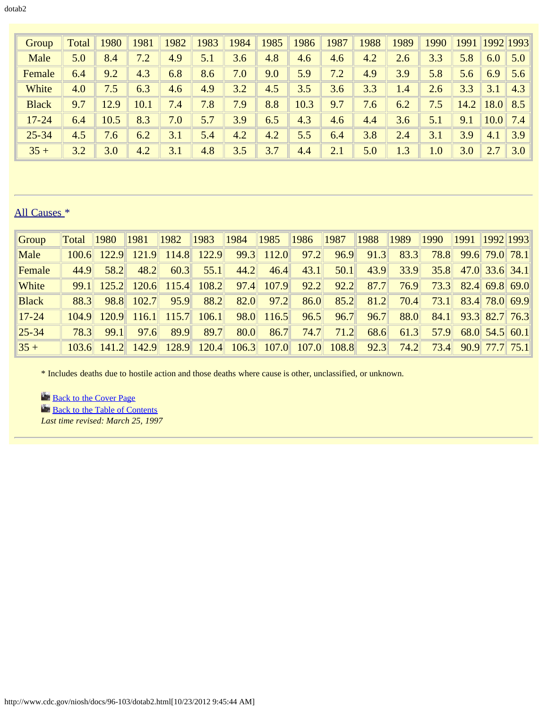| Group        | Total | 1980 | 1981 | 1982 | 1983 | 1984 | 1985 | 1986 | 1987 | 1988 | 1989 | 1990    | 1991 |      | 1992 1993 |
|--------------|-------|------|------|------|------|------|------|------|------|------|------|---------|------|------|-----------|
| Male         | 5.0   | 8.4  | 7.2  | 4.9  | 5.1  | 3.6  | 4.8  | 4.6  | 4.6  | 4.2  | 2.6  | 3.3     | 5.8  | 6.0  | 5.0       |
| Female       | 6.4   | 9.2  | 4.3  | 6.8  | 8.6  | 7.0  | 9.0  | 5.9  | 7.2  | 4.9  | 3.9  | 5.8     | 5.6  | 6.9  | 5.6       |
| White        | 4.0   | 7.5  | 6.3  | 4.6  | 4.9  | 3.2  | 4.5  | 3.5  | 3.6  | 3.3  | 1.4  | 2.6     | 3.3  | 3.1  | 4.3       |
| <b>Black</b> | 9.7   | 12.9 | 10.1 | 7.4  | 7.8  | 7.9  | 8.8  | 10.3 | 9.7  | 7.6  | 6.2  | 7.5     | 14.2 | 18.0 | 8.5       |
| $17 - 24$    | 6.4   | 10.5 | 8.3  | 7.0  | 5.7  | 3.9  | 6.5  | 4.3  | 4.6  | 4.4  | 3.6  | 5.1     | 9.1  | 10.0 | 7.4       |
| $25 - 34$    | 4.5   | 7.6  | 6.2  | 3.1  | 5.4  | 4.2  | 4.2  | 5.5  | 6.4  | 3.8  | 2.4  | 3.1     | 3.9  | 4.1  | 3.9       |
| $35 +$       | 3.2   | 3.0  | 4.2  | 3.1  | 4.8  | 3.5  | 3.7  | 4.4  | 2.1  | 5.0  | 1.3  | $1.0\,$ | 3.0  |      | 3.0       |

# All Causes \*

| Group        | Total | 1980          | 1981  | 1982  | 1983  | 1984  | 1985  | 1986  | 1987  | 1988 | 1989 | 1990 | 1991 | 1992 1993        |
|--------------|-------|---------------|-------|-------|-------|-------|-------|-------|-------|------|------|------|------|------------------|
| Male         | 100.6 | 122.9         | 121.9 | 114.8 | 122.9 | 99.3  | 112.0 | 97.2  | 96.9  | 91.3 | 83.3 | 78.8 |      | 99.6 79.0 78.1   |
| Female       | 44.9  | 58.2          | 48.2  | 60.3  | 55.1  | 44.2  | 46.4  | 43.1  | 50.1  | 43.9 | 33.9 | 35.8 |      | $47.0$ 33.6 34.1 |
| White        | 99.1  | 125.2         | 120.6 | 115.4 | 108.2 | 97.4  | 107.9 | 92.2  | 92.2  | 87.7 | 76.9 | 73.3 |      | $82.4$ 69.8 69.0 |
| <b>Black</b> | 88.3  | 98.8          | 102.7 | 95.9  | 88.2  | 82.0  | 97.2  | 86.0  | 85.2  | 81.2 | 70.4 | 73.1 |      | 83.4 78.0 69.9   |
| $17 - 24$    | 104.9 | 120.9         | 116.1 | 115.7 | 106.1 | 98.0  | 116.5 | 96.5  | 96.7  | 96.7 | 88.0 | 84.1 |      | 93.3 82.7 76.3   |
| $ 25 - 34 $  | 78.3  | 99.1          | 97.6  | 89.9  | 89.7  | 80.0  | 86.7  | 74.7  | 71.2  | 68.6 | 61.3 | 57.9 |      | $68.0$ 54.5 60.1 |
| $ 35 +$      |       | $103.6$ 141.2 | 142.9 | 128.9 | 120.4 | 106.3 | 107.0 | 107.0 | 108.8 | 92.3 | 74.2 | 73.4 |      | $90.9$ 77.7 75.1 |

\* Includes deaths due to hostile action and those deaths where cause is other, unclassified, or unknown.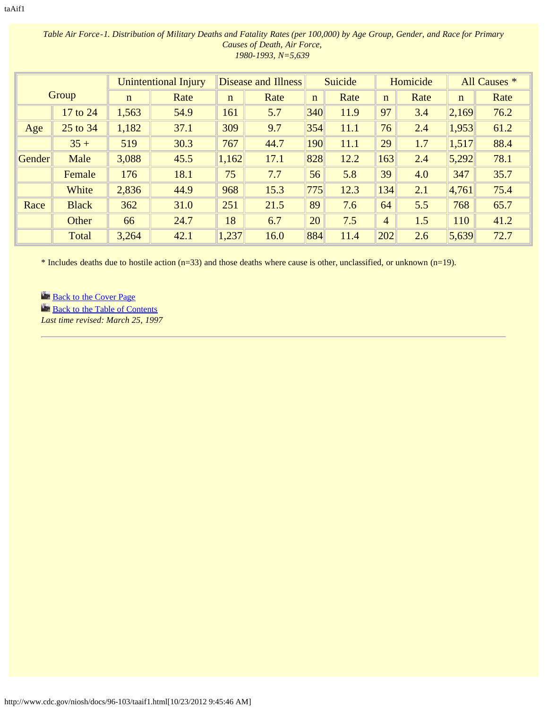|        |              |             | <b>Unintentional Injury</b> |              | Disease and Illness |             | Suicide |                | Homicide |             | All Causes * |
|--------|--------------|-------------|-----------------------------|--------------|---------------------|-------------|---------|----------------|----------|-------------|--------------|
|        | Group        | $\mathbf n$ | Rate                        | $\mathbf{n}$ | Rate                | $\mathbf n$ | Rate    | $\mathbf n$    | Rate     | $\mathbf n$ | Rate         |
|        | 17 to 24     | 1,563       | 54.9                        | 161          | 5.7                 | 340         | 11.9    | 97             | 3.4      | 2,169       | 76.2         |
| Age    | 25 to 34     | 1,182       | 37.1                        | 309          | 9.7                 | 354         | 11.1    | 76             | 2.4      | 1,953       | 61.2         |
|        | $35 +$       | 519         | 30.3                        | 767          | 44.7                | 190         | 11.1    | 29             | 1.7      | 1,517       | 88.4         |
| Gender | Male         | 3,088       | 45.5                        | 1,162        | 17.1                | 828         | 12.2    | 163            | 2.4      | 5,292       | 78.1         |
|        | Female       | 176         | 18.1                        | 75           | 7.7                 | 56          | 5.8     | 39             | 4.0      | 347         | 35.7         |
|        | White        | 2,836       | 44.9                        | 968          | 15.3                | 775         | 12.3    | 134            | 2.1      | 4,761       | 75.4         |
| Race   | <b>Black</b> | 362         | 31.0                        | 251          | 21.5                | 89          | 7.6     | 64             | 5.5      | 768         | 65.7         |
|        | Other        | 66          | 24.7                        | 18           | 6.7                 | 20          | 7.5     | $\overline{4}$ | 1.5      | 110         | 41.2         |
|        | Total        | 3,264       | 42.1                        | 1,237        | 16.0                | 884         | 11.4    | 202            | 2.6      | 5,639       | 72.7         |

### *Table Air Force-1. Distribution of Military Deaths and Fatality Rates (per 100,000) by Age Group, Gender, and Race for Primary Causes of Death, Air Force, 1980-1993, N=5,639*

\* Includes deaths due to hostile action (n=33) and those deaths where cause is other, unclassified, or unknown (n=19).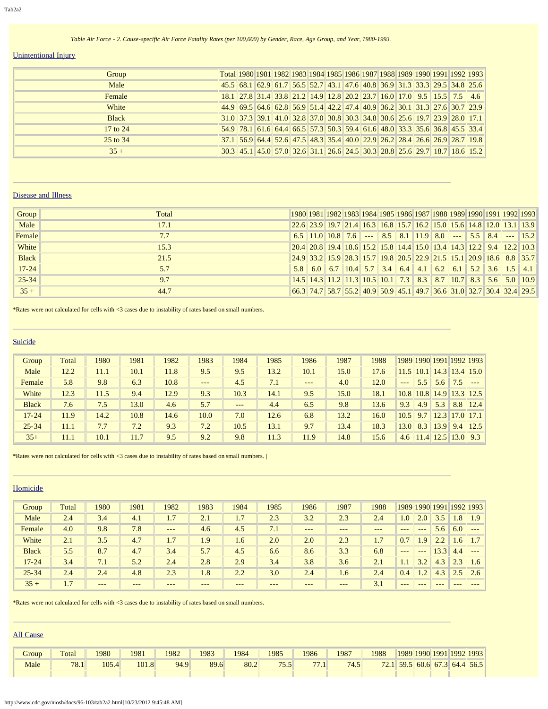#### *Table Air Force - 2. Cause-specific Air Force Fatality Rates (per 100,000) by Gender, Race, Age Group, and Year, 1980-1993.*

# Unintentional Injury

| Group        |  |  |  |  |  |  |                                                                                                                   | Total 1980 1981 1982 1983 1984 1985 1986 1987 1988 1989 1990 1991 1992 1993                            |
|--------------|--|--|--|--|--|--|-------------------------------------------------------------------------------------------------------------------|--------------------------------------------------------------------------------------------------------|
| Male         |  |  |  |  |  |  |                                                                                                                   | 45.5 68.1 62.9 61.7 56.5 52.7 43.1 47.6 40.8 36.9 31.3 33.3 29.5 34.8 25.6                             |
| Female       |  |  |  |  |  |  | 18.1    27.8    31.4    33.8    21.2    14.9    12.8    20.2    23.7    16.0    17.0    9.5    15.5    7.5    4.6 |                                                                                                        |
| White        |  |  |  |  |  |  |                                                                                                                   | 44.9 69.5 64.6 62.8 56.9 51.4 42.2 47.4 40.9 36.2 30.1 31.3 27.6 30.7 23.9                             |
| <b>Black</b> |  |  |  |  |  |  |                                                                                                                   | 31.0   37.3   39.1   41.0   32.8   37.0   30.8   30.3   34.8   30.6   25.6   19.7   23.9   28.0   17.1 |
| 17 to 24     |  |  |  |  |  |  | 54.9 78.1 61.6 64.4 66.5 57.3 50.3 59.4 61.6 48.0 33.3 35.6 36.8 45.5 33.4                                        |                                                                                                        |
| 25 to 34     |  |  |  |  |  |  |                                                                                                                   | 37.1 56.9 64.4 52.6 47.5 48.3 35.4 40.0 22.9 26.2 28.4 26.6 26.9 28.7 19.8                             |
| $35 +$       |  |  |  |  |  |  |                                                                                                                   | 30.3 45.1 45.0 57.0 32.6 31.1 26.6 24.5 30.3 28.8 25.6 29.7 18.7 18.6 15.2                             |

#### Disease and Illness

| Group        | Total |  |  |  |  |                                                                       |  | 1980 1981 1982 1983 1984 1985 1986 1987 1988 1989 1990 1991 1992 1993                                                                 |
|--------------|-------|--|--|--|--|-----------------------------------------------------------------------|--|---------------------------------------------------------------------------------------------------------------------------------------|
| Male         | 17.1  |  |  |  |  | 22.6 23.9 19.7 21.4 16.3 16.8 15.7 16.2 15.0 15.6 14.8 12.0 13.1 13.9 |  |                                                                                                                                       |
| Female       | 7.7   |  |  |  |  |                                                                       |  | $6.5$    11.0    10.8    7.6    ---    8.5    8.1    11.9    8.0    ---    5.5    8.4    ---    15.2                                  |
| White        | 15.3  |  |  |  |  |                                                                       |  | 20.4 20.8 19.4 18.6 15.2 15.8 14.4 15.0 13.4 14.3 12.2 9.4 12.2 10.3                                                                  |
| <b>Black</b> | 21.5  |  |  |  |  |                                                                       |  | $24.9$ 33.2 15.9 28.3 15.7 19.8 20.5 22.9 21.5 15.1 20.9 18.6 8.8 35.7                                                                |
| $17 - 24$    | 5.7   |  |  |  |  |                                                                       |  | 5.8 6.0 6.7 10.4 5.7 3.4 6.4 4.1 6.2 6.1 5.2 3.6 1.5 4.1                                                                              |
| $25 - 34$    | 9.7   |  |  |  |  |                                                                       |  | $14.5$ 14.3 11.2 11.3 10.5 10.1 7.3 8.3 8.7 10.7 8.3 5.6 5.0 10.9                                                                     |
| $35 +$       | 44.7  |  |  |  |  |                                                                       |  | $(66.3)$ 74.7 $\,$ 58.7 $\,$ 55.2 $\,$ 40.9 $\,$ 50.9 $\,$ 45.1 $\,$ 49.7 $\,$ 36.6 $\,$ 31.0 $\,$ 32.7 $\,$ 30.4 $\,$ 32.4 $\,$ 29.5 |

\*Rates were not calculated for cells with <3 cases due to instability of rates based on small numbers.

#### Suicide

| Group        | Total | 1980 | 1981 | 1982 | 1983    | 1984  | 1985 | 1986    | 1987 | 1988 |               |      |      | 1989 1990 1991 1992 1993 |       |
|--------------|-------|------|------|------|---------|-------|------|---------|------|------|---------------|------|------|--------------------------|-------|
| Male         | 12.2  | 11.1 | 10.1 | 11.8 | 9.5     | 9.5   | 13.2 | 10.1    | 15.0 | 17.6 | 11.5          | 10.1 |      | $\ 14.3\ 13.4\ 15.0\ $   |       |
| Female       | 5.8   | 9.8  | 6.3  | 10.8 | $- - -$ | 4.5   | 7.1  | $- - -$ | 4.0  | 12.0 | $\frac{1}{2}$ | 5.5  | 5.6  | 7.5                      | $---$ |
| White        | 12.3  | 11.5 | 9.4  | 12.9 | 9.3     | 10.3  | 14.1 | 9.5     | 15.0 | 18.1 | 10.8          | 10.8 |      | $\ 14.9\ 13.3\ 12.5\ $   |       |
| <b>Black</b> | 7.6   | 7.5  | 13.0 | 4.6  | 5.7     | $---$ | 4.4  | 6.5     | 9.8  | 13.6 | 9.3           | 4.9  | 5.3  | 8.8                      | 12.4  |
| $17 - 24$    | 11.9  | 14.2 | 10.8 | 14.6 | 10.0    | 7.0   | 12.6 | 6.8     | 13.2 | 16.0 | 10.5          | 9.7  | 12.3 | $\ 17.0\ 17.1\ $         |       |
| $25 - 34$    | 11.1  | 7.7  | 7.2  | 9.3  | 7.2     | 10.5  | 13.1 | 9.7     | 13.4 | 18.3 | 13.0          | 8.3  | 13.9 | 9.4                      | 12.5  |
| $35+$        | 11.1  | 10.1 | 11.7 | 9.5  | 9.2     | 9.8   | 11.3 | 11.9    | 14.8 | 15.6 | 4.6           |      |      | $11.4$   12.5   13.0     | 9.3   |

\*Rates were not calculated for cells with <3 cases due to instability of rates based on small numbers. |

#### Homicide

| Group        | Total | 1980  | 1981 | 1982  | 1983 | 1984 | 1985 | 1986  | 1987  | 1988   |                  | 1989 1990 1991 |               |       | 1992 1993        |
|--------------|-------|-------|------|-------|------|------|------|-------|-------|--------|------------------|----------------|---------------|-------|------------------|
| Male         | 2.4   | 3.4   | 4.1  | 1.7   | 2.1  | 1.7  | 2.3  | 3.2   | 2.3   | 2.4    | 1.0 <sup>7</sup> | 2.0            | 3.5           | 1.8   | 1.9 <sub>l</sub> |
| Female       | 4.0   | 9.8   | 7.8  | $---$ | 4.6  | 4.5  | 7.1  | $---$ | $---$ | $-- -$ | $---$            | $---$          | 5.6           | 6.0   | $- - -$          |
| White        | 2.1   | 3.5   | 4.7  | 1.7   | 1.9  | 1.6  | 2.0  | 2.0   | 2.3   | 1.7    | 0.7              | 1.9            | $2.2^{\circ}$ | 1.6   |                  |
| <b>Black</b> | 5.5   | 8.7   | 4.7  | 3.4   | 5.7  | 4.5  | 6.6  | 8.6   | 3.3   | 6.8    | $- - -$          | $---$          | 13.3          | 4.4   | $- - -$          |
| $17 - 24$    | 3.4   | 7.1   | 5.2  | 2.4   | 2.8  | 2.9  | 3.4  | 3.8   | 3.6   | 2.1    | 1.1              | 3.2            | 4.3           | 2.3   | 1.6              |
| $25 - 34$    | 2.4   | 2.4   | 4.8  | 2.3   | 1.8  | 2.2  | 3.0  | 2.4   | 1.6   | 2.4    | 0.4              | 1.2'           | 4.3           | 2.5   | 2.6              |
| $35 +$       | 1.7   | $---$ | ---  | ---   | ---  | ---  | ---  | ---   | $---$ | 3.1    | $- - -$          | $- - -$        | $---$         | $---$ | $---$            |

\*Rates were not calculated for cells with <3 cases due to instability of rates based on small numbers.

### All Cause

| Group | Total | 980   | 1981  | 1982 | 1983 | 1984 | 1985                | 1986           | 1987 | 1988          | 1989 1990 1991 1992 1993 |      |             |      |
|-------|-------|-------|-------|------|------|------|---------------------|----------------|------|---------------|--------------------------|------|-------------|------|
| Male  | 78.1  | 105.4 | 101.8 | 94.9 | 89.6 | 80.2 | 75<br>$5.5^{\circ}$ | $\overline{a}$ | 74.5 | 721<br>$\sim$ | 59.5                     | 60.6 | $67.3$ 64.4 | 56.5 |
|       |       |       |       |      |      |      |                     |                |      |               |                          |      |             |      |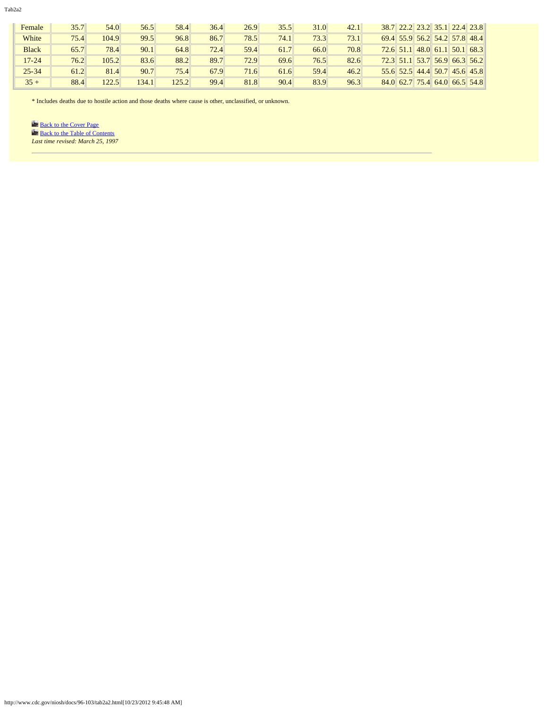Tab2a2

| Female       | 35.7 | 54.0  | 56.5  | 58.4  | 36.4 | 26.9 | 35.5 | 31.0 | 42.1 |             |                               | 38.7 22.2 23.2 35.1 22.4 23.8       |
|--------------|------|-------|-------|-------|------|------|------|------|------|-------------|-------------------------------|-------------------------------------|
| White        | 75.4 | 104.9 | 99.5  | 96.8  | 86.7 | 78.5 | 74.1 | 73.3 | 73.1 |             | 69.4 55.9 56.2 54.2 57.8 48.4 |                                     |
| <b>Black</b> | 65.7 | 78.4  | 90.1  | 64.8  | 72.4 | 59.4 | 61.7 | 66.0 | 70.8 | $72.6$ 51.1 | $ 48.0 $ 61.1 50.1 68.3       |                                     |
| $17 - 24$    | 76.2 | 105.2 | 83.6  | 88.2  | 89.7 | 72.9 | 69.6 | 76.5 | 82.6 |             |                               | $72.3$ 51.1 53.7 56.9 66.3 56.2     |
| $25 - 34$    | 61.2 | 81.4  | 90.7  | 75.4  | 67.9 | 71.6 | 61.6 | 59.4 | 46.2 |             |                               | $55.6$ $52.5$ 44.4 $50.7$ 45.6 45.8 |
| $35 +$       | 88.4 | 122.5 | 134.1 | 125.2 | 99.4 | 81.8 | 90.4 | 83.9 | 96.3 |             | 84.0 62.7 75.4 64.0 66.5 54.8 |                                     |

\* Includes deaths due to hostile action and those deaths where cause is other, unclassified, or unknown.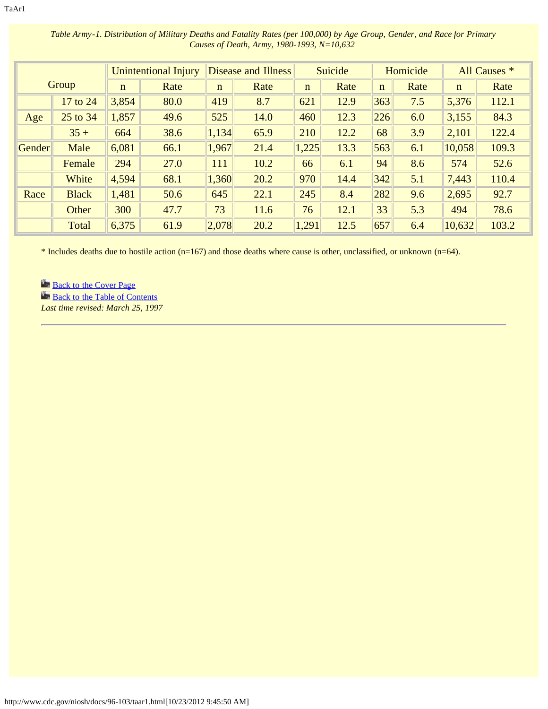|        |              |             | <b>Unintentional Injury</b> |             | Disease and Illness |             | Suicide |             | Homicide |             | All Causes * |
|--------|--------------|-------------|-----------------------------|-------------|---------------------|-------------|---------|-------------|----------|-------------|--------------|
|        | Group        | $\mathbf n$ | Rate                        | $\mathbf n$ | Rate                | $\mathbf n$ | Rate    | $\mathbf n$ | Rate     | $\mathbf n$ | Rate         |
|        | 17 to 24     | 3,854       | 80.0                        | 419         | 8.7                 | 621         | 12.9    | 363         | 7.5      | 5,376       | 112.1        |
| Age    | 25 to 34     | 1,857       | 49.6                        | 525         | 14.0                | 460         | 12.3    | 226         | 6.0      | 3,155       | 84.3         |
|        | $35 +$       | 664         | 38.6                        | 1,134       | 65.9                | 210         | 12.2    | 68          | 3.9      | 2,101       | 122.4        |
| Gender | Male         | 6,081       | 66.1                        | 1,967       | 21.4                | 1,225       | 13.3    | 563         | 6.1      | 10,058      | 109.3        |
|        | Female       | 294         | 27.0                        | 111         | 10.2                | 66          | 6.1     | 94          | 8.6      | 574         | 52.6         |
|        | White        | 4,594       | 68.1                        | 1,360       | 20.2                | 970         | 14.4    | 342         | 5.1      | 7,443       | 110.4        |
| Race   | <b>Black</b> | 1,481       | 50.6                        | 645         | 22.1                | 245         | 8.4     | 282         | 9.6      | 2,695       | 92.7         |
|        | Other        | 300         | 47.7                        | 73          | 11.6                | 76          | 12.1    | 33          | 5.3      | 494         | 78.6         |
|        | Total        | 6,375       | 61.9                        | 2,078       | 20.2                | 1,291       | 12.5    | 657         | 6.4      | 10,632      | 103.2        |

*Table Army-1. Distribution of Military Deaths and Fatality Rates (per 100,000) by Age Group, Gender, and Race for Primary Causes of Death, Army, 1980-1993, N=10,632* 

\* Includes deaths due to hostile action (n=167) and those deaths where cause is other, unclassified, or unknown (n=64).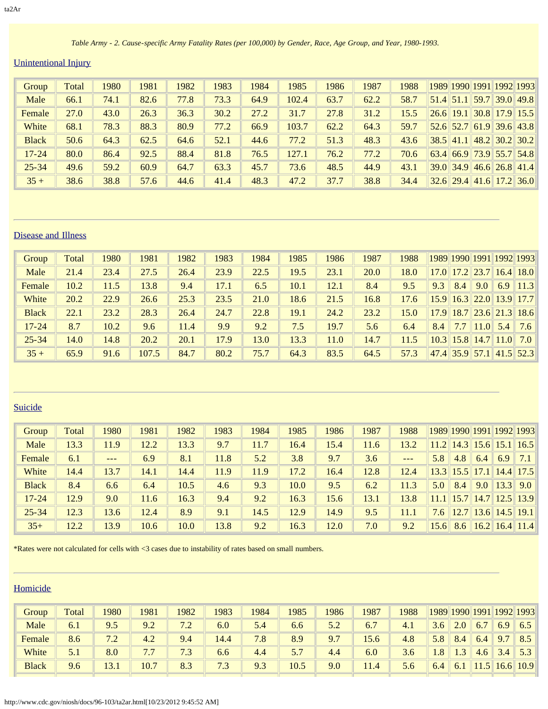*Table Army - 2. Cause-specific Army Fatality Rates (per 100,000) by Gender, Race, Age Group, and Year, 1980-1993.* 

# Unintentional Injury

| Group        | Total | 1980 | 1981 | 1982 | 1983 | 1984 | 1985  | 1986 | 1987 | 1988 |      |             |  | 1989 1990 1991 1992 1993   |
|--------------|-------|------|------|------|------|------|-------|------|------|------|------|-------------|--|----------------------------|
| Male         | 66.1  | 74.1 | 82.6 | 77.8 | 73.3 | 64.9 | 102.4 | 63.7 | 62.2 | 58.7 |      | $51.4$ 51.1 |  | 59.7 39.0 49.8             |
| Female       | 27.0  | 43.0 | 26.3 | 36.3 | 30.2 | 27.2 | 31.7  | 27.8 | 31.2 | 15.5 | 26.6 | 19.1        |  | $30.8$ 17.9 15.5           |
| White        | 68.1  | 78.3 | 88.3 | 80.9 | 77.2 | 66.9 | 103.7 | 62.2 | 64.3 | 59.7 |      | $52.6$ 52.7 |  | 61.9 39.6 43.8             |
| <b>Black</b> | 50.6  | 64.3 | 62.5 | 64.6 | 52.1 | 44.6 | 77.2  | 51.3 | 48.3 | 43.6 |      | $38.5$ 41.1 |  | 48.2 30.2 30.2             |
| $17 - 24$    | 80.0  | 86.4 | 92.5 | 88.4 | 81.8 | 76.5 | 127.1 | 76.2 | 77.2 | 70.6 | 63.4 |             |  | $66.9$ 73.9 55.7 54.8      |
| $25 - 34$    | 49.6  | 59.2 | 60.9 | 64.7 | 63.3 | 45.7 | 73.6  | 48.5 | 44.9 | 43.1 |      |             |  | $39.0$ 34.9 46.6 26.8 41.4 |
| $35 +$       | 38.6  | 38.8 | 57.6 | 44.6 | 41.4 | 48.3 | 47.2  | 37.7 | 38.8 | 34.4 |      |             |  | $32.6$ 29.4 41.6 17.2 36.0 |

### Disease and Illness

| Group        | Total | 1980 | 1981  | 1982 | 1983 | 1984 | 1985 | 1986 | 1987 | 1988 |      |                  |      |                 | 1989 1990 1991 1992 1993    |
|--------------|-------|------|-------|------|------|------|------|------|------|------|------|------------------|------|-----------------|-----------------------------|
| Male         | 21.4  | 23.4 | 27.5  | 26.4 | 23.9 | 22.5 | 19.5 | 23.1 | 20.0 | 18.0 | 17.0 |                  |      |                 | $17.2$ $23.7$ $16.4$ $18.0$ |
| Female       | 10.2  | 11.5 | 13.8  | 9.4  | 17.1 | 6.5  | 10.1 | 12.1 | 8.4  | 9.5  | 9.3  | 8.4              | 9.0  | 6.9             | 11.3                        |
| White        | 20.2  | 22.9 | 26.6  | 25.3 | 23.5 | 21.0 | 18.6 | 21.5 | 16.8 | 17.6 | 15.9 |                  |      |                 | $16.3$ $22.0$ $13.9$ 17.7   |
| <b>Black</b> | 22.1  | 23.2 | 28.3  | 26.4 | 24.7 | 22.8 | 19.1 | 24.2 | 23.2 | 15.0 | 17.9 |                  |      |                 | $18.7$ 23.6 21.3 18.6       |
| $17 - 24$    | 8.7   | 10.2 | 9.6   | 11.4 | 9.9  | 9.2  | 7.5  | 19.7 | 5.6  | 6.4  | 8.4  | 7.7              | 11.0 | 5.4             | 7.6                         |
| $25 - 34$    | 14.0  | 14.8 | 20.2  | 20.1 | 17.9 | 13.0 | 13.3 | 11.0 | 14.7 | 11.5 | 10.3 | 15.8             |      | $14.7$ 11.0 7.0 |                             |
| $35 +$       | 65.9  | 91.6 | 107.5 | 84.7 | 80.2 | 75.7 | 64.3 | 83.5 | 64.5 | 57.3 | 47.4 | $\ 35.9\ 57.1\ $ |      |                 | $\ 41.5\ 52.3\ $            |

# **Suicide**

| Group        | Total | 1980  | 1981 | 1982 | 1983 | 1984 | 1985 | 1986 | 1987 | 1988              |      |      |               |      | 1989 1990 1991 1992 1993    |
|--------------|-------|-------|------|------|------|------|------|------|------|-------------------|------|------|---------------|------|-----------------------------|
| Male         | 13.3  | 11.9  | 12.2 | 13.3 | 9.7  | 11.7 | 16.4 | 15.4 | 11.6 | 13.2              | 11.2 |      | $14.3$ 15.6   | 15.1 | 16.5                        |
| Female       | 6.1   | $---$ | 6.9  | 8.1  | 11.8 | 5.2  | 3.8  | 9.7  | 3.6  | $\qquad \qquad -$ | 5.8  | 4.8  | 6.4           | 6.9  | 7.1                         |
| White        | 14.4  | 13.7  | 14.1 | 14.4 | 11.9 | 11.9 | 17.2 | 16.4 | 12.8 | 12.4              | 13.3 | 15.5 | 17.1          |      | $14.4$   17.5               |
| <b>Black</b> | 8.4   | 6.6   | 6.4  | 10.5 | 4.6  | 9.3  | 10.0 | 9.5  | 6.2  | 11.3              | 5.0  | 8.4  | 9.0           | 13.3 | 9.0                         |
| $17 - 24$    | 12.9  | 9.0   | 11.6 | 16.3 | 9.4  | 9.2  | 16.3 | 15.6 | 13.1 | 13.8              | 11.1 |      |               |      | $15.7$   14.7   12.5   13.9 |
| $25 - 34$    | 12.3  | 13.6  | 12.4 | 8.9  | 9.1  | 14.5 | 12.9 | 14.9 | 9.5  | 11.1              | 7.6  |      | $12.7$   13.6 |      | $14.5$   19.1               |
| $35+$        | 12.2  | 13.9  | 10.6 | 10.0 | 13.8 | 9.2  | 16.3 | 12.0 | 7.0  | 9.2               | 15.6 | 8.6  |               |      | $16.2$   16.4   11.4        |

\*Rates were not calculated for cells with <3 cases due to instability of rates based on small numbers.

| Group        | Total | 1980 | 1981 | 1982    | 1983 | 1984 | 1985 | 1986 | 1987 | 1988 |                 |     |       |                | 1989 1990 1991 1992 1993 |
|--------------|-------|------|------|---------|------|------|------|------|------|------|-----------------|-----|-------|----------------|--------------------------|
| Male         | 6.1   | 9.5  | 9.2  | 72<br>. | 6.0  | 5.4  | 6.6  | 5.2  | 6.7  | 4.1  | 3.6             | 2.0 | 6.7   | 6.9            | 6.5                      |
| Female       | 8.6   | 7.2  | 4.2  | 9.4     | 14.4 | 7.8  | 8.9  | 9.7  | 15.6 | 4.8  | 5.8             | 8.4 | 6.4   | Q <sub>7</sub> | 8.5                      |
| White        | 5.1   | 8.0  | 7.7  | 7.3     | 6.6  | 4.4  | 5.7  | 4.4  | 6.0  | 3.6  | $\overline{.8}$ | 1.3 | 4.6   | 3.4            | 5.3                      |
| <b>Black</b> | 9.6   | 13.1 | 10.7 | 8.3     | 7.3  | 9.3  | 10.5 | 9.0  | 11.4 | 5.6  | 6.4             | 6.1 | 11.5' | 16.6           | 10.9                     |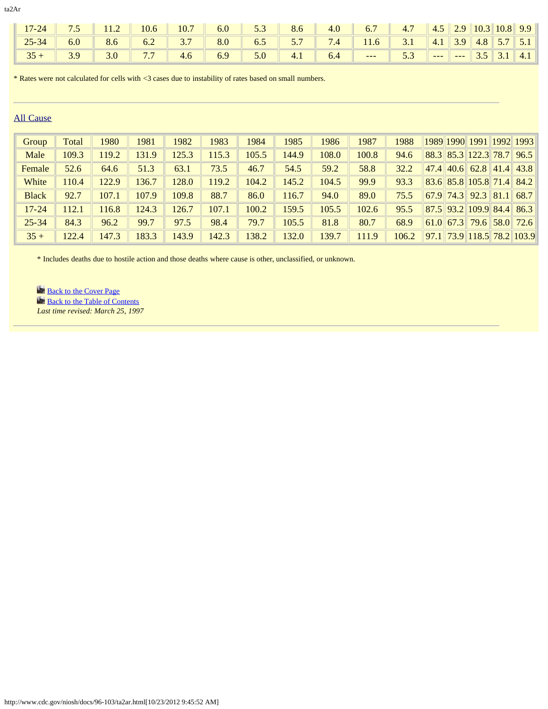|  |  | $\parallel$ 17-24 7.5 11.2 10.6 10.7 6.0 5.3 8.6 4.0 6.7 4.7 4.5 2.9 10.3 10.8 9.9                                                                                                                                                                        |  |  |  |  |  |  |
|--|--|-----------------------------------------------------------------------------------------------------------------------------------------------------------------------------------------------------------------------------------------------------------|--|--|--|--|--|--|
|  |  | $\parallel$ 25-34 6.0 8.6 6.2 3.7 8.0 6.5 5.7 7.4 11.6 3.1 4.1 3.9 4.8 5.7 5.1                                                                                                                                                                            |  |  |  |  |  |  |
|  |  | <b>1</b> $35 +$ <b>1</b> $3.9$ <b>1</b> $3.0$ <b>1</b> $7.7$ <b>1</b> $4.6$ <b>1</b> $6.9$ <b>1</b> $5.0$ <b>1</b> $4.1$ <b>1</b> $6.4$ <b>1</b> $\cdots$ <b>1</b> $5.3$ <b>1</b> $\cdots$ <b>1</b> $\cdots$ <b>1</b> $3.5$ <b>1</b> $3.1$ <b>1</b> $4.1$ |  |  |  |  |  |  |

\* Rates were not calculated for cells with <3 cases due to instability of rates based on small numbers.

### All Cause

| Group        | Total | 1980  | 1981  | 1982  | 1983  | 1984  | 1985  | 1986  | 1987  | 1988  |  |                  |                    | 1989 1990 1991 1992 1993   |
|--------------|-------|-------|-------|-------|-------|-------|-------|-------|-------|-------|--|------------------|--------------------|----------------------------|
| Male         | 109.3 | 19.2  | 131.9 | 125.3 | 115.3 | 105.5 | 144.9 | 108.0 | 100.8 | 94.6  |  |                  |                    | 88.3 85.3 122.3 78.7 96.5  |
| Female       | 52.6  | 64.6  | 51.3  | 63.1  | 73.5  | 46.7  | 54.5  | 59.2  | 58.8  | 32.2  |  |                  |                    | $47.4$ 40.6 62.8 41.4 43.8 |
| White        | 110.4 | 122.9 | 136.7 | 128.0 | 119.2 | 104.2 | 145.2 | 104.5 | 99.9  | 93.3  |  |                  |                    | 83.6 85.8 105.8 71.4 84.2  |
| <b>Black</b> | 92.7  | 107.1 | 107.9 | 109.8 | 88.7  | 86.0  | 116.7 | 94.0  | 89.0  | 75.5  |  | $67.9$ 74.3 92.3 | $\vert 81.1 \vert$ | 68.7                       |
| $17 - 24$    | 112.1 | 16.8  | 124.3 | 126.7 | 107.1 | 100.2 | 159.5 | 105.5 | 102.6 | 95.5  |  |                  |                    | 87.5 93.2 109.9 84.4 86.3  |
| $25 - 34$    | 84.3  | 96.2  | 99.7  | 97.5  | 98.4  | 79.7  | 105.5 | 81.8  | 80.7  | 68.9  |  |                  |                    | $61.0$ 67.3 79.6 58.0 72.6 |
| $35 +$       | 122.4 | 147.3 | 183.3 | 143.9 | 142.3 | 138.2 | 132.0 | 139.7 | 111.9 | 106.2 |  |                  |                    | 97.1 73.9 118.5 78.2 103.9 |

\* Includes deaths due to hostile action and those deaths where cause is other, unclassified, or unknown.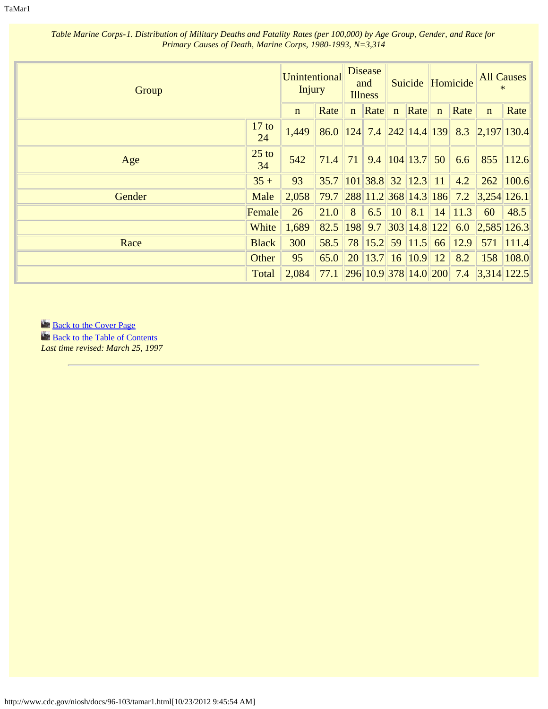TaMar1

| Group  |               | Unintentional<br><b>Injury</b> |                                      |               | <b>Disease</b><br>and<br><b>Illness</b> |                            |             | Suicide Homicide                                                                 |                                                  | <b>All Causes</b><br>$\ast$ |
|--------|---------------|--------------------------------|--------------------------------------|---------------|-----------------------------------------|----------------------------|-------------|----------------------------------------------------------------------------------|--------------------------------------------------|-----------------------------|
|        |               | $\mathbf{n}$                   | Rate                                 |               | $n$ Rate $n$                            | Rate                       | $\mathbf n$ | Rate                                                                             | $\mathbf n$                                      | Rate                        |
|        | $17$ to<br>24 | 1,449                          |                                      |               |                                         |                            |             |                                                                                  | 86.0 124 7.4 242 14.4 139 8.3 2,197 130.4        |                             |
| Age    | $25$ to<br>34 | 542                            | $71.4$ 71 9.4 104 13.7 50            |               |                                         |                            |             | 6.6                                                                              |                                                  | 855 112.6                   |
|        | $35 +$        | 93                             | $35.7$   101   38.8   32   12.3   11 |               |                                         |                            |             | 4.2                                                                              |                                                  | 262 100.6                   |
| Gender | Male          | 2,058                          | 79.7                                 |               |                                         |                            |             | $\left  \frac{288}{11.2} \right  368 \left  14.3 \right  186 \left  7.2 \right $ | 3,254 126.1                                      |                             |
|        | Female        | 26                             | 21.0                                 | $\parallel 8$ |                                         | $6.5$ 10 $8.1$             |             | $14$   11.3                                                                      | 60                                               | 48.5                        |
|        | White         | 1,689                          | 82.5                                 |               |                                         |                            |             |                                                                                  | $\parallel$ 198 9.7 303 14.8 122 6.0 2,585 126.3 |                             |
| Race   | <b>Black</b>  | 300                            | 58.5                                 |               |                                         |                            |             | $\ 78\ 15.2\ 59\ 11.5\ 66\ 12.9\ $                                               |                                                  | 571 111.4                   |
|        | Other         | 95                             | 65.0                                 |               |                                         | 20   13.7   16   10.9   12 |             | 8.2                                                                              |                                                  | 158 108.0                   |
|        | Total         | 2,084                          | 77.1 296 10.9 378 14.0 200 7.4       |               |                                         |                            |             |                                                                                  | 3,314 122.5                                      |                             |

*Table Marine Corps-1. Distribution of Military Deaths and Fatality Rates (per 100,000) by Age Group, Gender, and Race for Primary Causes of Death, Marine Corps, 1980-1993, N=3,314*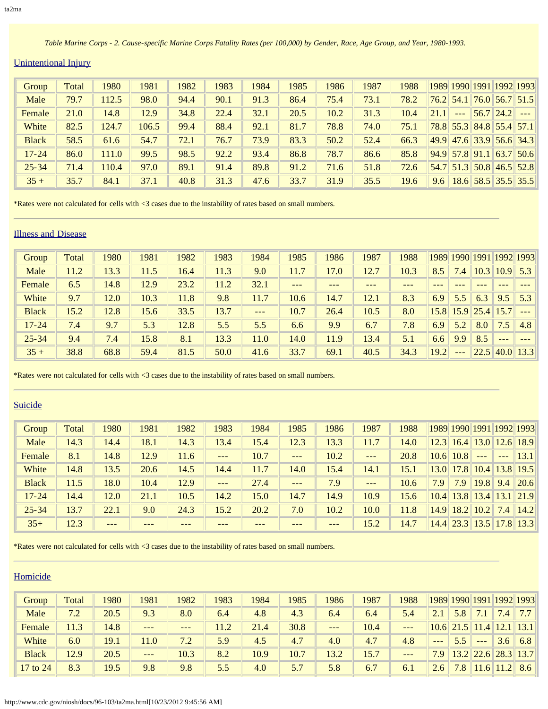*Table Marine Corps - 2. Cause-specific Marine Corps Fatality Rates (per 100,000) by Gender, Race, Age Group, and Year, 1980-1993.* 

### Unintentional Injury

| Group        | Total | 1980  | 1981  | 1982 | 1983 | 1984 | 1985 | 1986 | 1987 | 1988 |      |           |                  | 1989 1990 1991 1992 1993   |                                    |
|--------------|-------|-------|-------|------|------|------|------|------|------|------|------|-----------|------------------|----------------------------|------------------------------------|
| Male         | 79.7  | 112.5 | 98.0  | 94.4 | 90.1 | 91.3 | 86.4 | 75.4 | 73.1 | 78.2 |      |           |                  | $76.2$ 54.1 76.0 56.7 51.5 |                                    |
| Female       | 21.0  | 14.8  | 12.9  | 34.8 | 22.4 | 32.1 | 20.5 | 10.2 | 31.3 | 10.4 | 21.1 | $- - - -$ |                  | $56.7$ 24.2                |                                    |
| White        | 82.5  | 124.7 | 106.5 | 99.4 | 88.4 | 92.1 | 81.7 | 78.8 | 74.0 | 75.1 |      |           |                  | $78.8$ 55.3 84.8 55.4 57.1 |                                    |
| <b>Black</b> | 58.5  | 61.6  | 54.7  | 72.1 | 76.7 | 73.9 | 83.3 | 50.2 | 52.4 | 66.3 |      |           |                  | 49.9 47.6 33.9 56.6 34.3   |                                    |
| $17 - 24$    | 86.0  | 111.0 | 99.5  | 98.5 | 92.2 | 93.4 | 86.8 | 78.7 | 86.6 | 85.8 |      |           | $94.9$ 57.8 91.1 |                            | $\ $ 63.7   50.6                   |
| $25 - 34$    | 71.4  | 110.4 | 97.0  | 89.1 | 91.4 | 89.8 | 91.2 | 71.6 | 51.8 | 72.6 |      |           |                  |                            | $54.7$ $51.3$ $50.8$ $46.5$ $52.8$ |
| $35 +$       | 35.7  | 84.1  | 37.1  | 40.8 | 31.3 | 47.6 | 33.7 | 31.9 | 35.5 | 19.6 | 9.6  |           |                  | 18.6 58.5 35.5 35.5        |                                    |

\*Rates were not calculated for cells with <3 cases due to the instability of rates based on small numbers.

### Illness and Disease

| Group        | Total | 1980 | 1981 | 1982 | 1983 | 1984 | 1985    | 1986   | 1987  | 1988 |      |                  | 1989 1990 1991 1992 1993 |         |      |
|--------------|-------|------|------|------|------|------|---------|--------|-------|------|------|------------------|--------------------------|---------|------|
| Male         | 11.2  | 13.3 | 11.5 | 16.4 | 11.3 | 9.0  | 11.7    | 17.0   | 12.7  | 10.3 | 8.5  | $\left 4\right $ | 10.3                     | 10.9    | 5.3  |
| Female       | 6.5   | 14.8 | 12.9 | 23.2 | 11.2 | 32.1 | $- - -$ | $-- -$ | $---$ |      |      |                  |                          |         |      |
| White        | 9.7   | 12.0 | 10.3 | 11.8 | 9.8  | 11.7 | 10.6    | 14.7   | 12.1  | 8.3  | 6.9  | 5.5              | 6.3                      | 9.5     | 5.3  |
| <b>Black</b> | 15.2  | 12.8 | 15.6 | 33.5 | 13.7 | $--$ | 10.7    | 26.4   | 10.5  | 8.0  |      |                  | $15.8$ 15.9 25.4 15.7    |         | ---  |
| $17 - 24$    | 7.4   | 9.7  | 5.3  | 12.8 | 5.5  | 5.5  | 6.6     | 9.9    | 6.7   | 7.8  | 6.9  | 5.2              | 8.0                      | 7.5     | 4.8  |
| $25 - 34$    | 9.4   | 7.4  | 15.8 | 8.1  | 13.3 | 11.0 | 14.0    | 11.9   | 13.4  | 5.1  | 6.6  | 9.9              | 8.5                      | $- - -$ |      |
| $35 +$       | 38.8  | 68.8 | 59.4 | 81.5 | 50.0 | 41.6 | 33.7    | 69.1   | 40.5  | 34.3 | 19.2 | $- - -$          | 22.5                     | 40.0    | 13.3 |

\*Rates were not calculated for cells with <3 cases due to the instability of rates based on small numbers.

# **Suicide**

| Group        | Total | 1980   | 1981 | 1982 | 1983              | 1984 | 1985  | 1986  | 1987    | 1988 |                   |      |               |         | 1989 1990 1991 1992 1993    |
|--------------|-------|--------|------|------|-------------------|------|-------|-------|---------|------|-------------------|------|---------------|---------|-----------------------------|
| Male         | 14.3  | 14.4   | 18.1 | 14.3 | 13.4              | 15.4 | 12.3  | 13.3  | 11.7    | 14.0 | 12.3              |      |               |         | $16.4$   13.0   12.6   18.9 |
| Female       | 8.1   | 14.8   | 12.9 | 11.6 | $- - -$           | 10.7 | $---$ | 10.2  | $- - -$ | 20.8 | 10.6              | 10.8 | $\frac{1}{2}$ | $- - -$ | 13.1                        |
| White        | 14.8  | 13.5   | 20.6 | 14.5 | 14.4              | 11.7 | 14.0  | 15.4  | 14.1    | 15.1 | 13.0 <sup>°</sup> |      | $17.8$   10.4 |         | $13.8$ 19.5                 |
| <b>Black</b> | 11.5  | 18.0   | 10.4 | 12.9 | $\qquad \qquad -$ | 27.4 | $---$ | 7.9   | $- - -$ | 10.6 | 7.9               | 7.9  | 19.8          | 9.4     | 20.6                        |
| $17 - 24$    | 14.4  | 12.0   | 21.1 | 10.5 | 14.2              | 15.0 | 14.7  | 14.9  | 10.9    | 15.6 | 10.4              |      | $13.8$   13.4 | 13.1    | 21.9                        |
| $25 - 34$    | 13.7  | 22.1   | 9.0  | 24.3 | 15.2              | 20.2 | 7.0   | 10.2  | 10.0    | 11.8 | 14.9              |      | $18.2$   10.2 | 7.4     | 14.2                        |
| $35+$        | 12.3  | $-- -$ | ---  |      | $- - -$           |      | ---   | $---$ | 15.2    | 14.7 |                   |      |               |         | $14.4$ 23.3 13.5 17.8 13.3  |

\*Rates were not calculated for cells with <3 cases due to the instability of rates based on small numbers.

| Group        | <b>Total</b> | 1980 | 1981  | 1982   | 1983 | 1984 | 1985 | 1986  | 1987 | 1988  |              |               |             |                | 1989 1990 1991 1992 1993 |
|--------------|--------------|------|-------|--------|------|------|------|-------|------|-------|--------------|---------------|-------------|----------------|--------------------------|
| Male         | 7.2          | 20.5 | 9.3   | 8.0    | 6.4  | 4.8  | 4.3  | 6.4   | 6.4  | 5.4   | $\sqrt{2.1}$ | 5.8           |             | 7.4            | 7.7 <sub>1</sub>         |
| Female       | 11.3         | 14.8 | $---$ | $-- -$ | 11.2 | 21.4 | 30.8 | $---$ | 10.4 | $---$ |              | $10.6$   21.5 | 11.4        | 12.1           | $\vert 13.1 \vert$       |
| White        | 6.0          | 19.1 | 1.0   | 7.2    | 5.9  | 4.5  | 4.7  | 4.0   | 4.7  | 4.8   | $---$        | 5.5           | $- - -$     | 3.6            | 6.8                      |
| <b>Black</b> | 12.9         | 20.5 | $---$ | 10.3   | 8.2  | 10.9 | 10.7 | 13.2  | 15.7 | ---   | 7.9          |               | $13.2$ 22.6 |                | 28.3 13.7                |
| 17 to 24     | 8.3          | 19.5 | 9.8   | 9.8    | 5.5  | 4.0  | 5.7  | 5.8   | 6.7  | 6.1   | 2.6          | 7.8           | 11.6        | $11.2^{\circ}$ | 8.6                      |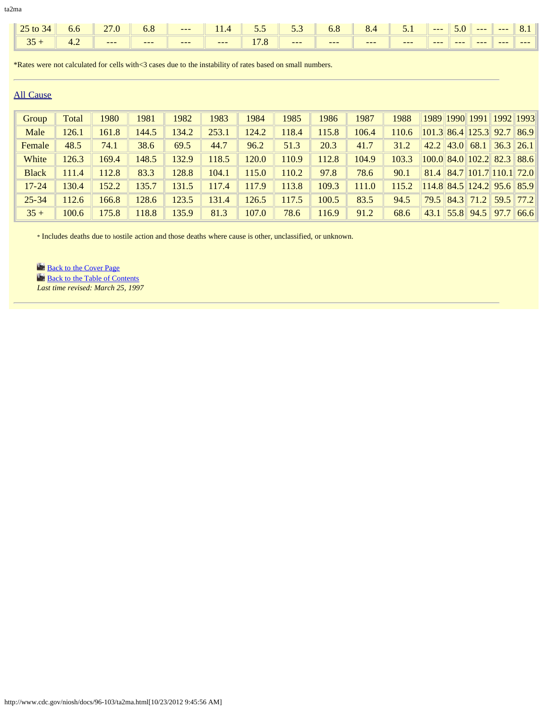|           | $\parallel$ 25 to 34 $\parallel$ | 6.6 | 270 |  | 6.8 $\blacksquare$ --- $\blacksquare$ 11.4 $\blacksquare$ 5.5 $\blacksquare$ 5.3 $\blacksquare$ 6.8 $\blacksquare$ |       |       |         | $\ $ 8.4 $\ $ 5.1 $\ $ --- $\ $ 5.0 $\ $ --- $\ $ --- |         |        |      |         | $\sqrt{8.1}$ |
|-----------|----------------------------------|-----|-----|--|--------------------------------------------------------------------------------------------------------------------|-------|-------|---------|-------------------------------------------------------|---------|--------|------|---------|--------------|
| $\  35 +$ |                                  |     |     |  |                                                                                                                    | $---$ | $---$ | $- - -$ | $--$                                                  | $- - -$ | $-- -$ | $--$ | $- - -$ | $-- -$       |

\*Rates were not calculated for cells with<3 cases due to the instability of rates based on small numbers.

### All Cause

| Group        | Total | 1980  | 1981  | 1982  | 1983  | 1984  | 1985  | 1986  | 1987  | 1988  |      |      | 1989 1990 1991             | 1992 1993                      |               |
|--------------|-------|-------|-------|-------|-------|-------|-------|-------|-------|-------|------|------|----------------------------|--------------------------------|---------------|
| Male         | 126.1 | 161.8 | 144.5 | 134.2 | 253.1 | 124.2 | 18.4  | 115.8 | 106.4 | 110.6 |      |      | $101.3$ 86.4 125.3 92.7    |                                | 86.9          |
| Female       | 48.5  | 74.1  | 38.6  | 69.5  | 44.7  | 96.2  | 51.3  | 20.3  | 41.7  | 31.2  | 42.2 | 43.0 | 68.1                       |                                | $36.3$   26.1 |
| White        | 126.3 | 169.4 | 148.5 | 132.9 | 118.5 | 120.0 | 10.9  | 112.8 | 104.9 | 103.3 |      |      |                            | $100.0$ 84.0 102.2 82.3 88.6   |               |
| <b>Black</b> | 111.4 | 112.8 | 83.3  | 128.8 | 104.1 | 115.0 | 10.2  | 97.8  | 78.6  | 90.1  | 81.4 |      |                            | $\ 84.7\ 101.7\ 110.1\ 72.0\ $ |               |
| $17 - 24$    | 130.4 | 152.2 | 135.7 | 131.5 | 117.4 | 117.9 | 113.8 | 109.3 | 111.0 | 115.2 |      |      |                            | $114.8$ 84.5 124.2 95.6 85.9   |               |
| $25 - 34$    | 112.6 | 166.8 | 128.6 | 123.5 | 131.4 | 126.5 | 17.5  | 100.5 | 83.5  | 94.5  | 79.5 |      | $\left  84.3 \right  71.2$ |                                | $59.5$ 77.2   |
| $35 +$       | 100.6 | 175.8 | 18.8  | 135.9 | 81.3  | 107.0 | 78.6  | 116.9 | 91.2  | 68.6  | 43.1 |      | $\ 55.8\ 94.5\ $           | 97.7                           | 66.6          |

\* Includes deaths due to hostile action and those deaths where cause is other, unclassified, or unknown.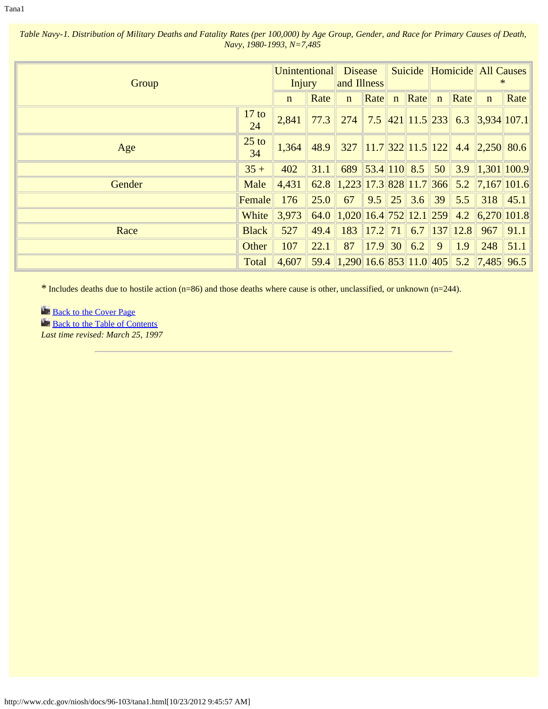*Table Navy-1. Distribution of Military Deaths and Fatality Rates (per 100,000) by Age Group, Gender, and Race for Primary Causes of Death, Navy, 1980-1993, N=7,485* 

| Group  |               | Unintentional Disease<br>Injury |      | and Illness                                              |                                  | Suicide      |             |      | Homicide All Causes                                   | ∗            |
|--------|---------------|---------------------------------|------|----------------------------------------------------------|----------------------------------|--------------|-------------|------|-------------------------------------------------------|--------------|
|        |               | $\mathbf{n}$                    | Rate | $\mathbf{n}$                                             | $\left  \mathbf{Rate} \right $ n | $\ $ Rate    | $\mathbf n$ | Rate | $\mathbf n$                                           | <b>Rate</b>  |
|        | $17$ to<br>24 | 2,841                           | 77.3 | 274                                                      |                                  |              |             |      | $\mid$ 7.5 $\mid$ 421 $\mid$ 11.5 233 6.3 3,934 107.1 |              |
| Age    | $25$ to<br>34 | 1,364                           | 48.9 |                                                          |                                  |              |             |      | $327$   11.7  322  11.5  122  4.4  2,250  80.6        |              |
|        | $35 +$        | 402                             | 31.1 |                                                          |                                  |              |             |      | 689 53.4 110 8.5 50 3.9 1,301 100.9                   |              |
| Gender | Male          | 4,431                           |      | 62.8 $\parallel$ 1,223 17.3 828 11.7 366 5.2 7,167 101.6 |                                  |              |             |      |                                                       |              |
|        | Female        | 176                             | 25.0 | 67                                                       |                                  | $9.5$ 25 3.6 | 39          | 5.5  |                                                       | $318$   45.1 |
|        | White         | 3,973                           | 64.0 | $\parallel$ 1,020 16.4 752 12.1 259 4.2 6,270 101.8      |                                  |              |             |      |                                                       |              |
| Race   | <b>Black</b>  | 527                             | 49.4 | 183                                                      |                                  |              |             |      | $17.2$ 71 6.7 137 12.8 967                            | 91.1         |
|        | Other         | 107                             | 22.1 | 87                                                       | $\ 17.9\ 30\ 6.2$                |              | 9           | 1.9  | 248                                                   | $\  51.1 \ $ |
|        | Total         | 4,607                           | 59.4 |                                                          |                                  |              |             |      | $1,290$ 16.6 853 11.0 405 5.2 7,485 96.5              |              |

\* Includes deaths due to hostile action (n=86) and those deaths where cause is other, unclassified, or unknown (n=244).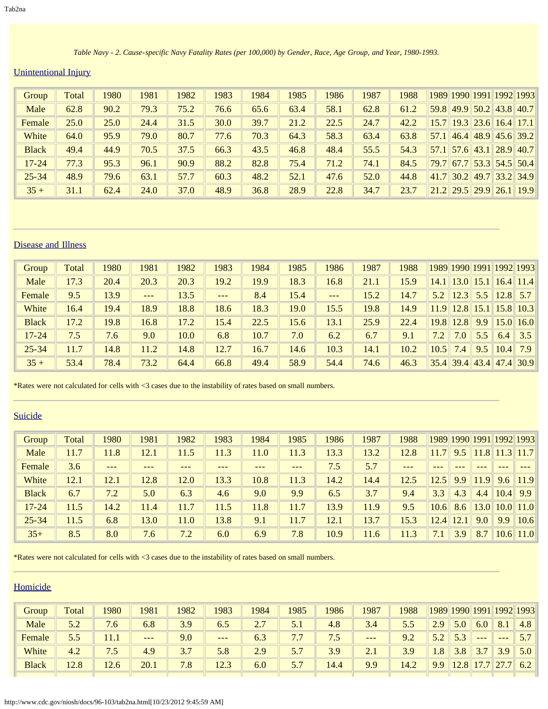*Table Navy - 2. Cause-specific Navy Fatality Rates (per 100,000) by Gender, Race, Age Group, and Year, 1980-1993.*

# Unintentional Injury

| Group        | Total | 1980 | 1981 | 1982 | 1983 | 1984 | 1985 | 1986 | 1987 | 1988 |      |  | 1989 1990 1991 1992 1993                |
|--------------|-------|------|------|------|------|------|------|------|------|------|------|--|-----------------------------------------|
| Male         | 62.8  | 90.2 | 79.3 | 75.2 | 76.6 | 65.6 | 63.4 | 58.1 | 62.8 | 61.2 |      |  | $59.8$ 49.9 $50.2$ 43.8 40.7            |
| Female       | 25.0  | 25.0 | 24.4 | 31.5 | 30.0 | 39.7 | 21.2 | 22.5 | 24.7 | 42.2 |      |  | $15.7$ 19.3 23.6 16.4 17.1              |
| White        | 64.0  | 95.9 | 79.0 | 80.7 | 77.6 | 70.3 | 64.3 | 58.3 | 63.4 | 63.8 | 57.1 |  | 46.4 48.9 45.6 39.2                     |
| <b>Black</b> | 49.4  | 44.9 | 70.5 | 37.5 | 66.3 | 43.5 | 46.8 | 48.4 | 55.5 | 54.3 |      |  | $57.1$ 57.6 43.1 28.9 40.7              |
| $17 - 24$    | 77.3  | 95.3 | 96.1 | 90.9 | 88.2 | 82.8 | 75.4 | 71.2 | 74.1 | 84.5 | 79.7 |  | $\ $ 67.7 $\ $ 53.3 $\ $ 54.5 $\ $ 50.4 |
| $25 - 34$    | 48.9  | 79.6 | 63.1 | 57.7 | 60.3 | 48.2 | 52.1 | 47.6 | 52.0 | 44.8 |      |  | $41.7$ 30.2 49.7 33.2 34.9              |
| $35 +$       | 31.1  | 62.4 | 24.0 | 37.0 | 48.9 | 36.8 | 28.9 | 22.8 | 34.7 | 23.7 |      |  | $21.2$ $29.5$ $29.9$ $26.1$ 19.9        |

## Disease and Illness

| Group        | Total | 1980 | 1981    | 1982 | 1983    | 1984 | 1985 | 1986  | 1987 | 1988 |      |             |                    |      | 1989 1990 1991 1992 1993 |
|--------------|-------|------|---------|------|---------|------|------|-------|------|------|------|-------------|--------------------|------|--------------------------|
| Male         | 17.3  | 20.4 | 20.3    | 20.3 | 19.2    | 19.9 | 18.3 | 16.8  | 21.1 | 15.9 | 14.1 | 13.0        | $\vert 15.1 \vert$ |      | $16.4$   11.4            |
| Female       | 9.5   | 13.9 | $- - -$ | 13.5 | $- - -$ | 8.4  | 15.4 | $---$ | 15.2 | 14.7 | 5.2  | 12.3        | 5.5                |      | $12.8$ 5.7               |
| White        | 16.4  | 19.4 | 18.9    | 18.8 | 18.6    | 18.3 | 19.0 | 15.5  | 19.8 | 14.9 | 11.9 | 12.8        |                    |      | $15.1$ 15.8 10.3         |
| <b>Black</b> | 17.2  | 19.8 | 16.8    | 17.2 | 15.4    | 22.5 | 15.6 | 13.1  | 25.9 | 22.4 | 19.8 | <b>12.8</b> | 9.9                |      | $15.0$   16.0            |
| $17 - 24$    | 7.5   | 7.6  | 9.0     | 10.0 | 6.8     | 10.7 | 7.0  | 6.2   | 6.7  | 9.1  | 7.2  | 7.0         | 5.5                | 6.4  | 3.5                      |
| $25 - 34$    | 11.7  | 14.8 | 11.2    | 14.8 | 12.7    | 16.7 | 14.6 | 10.3  | 14.1 | 10.2 | 10.5 | 7.4         | 9.5                | 10.4 | 7.9                      |
| $35 +$       | 53.4  | 78.4 | 73.2    | 64.4 | 66.8    | 49.4 | 58.9 | 54.4  | 74.6 | 46.3 |      | $35.4$ 39.4 | 43.4               | 47.4 | 30.9                     |

\*Rates were not calculated for cells with <3 cases due to the instability of rates based on small numbers.

### Suicide

| Group        | Total | 1980   | 1981 | 1982 | 1983 | 1984 | 1985  | 1986 | 1987 | 1988  |      |               |      |      | 1989 1990 1991 1992 1993 |
|--------------|-------|--------|------|------|------|------|-------|------|------|-------|------|---------------|------|------|--------------------------|
| Male         | 11.7  | 11.8   | 12.1 | 11.5 | 11.3 | 11.0 | 11.3  | 13.3 | 13.2 | 12.8  |      | 9.5           | 11.8 |      | $11.3$   11.7            |
| Female       | 3.6   | $-- -$ | ---  |      | ---  | ---  | $---$ | 7.5  | 5.7  | $---$ |      |               |      |      |                          |
| White        | 12.1  | 12.1   | 12.8 | 12.0 | 13.3 | 10.8 | 11.3  | 14.2 | 14.4 | 12.5  | 12.5 | 9.9           | 11.9 | 9.6  | 11.9                     |
| <b>Black</b> | 6.7   | 7.2    | 5.0  | 6.3  | 4.6  | 9.0  | 9.9   | 6.5  | 3.7  | 9.4   | 3.3  | 4.3           | 4.4  | 10.4 | 9.9                      |
| $17 - 24$    | 11.5  | 14.2   | 11.4 | 11.7 | 11.5 | 11.8 | 11.7  | 13.9 | 11.9 | 9.5   | 10.6 | 8.6           | 13.0 |      | $10.0$ 11.0              |
| $25 - 34$    | 11.5  | 6.8    | 13.0 | 11.0 | 13.8 | 9.1  | 11.7  | 12.1 | 13.7 | 15.3  |      | $12.4$   12.1 | 9.0  | 9.9  | 10.6                     |
| $35+$        | 8.5   | 8.0    | 7.6  | 7.2  | 6.0  | 6.9  | 7.8   | 10.9 | 11.6 | 11.3  | 7.1  | 3.9           | 8.7  |      | $10.6$    11.0           |

\*Rates were not calculated for cells with <3 cases due to the instability of rates based on small numbers.

| Group        | Total | 1980 | 1981  | 1982 | 1983 | 1984 | 1985 | 1986 | 1987  | 1988 |     |      |      | 1989 1990 1991 1992 1993 |     |
|--------------|-------|------|-------|------|------|------|------|------|-------|------|-----|------|------|--------------------------|-----|
| Male         | 5つ    | 7.6  | 6.8   | 3.9  | 6.5  | 2.7  | 5.1  | 4.8  | 3.4   | 5.5  | 2.9 | 5.0  | 6.0  | 8.1                      | 4.8 |
| Female       | 5.5   | 11.1 | $---$ | 9.0  | $--$ | 6.3  | 7.7  | 1.5  | $---$ | 9.2  |     | 5.3  | $--$ | $\qquad \qquad -$        |     |
| White        | 4.2   | 7.5  | 4.9   | 37   | 5.8  | 2.9  | 5.7  | 3.9  | 2.1   | 3.9  | 1.8 | 3.8  | 37   | 3.9                      | 5.0 |
| <b>Black</b> | 12.8  | 12.6 | 20.1  | 7.8  | 12.3 | 6.0  | 5.7  | 14.4 | 9.9   | 14.2 | 9.9 | 12.8 | 177  | $\ 27.7\ $               | 6.2 |
|              |       |      |       |      |      |      |      |      |       |      |     |      |      |                          |     |